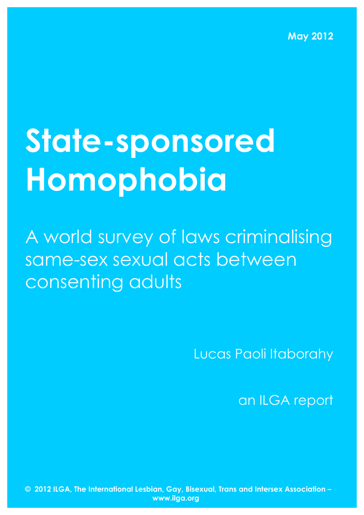**May 2012**

# **State-sponsored Homophobia**

A world survey of laws criminalising same-sex sexual acts between consenting adults

Lucas Paoli Itaborahy

an ILGA report

**© 2012 ILGA, The International Lesbian, Gay, Bisexual, Trans and Intersex Association – www.ilga.org**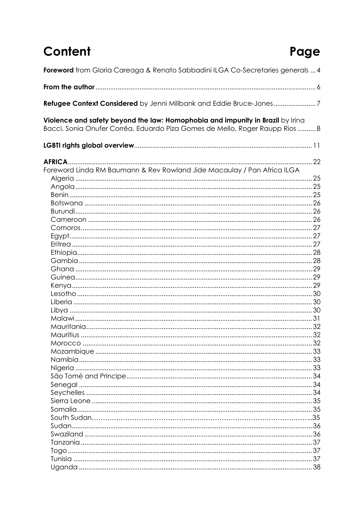## Content

## Page

| Foreword from Gloria Careaga & Renato Sabbadini ILGA Co-Secretaries generals  4                                                                              |  |
|--------------------------------------------------------------------------------------------------------------------------------------------------------------|--|
|                                                                                                                                                              |  |
| Refugee Context Considered by Jenni Millbank and Eddie Bruce-Jones7                                                                                          |  |
| Violence and safety beyond the law: Homophobia and impunity in Brazil by Irina<br>Bacci, Sonia Onufer Corrêa, Eduardo Piza Gomes de Mello, Roger Raupp Rios8 |  |
|                                                                                                                                                              |  |
|                                                                                                                                                              |  |
| Foreword Linda RM Baumann & Rev Rowland Jide Macaulay / Pan Africa ILGA                                                                                      |  |
|                                                                                                                                                              |  |
|                                                                                                                                                              |  |
|                                                                                                                                                              |  |
|                                                                                                                                                              |  |
|                                                                                                                                                              |  |
|                                                                                                                                                              |  |
|                                                                                                                                                              |  |
|                                                                                                                                                              |  |
|                                                                                                                                                              |  |
|                                                                                                                                                              |  |
|                                                                                                                                                              |  |
|                                                                                                                                                              |  |
|                                                                                                                                                              |  |
|                                                                                                                                                              |  |
|                                                                                                                                                              |  |
|                                                                                                                                                              |  |
|                                                                                                                                                              |  |
|                                                                                                                                                              |  |
|                                                                                                                                                              |  |
|                                                                                                                                                              |  |
|                                                                                                                                                              |  |
|                                                                                                                                                              |  |
|                                                                                                                                                              |  |
|                                                                                                                                                              |  |
|                                                                                                                                                              |  |
|                                                                                                                                                              |  |
|                                                                                                                                                              |  |
|                                                                                                                                                              |  |
|                                                                                                                                                              |  |
|                                                                                                                                                              |  |
|                                                                                                                                                              |  |
|                                                                                                                                                              |  |
|                                                                                                                                                              |  |
|                                                                                                                                                              |  |
|                                                                                                                                                              |  |
|                                                                                                                                                              |  |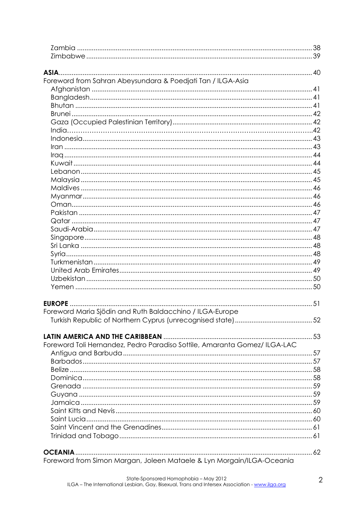| Foreword from Sahran Abeysundara & Poedjati Tan / ILGA-Asia<br><b>EUROPE</b><br>Foreword Maria Sjödin and Ruth Baldacchino / ILGA-Europe<br>Foreword Toli Hernandez, Pedro Paradiso Sottile, Amaranta Gomez/ ILGA-LAC<br><b>OCEANIA.</b><br>Foreword from Simon Margan, Joleen Mataele & Lyn Morgain/ILGA-Oceania |  |
|-------------------------------------------------------------------------------------------------------------------------------------------------------------------------------------------------------------------------------------------------------------------------------------------------------------------|--|
|                                                                                                                                                                                                                                                                                                                   |  |
|                                                                                                                                                                                                                                                                                                                   |  |
|                                                                                                                                                                                                                                                                                                                   |  |
|                                                                                                                                                                                                                                                                                                                   |  |
|                                                                                                                                                                                                                                                                                                                   |  |
|                                                                                                                                                                                                                                                                                                                   |  |
|                                                                                                                                                                                                                                                                                                                   |  |
|                                                                                                                                                                                                                                                                                                                   |  |
|                                                                                                                                                                                                                                                                                                                   |  |
|                                                                                                                                                                                                                                                                                                                   |  |
|                                                                                                                                                                                                                                                                                                                   |  |
|                                                                                                                                                                                                                                                                                                                   |  |
|                                                                                                                                                                                                                                                                                                                   |  |
|                                                                                                                                                                                                                                                                                                                   |  |
|                                                                                                                                                                                                                                                                                                                   |  |
|                                                                                                                                                                                                                                                                                                                   |  |
|                                                                                                                                                                                                                                                                                                                   |  |
|                                                                                                                                                                                                                                                                                                                   |  |
|                                                                                                                                                                                                                                                                                                                   |  |
|                                                                                                                                                                                                                                                                                                                   |  |
|                                                                                                                                                                                                                                                                                                                   |  |
|                                                                                                                                                                                                                                                                                                                   |  |
|                                                                                                                                                                                                                                                                                                                   |  |
|                                                                                                                                                                                                                                                                                                                   |  |
|                                                                                                                                                                                                                                                                                                                   |  |
|                                                                                                                                                                                                                                                                                                                   |  |
|                                                                                                                                                                                                                                                                                                                   |  |
|                                                                                                                                                                                                                                                                                                                   |  |
|                                                                                                                                                                                                                                                                                                                   |  |
|                                                                                                                                                                                                                                                                                                                   |  |
|                                                                                                                                                                                                                                                                                                                   |  |
|                                                                                                                                                                                                                                                                                                                   |  |
|                                                                                                                                                                                                                                                                                                                   |  |
|                                                                                                                                                                                                                                                                                                                   |  |
|                                                                                                                                                                                                                                                                                                                   |  |
|                                                                                                                                                                                                                                                                                                                   |  |
|                                                                                                                                                                                                                                                                                                                   |  |
|                                                                                                                                                                                                                                                                                                                   |  |
|                                                                                                                                                                                                                                                                                                                   |  |
|                                                                                                                                                                                                                                                                                                                   |  |
|                                                                                                                                                                                                                                                                                                                   |  |
|                                                                                                                                                                                                                                                                                                                   |  |
|                                                                                                                                                                                                                                                                                                                   |  |
|                                                                                                                                                                                                                                                                                                                   |  |
|                                                                                                                                                                                                                                                                                                                   |  |
|                                                                                                                                                                                                                                                                                                                   |  |
|                                                                                                                                                                                                                                                                                                                   |  |
|                                                                                                                                                                                                                                                                                                                   |  |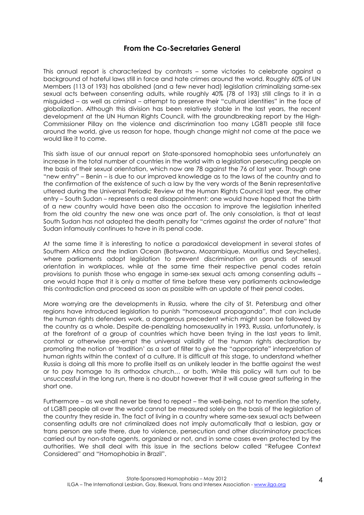#### **From the Co-Secretaries General**

This annual report is characterized by contrasts – some victories to celebrate against a background of hateful laws still in force and hate crimes around the world. Roughly 60% of UN Members (113 of 193) has abolished (and a few never had) legislation criminalizing same-sex sexual acts between consenting adults, while roughly 40% (78 of 193) still clings to it in a misguided – as well as criminal – attempt to preserve their "cultural identities" in the face of globalization. Although this division has been relatively stable in the last years, the recent development at the UN Human Rights Council, with the groundbreaking report by the High-Commissioner Pillay on the violence and discrimination too many LGBTI people still face around the world, give us reason for hope, though change might not come at the pace we would like it to come.

This sixth issue of our annual report on State-sponsored homophobia sees unfortunately an increase in the total number of countries in the world with a legislation persecuting people on the basis of their sexual orientation, which now are 78 against the 76 of last year. Though one "new entry" – Benin – is due to our improved knowledge as to the laws of the country and to the confirmation of the existence of such a law by the very words of the Benin representative uttered during the Universal Periodic Review at the Human Rights Council last year, the other entry – South Sudan – represents a real disappointment: one would have hoped that the birth of a new country would have been also the occasion to improve the legislation inherited from the old country the new one was once part of. The only consolation, is that at least South Sudan has not adopted the death penalty for "crimes against the order of nature" that Sudan infamously continues to have in its penal code.

At the same time it is interesting to notice a paradoxical development in several states of Southern Africa and the Indian Ocean (Botswana, Mozambique, Mauritius and Seychelles), where parliaments adopt legislation to prevent discrimination on grounds of sexual orientation in workplaces, while at the same time their respective penal codes retain provisions to punish those who engage in same-sex sexual acts among consenting adults – one would hope that it is only a matter of time before these very parliaments acknowledge this contradiction and proceed as soon as possible with an update of their penal codes.

More worrying are the developments in Russia, where the city of St. Petersburg and other regions have introduced legislation to punish "homosexual propaganda", that can include the human rights defenders work, a dangerous precedent which might soon be followed by the country as a whole. Despite de-penalizing homosexuality in 1993, Russia, unfortunately, is at the forefront of a group of countries which have been trying in the last years to limit, control or otherwise pre-empt the universal validity of the human rights declaration by promoting the notion of 'tradition' as a sort of filter to give the "appropriate" interpretation of human rights within the context of a culture. It is difficult at this stage, to understand whether Russia is doing all this more to profile itself as an unlikely leader in the battle against the west or to pay homage to its orthodox church… or both. While this policy will turn out to be unsuccessful in the long run, there is no doubt however that it will cause great suffering in the short one.

Furthermore – as we shall never be tired to repeat – the well-being, not to mention the safety, of LGBTI people all over the world cannot be measured solely on the basis of the legislation of the country they reside in. The fact of living in a country where same-sex sexual acts between consenting adults are not criminalized does not imply automatically that a lesbian, gay or trans person are safe there, due to violence, persecution and other discriminatory practices carried out by non-state agents, organized or not, and in some cases even protected by the authorities. We shall deal with this issue in the sections below called "Refugee Context Considered" and "Homophobia in Brazil".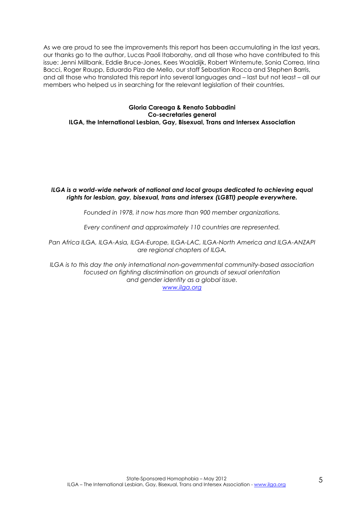As we are proud to see the improvements this report has been accumulating in the last years, our thanks go to the author, Lucas Paoli Itaborahy, and all those who have contributed to this issue: Jenni Millbank, Eddie Bruce-Jones, Kees Waaldijk, Robert Wintemute, Sonia Correa, Irina Bacci, Roger Raupp, Eduardo Piza de Mello, our staff Sebastian Rocca and Stephen Barris, and all those who translated this report into several languages and – last but not least – all our members who helped us in searching for the relevant legislation of their countries.

#### **Gloria Careaga & Renato Sabbadini Co-secretaries general ILGA, the International Lesbian, Gay, Bisexual, Trans and Intersex Association**

#### *ILGA is a world-wide network of national and local groups dedicated to achieving equal rights for lesbian, gay, bisexual, trans and intersex (LGBTI) people everywhere.*

*Founded in 1978, it now has more than 900 member organizations.* 

*Every continent and approximately 110 countries are represented.* 

Pan Africa ILGA, ILGA-Asia, ILGA-Europe, ILGA-LAC, ILGA-North America and ILGA-ANZAPI *are regional chapters of ILGA.* 

*ILGA is to this day the only international non-governmental community-based association focused on fighting discrimination on grounds of sexual orientation and gender identity as a global issue. www.ilga.org*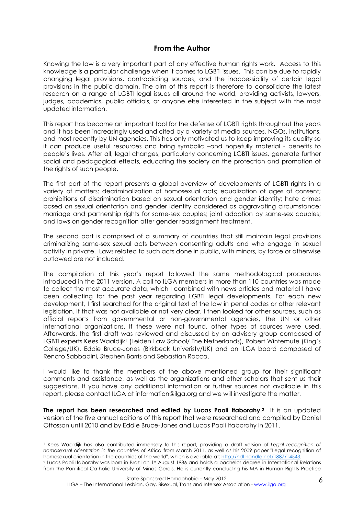#### **From the Author**

Knowing the law is a very important part of any effective human rights work. Access to this knowledge is a particular challenge when it comes to LGBTI issues. This can be due to rapidly changing legal provisions, contradicting sources, and the inaccessibility of certain leaal provisions in the public domain. The aim of this report is therefore to consolidate the latest research on a range of LGBTI legal issues all around the world, providing activists, lawyers, judges, academics, public officials, or anyone else interested in the subject with the most updated information.

This report has become an important tool for the defense of LGBTI rights throughout the years and it has been increasingly used and cited by a variety of media sources, NGOs, institutions, and most recently by UN agencies. This has only motivated us to keep improving its quality so it can produce useful resources and bring symbolic –and hopefully material - benefits to people's lives. After all, legal changes, particularly concerning LGBTI issues, generate further social and pedagogical effects, educating the society on the protection and promotion of the rights of such people.

The first part of the report presents a global overview of developments of LGBTI rights in a variety of matters: decriminalization of homosexual acts; equalization of ages of consent; prohibitions of discrimination based on sexual orientation and gender identity; hate crimes based on sexual orientation and gender identity considered as aggravating circumstance; marriage and partnership rights for same-sex couples; joint adoption by same-sex couples; and laws on gender recognition after gender reassignment treatment.

The second part is comprised of a summary of countries that still maintain legal provisions criminalizing same-sex sexual acts between consenting adults and who engage in sexual activity in private. Laws related to such acts done in public, with minors, by force or otherwise outlawed are not included.

The compilation of this year's report followed the same methodological procedures introduced in the 2011 version. A call to ILGA members in more than 110 countries was made to collect the most accurate data, which I combined with news articles and material I have been collecting for the past year regarding LGBTI legal developments. For each new development, I first searched for the original text of the law in penal codes or other relevant legislation. If that was not available or not very clear, I then looked for other sources, such as official reports from governmental or non-governmental agencies, the UN or other international organizations. If these were not found, other types of sources were used. Afterwards, the first draft was reviewed and discussed by an advisory group composed of LGBTI experts Kees Waaldijk<sup>1</sup> (Leiden Law School/ The Netherlands), Robert Wintemute (King's College/UK), Eddie Bruce-Jones (Birkbeck Univeristy/UK) and an ILGA board composed of Renato Sabbadini, Stephen Barris and Sebastian Rocca.

I would like to thank the members of the above mentioned group for their significant comments and assistance, as well as the organizations and other scholars that sent us their suggestions. If you have any additional information or further sources not available in this report, please contact ILGA at information@ilga.org and we will investigate the matter.

**The report has been researched and edited by Lucas Paoli Itaborahy.<sup>2</sup>** It is an updated version of the five annual editions of this report that were researched and compiled by Daniel Ottosson until 2010 and by Eddie Bruce-Jones and Lucas Paoli Itaborahy in 2011.

 $\overline{a}$ 

<sup>1</sup> Kees Waaldijk has also contributed immensely to this report, providing a draft version of *Legal recognition of homosexual orientation in the countries of Africa* from March 2011, as well as his 2009 paper "Legal recognition of homosexual orientation in the countries of the world", which is available at: http://hdl.handle.net/1887/14543**.**

<sup>&</sup>lt;sup>2</sup> Lucas Paoli Itaborahy was born in Brazil on 1st August 1986 and holds a bachelor degree in International Relations from the Pontifical Catholic University of Minas Gerais. He is currently concluding his MA in Human Rights Practice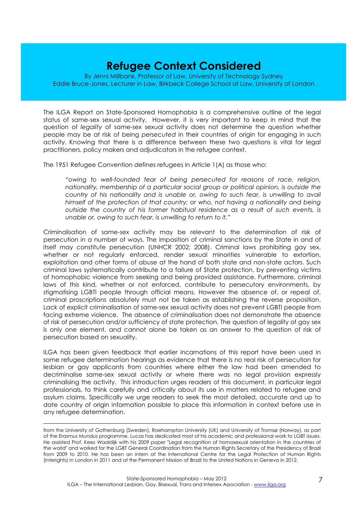### **Refugee Context Considered**

By Jenni Millbank, Professor of Law, University of Technology Sydney Eddie Bruce-Jones, Lecturer in Law, Birkbeck College School of Law, University of London

The ILGA Report on State-Sponsored Homophobia is a comprehensive outline of the legal status of same-sex sexual activity. However, it is very important to keep in mind that the question of *legality* of same-sex sexual activity does not determine the question whether people may be at risk of being *persecuted* in their countries of origin for engaging in such activity. Knowing that there is a difference between these two questions is vital for legal practitioners, policy makers and adjudicators in the refugee context.

The 1951 Refugee Convention defines refugees in Article 1(A) as those who:

*"owing to well-founded fear of being persecuted for reasons of race, religion, nationality, membership of a particular social group or political opinion, is outside the country of his nationality and is unable or, owing to such fear, is unwilling to avail himself of the protection of that country; or who, not having a nationality and being outside the country of his former habitual residence as a result of such events, is unable or, owing to such fear, is unwilling to return to it."* 

Criminalisation of same-sex activity may be relevant to the determination of risk of persecution in a number of ways. The imposition of criminal sanctions by the State in and of itself may constitute persecution (UNHCR 2002; 2008). Criminal laws prohibiting gay sex, whether or not regularly enforced, render sexual minorities vulnerable to extortion, exploitation and other forms of abuse at the hand of both state and non-state actors. Such criminal laws systematically contribute to a failure of State protection, by preventing victims of homophobic violence from seeking and being provided assistance. Furthermore, criminal laws of this kind, whether or not enforced, contribute to persecutory environments, by stigmatising LGBTI people through official means. However the absence of, or repeal of, criminal proscriptions absolutely must not be taken as establishing the reverse proposition. Lack of explicit criminalisation of same-sex sexual activity does not prevent LGBTI people from facing extreme violence. The absence of criminalisation does not demonstrate the absence of risk of persecution and/or sufficiency of state protection. The question of legality of gay sex is only one element, and cannot alone be taken as an answer to the question of risk of persecution based on sexuality.

ILGA has been given feedback that earlier incarnations of this report have been used in some refugee determination hearings as evidence that there is no real risk of persecution for lesbian or gay applicants from countries where either the law had been amended to decriminalise same-sex sexual activity or where there was no legal provision expressly criminalising the activity. This introduction urges readers of this document, in particular legal professionals, to think carefully and critically about its use in matters related to refugee and asylum claims. Specifically we urge readers to seek the most detailed, accurate and up to date country of origin information possible to place this information in context before use in any refugee determination.

 $\overline{a}$ from the University of Gothenburg (Sweden), Roehampton University (UK) and University of Tromsø (Norway), as part of the Erasmus Mundus programme. Lucas has dedicated most of his academic and professional work to LGBT issues. He assisted Prof. Kees Waaldijk with his 2009 *paper* "Legal recognition of homosexual orientation in the countries of the world" and worked for the LGBT General Coordination from the Human Rights Secretary of the Presidency of Brazil from 2009 to 2010. He has been an intern at the International Centre for the Legal Protection of Human Rights (Interights) in London in 2011 and at the Permanent Mission of Brazil to the United Nations in Geneva in 2012.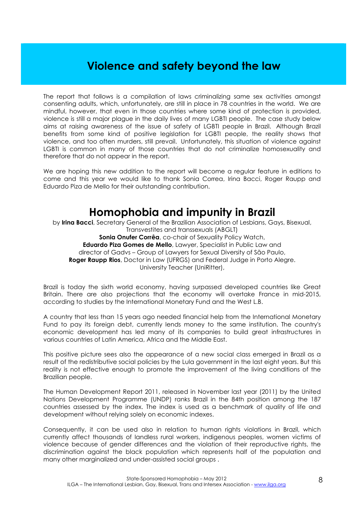### **Violence and safety beyond the law**

The report that follows is a compilation of laws criminalizing same sex activities amongst consenting adults, which, unfortunately, are still in place in 78 countries in the world. We are mindful, however, that even in those countries where some kind of protection is provided, violence is still a major plague in the daily lives of many LGBTI people. The case study below aims at raising awareness of the issue of safety of LGBTI people in Brazil. Although Brazil benefits from some kind of positive legislation for LGBTI people, the reality shows that violence, and too often murders, still prevail. Unfortunately, this situation of violence against LGBTI is common in many of those countries that do not criminalize homosexuality and therefore that do not appear in the report.

We are hoping this new addition to the report will become a regular feature in editions to come and this year we would like to thank Sonia Correa, Irina Bacci, Roger Raupp and Eduardo Piza de Mello for their outstanding contribution.

### **Homophobia and impunity in Brazil**

by **Irina Bacci**, Secretary General of the Brazilian Association of Lesbians, Gays, Bisexual, Transvestites and transsexuals (ABGLT) **Sonia Onufer Corrêa**, co-chair of Sexuality Policy Watch, **Eduardo Piza Gomes de Mello**, Lawyer, Specialist in Public Law and director of Gadvs – Group of Lawyers for Sexual Diversity of São Paulo, **Roger Raupp Rios**, Doctor in Law (UFRGS) and Federal Judge in Porto Alegre. University Teacher (UniRitter),

Brazil is today the sixth world economy, having surpassed developed countries like Great Britain. There are also projections that the economy will overtake France in mid-2015, according to studies by the International Monetary Fund and the West L.B.

A country that less than 15 years ago needed financial help from the International Monetary Fund to pay its foreign debt, currently lends money to the same institution. The country's economic development has led many of its companies to build great infrastructures in various countries of Latin America, Africa and the Middle East.

This positive picture sees also the appearance of a new social class emerged in Brazil as a result of the redistributive social policies by the Lula government in the last eight years. But this reality is not effective enough to promote the improvement of the living conditions of the Brazilian people.

The Human Development Report 2011, released in November last year (2011) by the United Nations Development Programme (UNDP) ranks Brazil in the 84th position among the 187 countries assessed by the index. The index is used as a benchmark of quality of life and development without relying solely on economic indexes.

Consequently, it can be used also in relation to human rights violations in Brazil, which currently affect thousands of landless rural workers, indigenous peoples, women victims of violence because of gender differences and the violation of their reproductive rights, the discrimination against the black population which represents half of the population and many other marginalized and under-assisted social groups .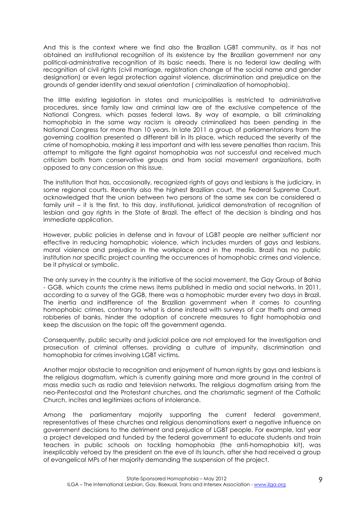And this is the context where we find also the Brazilian LGBT community, as it has not obtained an institutional recognition of its existence by the Brazilian government nor any political-administrative recognition of its basic needs. There is no federal law dealing with recognition of civil rights (civil marriage, registration change of the social name and gender designation) or even legal protection against violence, discrimination and prejudice on the grounds of gender identity and sexual orientation ( criminalization of homophobia).

The little existing legislation in states and municipalities is restricted to administrative procedures, since family law and criminal law are of the exclusive competence of the National Congress, which passes federal laws. By way of example, a bill criminalizing homophobia in the same way racism is already criminalized has been pending in the National Congress for more than 10 years. In late 2011 a group of parliamentarians from the governing coalition presented a different bill in its place, which reduced the severity of the crime of homophobia, making it less important and with less severe penalties than racism. This attempt to mitigate the fight against homophobia was not successful and received much criticism both from conservative groups and from social movement organizations, both opposed to any concession on this issue.

The institution that has, occasionally, recognized rights of gays and lesbians is the judiciary, in some regional courts. Recently also the highest Brazilian court, the Federal Supreme Court, acknowledged that the union between two persons of the same sex can be considered a family unit – it is the first, to this day, institutional, juridical demonstration of recognition of lesbian and gay rights in the State of Brazil. The effect of the decision is binding and has immediate application.

However, public policies in defense and in favour of LGBT people are neither sufficient nor effective in reducing homophobic violence, which includes murders of gays and lesbians, moral violence and prejudice in the workplace and in the media. Brazil has no public institution nor specific project counting the occurrences of homophobic crimes and violence, be it physical or symbolic.

The only survey in the country is the initiative of the social movement, the Gay Group of Bahia - GGB, which counts the crime news items published in media and social networks. In 2011, according to a survey of the GGB, there was a homophobic murder every two days in Brazil. The inertia and indifference of the Brazilian government when it comes to counting homophobic crimes, contrary to what is done instead with surveys of car thefts and armed robberies of banks, hinder the adoption of concrete measures to fight homophobia and keep the discussion on the topic off the government agenda.

Consequently, public security and judicial police are not employed for the investigation and prosecution of criminal offenses, providing a culture of impunity, discrimination and homophobia for crimes involving LGBT victims.

Another major obstacle to recognition and enjoyment of human rights by gays and lesbians is the religious dogmatism, which is currently gaining more and more ground in the control of mass media such as radio and television networks. The religious dogmatism arising from the neo-Pentecostal and the Protestant churches, and the charismatic segment of the Catholic Church, incites and legitimizes actions of intolerance.

Among the parliamentary majority supporting the current federal government, representatives of these churches and religious denominations exert a negative influence on government decisions to the detriment and prejudice of LGBT people. For example, last year a project developed and funded by the federal government to educate students and train teachers in public schools on tackling homophobia (the anti-homophobia kit), was inexplicably vetoed by the president on the eve of its launch, after she had received a group of evangelical MPs of her majority demanding the suspension of the project.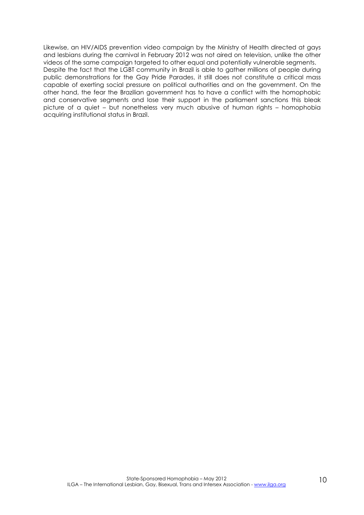Likewise, an HIV/AIDS prevention video campaign by the Ministry of Health directed at gays and lesbians during the carnival in February 2012 was not aired on television, unlike the other videos of the same campaign targeted to other equal and potentially vulnerable segments. Despite the fact that the LGBT community in Brazil is able to gather millions of people during public demonstrations for the Gay Pride Parades, it still does not constitute a critical mass capable of exerting social pressure on political authorities and on the government. On the other hand, the fear the Brazilian government has to have a conflict with the homophobic and conservative segments and lose their support in the parliament sanctions this bleak picture of a quiet – but nonetheless very much abusive of human rights – homophobia acquiring institutional status in Brazil.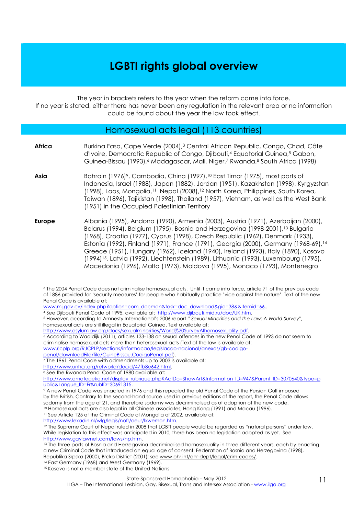### **LGBTI rights global overview**

The year in brackets refers to the year when the reform came into force.

If no year is stated, either there has never been any regulation in the relevant area or no information could be found about the year the law took effect.

#### Homosexual acts legal (113 countries)

| Africa        | Burkina Faso, Cape Verde (2004), <sup>3</sup> Central African Republic, Congo, Chad, Côte<br>d'Ivoire, Democratic Republic of Congo, Djibouti, <sup>4</sup> Equatorial Guinea, <sup>5</sup> Gabon,<br>Guinea-Bissau (1993), <sup>6</sup> Madagascar, Mali, Niger,7 Rwanda,8 South Africa (1998)                                                                                                                                                                                                                                                                                                                                   |
|---------------|-----------------------------------------------------------------------------------------------------------------------------------------------------------------------------------------------------------------------------------------------------------------------------------------------------------------------------------------------------------------------------------------------------------------------------------------------------------------------------------------------------------------------------------------------------------------------------------------------------------------------------------|
| Asia          | Bahrain (1976) <sup>9</sup> , Cambodia, China (1997), <sup>10</sup> East Timor (1975), most parts of<br>Indonesia, Israel (1988), Japan (1882), Jordan (1951), Kazakhstan (1998), Kyrgyzstan<br>(1998), Laos, Mongolia, <sup>11</sup> Nepal (2008), <sup>12</sup> North Korea, Philippines, South Korea,<br>Taiwan (1896), Tajikistan (1998), Thailand (1957), Vietnam, as well as the West Bank<br>(1951) in the Occupied Palestinian Territory                                                                                                                                                                                  |
| <b>Europe</b> | Albania (1995), Andorra (1990), Armenia (2003), Austria (1971), Azerbaijan (2000),<br>Belarus (1994), Belgium (1795), Bosnia and Herzegovina (1998-2001), <sup>13</sup> Bulgaria<br>(1968), Croatia (1977), Cyprus (1998), Czech Republic (1962), Denmark (1933),<br>Estonia (1992), Finland (1971), France (1791), Georgia (2000), Germany (1968-69), 14<br>Greece (1951), Hungary (1962), Iceland (1940), Ireland (1993), Italy (1890), Kosovo<br>(1994) <sup>15</sup> , Latvia (1992), Liechtenstein (1989), Lithuania (1993), Luxembourg (1795),<br>Macedonia (1996), Malta (1973), Moldova (1995), Monaco (1793), Montenegro |

 $\overline{a}$ <sup>3</sup> The 2004 Penal Code does not criminalise homosexual acts. Until it came into force, article 71 of the previous code of 1886 provided for 'security measures' for people who habitually practice 'vice against the nature'. Text of the new Penal Code is available at:

http://www.asylumlaw.org/docs/sexualminorities/World%20SurveyAIhomosexuality.pdf.

http://www.amategeko.net/display\_rubrique.php?ActDo=ShowArt&Information\_ID=947&Parent\_ID=3070640&type=p ublic&Langue\_ID=Fr&rubID=30691315.

<sup>11</sup> See Article 125 of the Criminal Code of Mongolia of 2002, available at:

http://www.lexadin.nl/wlg/legis/nofr/oeur/lxwemon.htm.

www.mj.gov.cv/index.php?option=com\_docman&task=doc\_download&gid=38&&Itemid=66.

<sup>4</sup> See Djibouti Penal Code of 1995, available at: http://www.djibouti.mid.ru/doc/UK.htm.

<sup>5</sup> However, according to Amnesty International's 2006 report " *Sexual Minorities and the Law: A World Survey",* homosexual acts are still illegal in Equatorial Guinea. Text available at:

<sup>6</sup> According to Waaldijk (2011), articles 133-138 on sexual offences in the new Penal Code of 1993 do not seem to criminalise homosexual acts more than heterosexual acts (Text of the law is available at: www.rjcplp.org/RJCPLP/sections/informacao/legislacao-nacional/anexos/gb-codigo-

penal/downloadFile/file/GuineBissau.CodigoPenal.pdf).

 $\frac{1}{7}$  The 1961 Penal Code with admendments up to 2003 is available at:

http://www.unhcr.org/refworld/docid/47fb8e642.html.

<sup>&</sup>lt;sup>8</sup> See the Rwanda Penal Code of 1980 available at:

<sup>9</sup> A new Penal Code was enacted in 1976 and this repealed the old Penal Code of the Persian Gulf imposed by the British. Contrary to the second-hand source used in previous editions of the report, the Penal Code allows sodomy from the age of 21, and therefore sodomy was decriminalised as of adoption of the new code.

<sup>10</sup> Homosexual acts are also legal in all Chinese associates; Hong Kong (1991) and Macau (1996).

<sup>&</sup>lt;sup>12</sup> The Supreme Court of Nepal ruled in 2008 that LGBTI people would be regarded as "natural persons" under law. While legislation to this effect was anticipated in 2010, there has been no legislation adopted as yet. See http://www.gaylawnet.com/laws/np.htm.

<sup>13</sup> The three parts of Bosnia and Herzegovina decriminalised homosexuality in three different years, each by enacting a new Criminal Code that introduced an equal age of consent: Federation of Bosnia and Herzegovina (1998), Republika Srpska (2000), Brcko District (2001); see www.ohr.int/ohr-dept/legal/crim-codes/.

<sup>14</sup> East Germany (1968) and West Germany (1969).

<sup>&</sup>lt;sup>15</sup> Kosovo is not a member state of the United Nations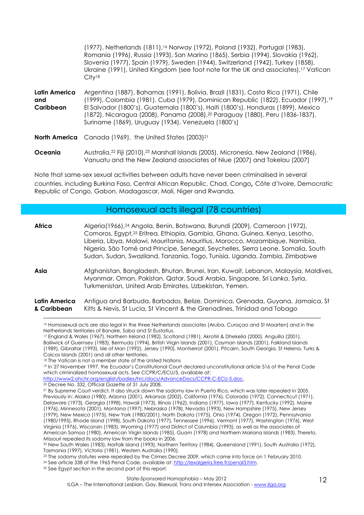|                                   | (1977), Netherlands (1811), <sup>16</sup> Norway (1972), Poland (1932), Portugal (1983),<br>Romania (1996), Russia (1993), San Marino (1865), Serbia (1994), Slovakia (1962),<br>Slovenia (1977), Spain (1979), Sweden (1944), Switzerland (1942), Turkey (1858),<br>Ukraine (1991), United Kingdom (see foot note for the UK and associates), <sup>17</sup> Vatican<br>City <sup>18</sup>                                    |
|-----------------------------------|-------------------------------------------------------------------------------------------------------------------------------------------------------------------------------------------------------------------------------------------------------------------------------------------------------------------------------------------------------------------------------------------------------------------------------|
| Latin America<br>and<br>Caribbean | Argentina (1887), Bahamas (1991), Bolivia, Brazil (1831), Costa Rica (1971), Chile<br>(1999), Colombia (1981), Cuba (1979), Dominican Republic (1822), Ecuador (1997), <sup>19</sup><br>El Salvador (1800's), Guatemala (1800's), Haiti (1800's), Honduras (1899), Mexico<br>(1872), Nicaragua (2008), Panama (2008), <sup>20</sup> Paraguay (1880), Peru (1836-1837),<br>Suriname (1869), Uruguay (1934), Venezuela (1800's) |
|                                   | <b>North America</b> Canada (1969), the United States (2003) <sup>21</sup>                                                                                                                                                                                                                                                                                                                                                    |
| Oceania                           | Australia, <sup>22</sup> Fiji (2010), <sup>23</sup> Marshall Islands (2005), Micronesia, New Zealand (1986),<br>Vanuatu and the New Zealand associates of Niue (2007) and Tokelau (2007)                                                                                                                                                                                                                                      |

Note that same-sex sexual activities between adults have never been criminalised in several countries, including Burkina Faso, Central African Republic, Chad, Congo**,** Côte d'Ivoire, Democratic Republic of Congo, Gabon, Madagascar, Mali, Niger and Rwanda.

#### Homosexual acts illegal (78 countries)

| Africa                       | Algeria(1966), <sup>24</sup> Angola, Benin, Botswana, Burundi (2009), Cameroon (1972),<br>Comoros, Egypt, <sup>25</sup> Eritrea, Ethiopia, Gambia, Ghana, Guinea, Kenya, Lesotho,<br>Liberia, Libya, Malawi, Mauritania, Mauritius, Morocco, Mozambique, Namibia,<br>Nigeria, São Tomé and Principe, Senegal, Seychelles, Sierra Leone, Somalia, South<br>Sudan, Sudan, Swaziland, Tanzania, Togo, Tunisia, Uganda, Zambia, Zimbabwe |
|------------------------------|--------------------------------------------------------------------------------------------------------------------------------------------------------------------------------------------------------------------------------------------------------------------------------------------------------------------------------------------------------------------------------------------------------------------------------------|
| Asia                         | Afghanistan, Bangladesh, Bhutan, Brunei, Iran, Kuwait, Lebanon, Malaysia, Maldives,<br>Myanmar, Oman, Pakistan, Qatar, Saudi Arabia, Singapore, Sri Lanka, Syria,<br>Turkmenistan, United Arab Emirates, Uzbekistan, Yemen.                                                                                                                                                                                                          |
| Latin America<br>& Caribbean | Antigua and Barbuda, Barbados, Belize, Dominica, Grenada, Guyana, Jamaica, St<br>Kitts & Nevis, St Lucia, St Vincent & the Grenadines, Trinidad and Tobago                                                                                                                                                                                                                                                                           |

 $\overline{a}$ <sup>16</sup> Homosexual acts are also legal in the three Netherlands associates (Aruba, Curaçao and St Maarten) and in the Netherlands territories of Bonaire, Saba and St Eustatius.

<sup>17</sup> England & Wales (1967), Northern Ireland (1982), Scotland (1981), Akrotiri & Dhekelia (2000), Anguilla (2001), Bailiwick of Guernsey (1983), Bermuda (1994), British Virgin Islands (2001), Cayman Islands (2001), Falkland Islands (1989), Gibraltar (1993), Isle of Man (1992), Jersey (1990), Montserrat (2001), Pitcairn, South Georgia, St Helena, Turks & Caicos Islands (2001) and all other territories.

http://www2.ohchr.org/english/bodies/hrc/docs/AdvanceDocs/CCPR-C-ECU-5.doc.

<sup>23</sup> The sodomy statutes were repealed by the Crimes Decree 2009, which came into force on 1 February 2010.

<sup>24</sup> See article 338 of the 1965 Penal Code, available at: http://lexalgeria.free.fr/penal3.htm.

<sup>&</sup>lt;sup>18</sup> The Vatican is not a member state of the United Nations

<sup>19</sup> In 27 November 1997, the Ecuador's Constitutional Court declared unconstitutional article 516 of the Penal Code which criminalized homosexual acts. See CCPR/C/ECU/5, available at:

<sup>&</sup>lt;sup>20</sup> Decree No. 332, Official Gazette of 31 July 2008.

<sup>&</sup>lt;sup>21</sup> By Supreme Court verdict. It also struck down the sodomy law in Puerto Rico, which was later repealed in 2005. Previously in: Alaska (1980), Arizona (2001), Arkansas (2002), California (1976), Colorado (1972), Connecticut (1971), Delaware (1973), Georgia (1998), Hawaii (1973), Illinois (1962), Indiana (1977), Iowa (1977), Kentucky (1992), Maine (1976), Minnesota (2001), Montana (1997), Nebraska (1978), Nevada (1993), New Hampshire (1975), New Jersey (1979), New Mexico (1975), New York (1980/2001), North Dakota (1975), Ohio (1974), Oregon (1972), Pennsylvania (1980/1995), Rhode Island (1998), South Dakota (1977), Tennessee (1996), Vermont (1977), Washington (1976), West Virginia (1976), Wisconsin (1983), Wyoming (1977) and District of Columbia (1993), as well as the associates of American Samoa (1980), American Virgin Islands (1985), Guam (1978) and Northern Mariana Islands (1983). Thereto, Missouri repealed its sodomy law from the books in 2006.

<sup>22</sup> New South Wales (1983), Norfolk Island (1993), Northern Territory (1984), Queensland (1991), South Australia (1972), Tasmania (1997), Victoria (1981), Western Australia (1990).

<sup>&</sup>lt;sup>25</sup> See Egypt section in the second part of this report.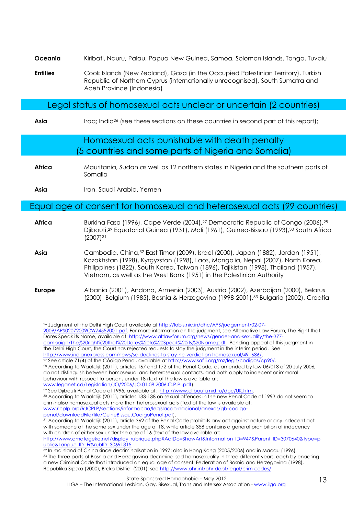- **Oceania** Kiribati, Nauru, Palau, Papua New Guinea, Samoa, Solomon Islands, Tonga, Tuvalu
- **Entities** Cook Islands (New Zealand), Gaza (in the Occupied Palestinian Territory), Turkish Republic of Northern Cyprus (internationally unrecognised), South Sumatra and Aceh Province (Indonesia)

#### Legal status of homosexual acts unclear or uncertain (2 countries)

Asia **I**Iraq; India<sup>26</sup> (see these sections on these countries in second part of this report);

#### Homosexual acts punishable with death penalty (5 countries and some parts of Nigeria and Somalia)

**Africa** Mauritania, Sudan as well as 12 northern states in Nigeria and the southern parts of Somalia

**Asia** Iran, Saudi Arabia, Yemen

#### Equal age of consent for homosexual and heterosexual acts (99 countries)

| Africa | Burking Faso (1996), Cape Verde (2004), <sup>27</sup> Democratic Republic of Congo (2006), <sup>28</sup><br>Djibouti, <sup>29</sup> Equatorial Guinea (1931), Mali (1961), Guinea-Bissau (1993), <sup>30</sup> South Africa<br>$(2007)^{31}$                             |
|--------|--------------------------------------------------------------------------------------------------------------------------------------------------------------------------------------------------------------------------------------------------------------------------|
| Asia   | Cambodia, China, <sup>32</sup> East Timor (2009), Israel (2000), Japan (1882), Jordan (1951),<br>Kazakhstan (1998), Kyrgyzstan (1998), Laos, Mongolia, Nepal (2007), North Korea,<br>Philippines (1822), South Korea, Taiwan (1896), Tajikistan (1998), Thailand (1957), |

**Europe** Albania (2001), Andorra, Armenia (2003), Austria (2002), Azerbaijan (2000), Belarus (2000), Belgium (1985), Bosnia & Herzegovina (1998-2001),33 Bulgaria (2002), Croatia

Vietnam, as well as the West Bank (1951) in the Palestinian Authority

<sup>30</sup> According to Waaldijk (2011), articles 133-138 on sexual offences in the new Penal Code of 1993 do not seem to criminalise homosexual acts more than heterosexual acts (Text of the law is available at: www.rjcplp.org/RJCPLP/sections/informacao/legislacao-nacional/anexos/gb-codigopenal/downloadFile/file/GuineBissau.CodigoPenal.pdf).

 $\overline{a}$ <sup>26</sup> Judgment of the Delhi High Court available at http://lobis.nic.in/dhc/APS/judgement/02-07- 2009/APS02072009CW74552001.pdf. For more information on the judgment, see Alternative Law Forum, The Right that Dares Speak its Name, available at: http://www.altlawforum.org/news/gender-and-sexuality/the-377 campaign/The%20right%20that%20Dares%20to%20Speak%20its%20Name.pdf. Pending appeal of this judgment in

the Delhi High Court, the Court has rejected requests to stay the judgment in the interim period. See http://www.indianexpress.com/news/sc-declines-to-stay-hc-verdict-on-homosexual/491686/.

<sup>27</sup> See article 71(4) of the Código Penal, available at http://www.saflii.org/mz/legis/codigos/cp90/.

<sup>&</sup>lt;sup>28</sup> According to Waaldijk (2011), articles 167 and 172 of the Penal Code, as amended by law 06/018 of 20 July 2006, do not distinguish between homosexual and heterosexual contacts, and both apply to indecent or immoral behaviour with respect to persons under 18 (text of the law is available at: www.leganet.cd/Legislation/JO/2006/JO.01.08.2006.C.P.P..pdf).

<sup>&</sup>lt;sup>29</sup> See Djibouti Penal Code of 1995, available at: http://www.djibouti.mid.ru/doc/UK.htm.

<sup>31</sup> According to Waaldijk (2011), article 362 of the Penal Code prohibits any act against nature or any indecent act with someone of the same sex under the age of 18, while article 358 contains a general prohibition of indecency with children of either sex under the age of 16 (text of the law available at:

http://www.amategeko.net/display\_rubrique.php?ActDo=ShowArt&Information\_ID=947&Parent\_ID=3070640&type=p ublic&Langue\_ID=Fr&rubID=30691315

<sup>32</sup> In mainland of China since decriminalisation in 1997; also in Hong Kong (2005/2006) and in Macau (1996). <sup>33</sup> The three parts of Bosnia and Herzegovina decriminalised homosexuality in three different years, each by enacting a new Criminal Code that introduced an equal age of consent: Federation of Bosnia and Herzegovina (1998), Republika Srpska (2000), Brcko District (2001); see http://www.ohr.int/ohr-dept/legal/crim-codes/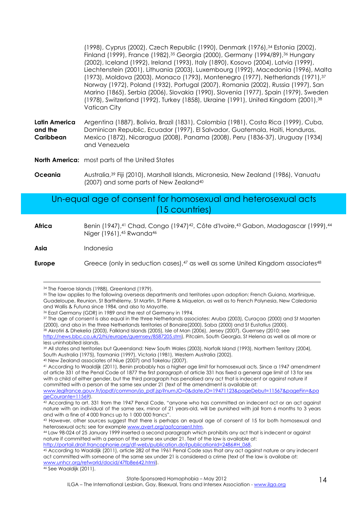(1998), Cyprus (2002), Czech Republic (1990), Denmark (1976),34 Estonia (2002), Finland (1999), France (1982),35 Georgia (2000), Germany (1994/89),36 Hungary (2002), Iceland (1992), Ireland (1993), Italy (1890), Kosovo (2004), Latvia (1999), Liechtenstein (2001), Lithuania (2003), Luxembourg (1992), Macedonia (1996), Malta (1973), Moldova (2003), Monaco (1793), Montenegro (1977), Netherlands (1971),<sup>37</sup> Norway (1972), Poland (1932), Portugal (2007), Romania (2002), Russia (1997), San Marino (1865), Serbia (2006), Slovakia (1990), Slovenia (1977), Spain (1979), Sweden (1978), Switzerland (1992), Turkey (1858), Ukraine (1991), United Kingdom (2001),<sup>38</sup> Vatican City

**Latin America and the Caribbean**  Argentina (1887), Bolivia, Brazil (1831), Colombia (1981), Costa Rica (1999), Cuba, Dominican Republic, Ecuador (1997), El Salvador, Guatemala, Haiti, Honduras, Mexico (1872), Nicaragua (2008), Panama (2008), Peru (1836-37), Uruguay (1934) and Venezuela

**North America:** most parts of the United States

**Oceania** Australia,<sup>39</sup> Fiji (2010), Marshall Islands, Micronesia, New Zealand (1986), Vanuatu (2007) and some parts of New Zealand<sup>40</sup>

#### Un-equal age of consent for homosexual and heterosexual acts (15 countries)

Africa Benin (1947), <sup>41</sup> Chad, Congo (1947)<sup>42</sup>, Côte d'Ivoire, <sup>43</sup> Gabon, Madagascar (1999), <sup>44</sup> Niger (1961), <sup>45</sup> Rwanda<sup>46</sup>

**Asia** Indonesia

 $\overline{a}$ 

**Europe** Greece (only in seduction cases), <sup>47</sup> as well as some United Kingdom associates<sup>48</sup>

<sup>40</sup> New Zealand associates of Niue (2007) and Tokelau (2007).

46 See Waaldijk (2011).

<sup>34</sup> The Faeroe Islands (1988), Greenland (1979).

<sup>35</sup> The law applies to the following overseas departments and territories upon adoption: French Guiana, Martinique, Guadeloupe, Reunion, St Barthélemy, St Martin, St Pierre & Miquelon, as well as to French Polynesia, New Caledonia and Wallis & Futuna since 1984, and also to Mayotte.

<sup>36</sup> East Germany (GDR) in 1989 and the rest of Germany in 1994.

<sup>37</sup> The age of consent is also equal in the three Netherlands associates: Aruba (2003), Curaçao (2000) and St Maarten (2000), and also in the three Netherlands territories of Bonaire(2000), Saba (2000) and St Eustatius (2000).

<sup>38</sup> Akrotiri & Dhekelia (2003), Falkland Islands (2005), Isle of Man (2006), Jersey (2007), Guernsey (2010; see http://news.bbc.co.uk/2/hi/europe/guernsey/8587205.stm), Pitcairn, South Georgia, St Helena as well as all more or less uninhabited islands.

<sup>39</sup> All states and territories but Queensland: New South Wales (2003), Norfolk Island (1993), Northern Territory (2004), South Australia (1975), Tasmania (1997), Victoria (1981), Western Australia (2002).

<sup>41</sup> According to Waaldijk (2011), Benin probably has a higher age limit for homosexual acts. Since a 1947 amendment of article 331 of the Penal Code of 1877 the first paragraph of article 331 has fixed a general age limit of 13 for sex with a child of either gender, but the third paragraph has penalised any act that is indecent or against nature if committed with a person of the same sex under 21 (text of the amendment is available at: www.legifrance.gouv.fr/jopdf/common/jo\_pdf.jsp?numJO=0&dateJO=19471123&pageDebut=11567&pageFin=&pa geCourante=11569).

<sup>42</sup> According to art. 331 from the 1947 Penal Code, "anyone who has committed an indecent act or an act against nature with an individual of the same sex, minor of 21 years-old, will be punished with jail from 6 months to 3 years and with a fine of 4 000 francs up to 1 000 000 francs".

<sup>43</sup> However, other sources suggest that there is perhaps an equal age of consent of 15 for both homosexual and heterosexual acts; see for example www.avert.org/aofconsent.htm.

<sup>44</sup> Law 98-024 of 25 January 1999 inserted a second paragraph which prohibits any act that is indecent or against nature if committed with a person of the same sex under 21. Text of the law is available at:

http://portail.droit.francophonie.org/df-web/publication.do?publicationId=2486#H\_068.

<sup>45</sup> According to Waaldijk (2011), article 282 of the 1961 Penal Code says that any act against nature or any indecent act committed with someone of the same sex under 21 is considered a crime (text of the law is availabe at: www.unhcr.org/refworld/docid/47fb8e642.html).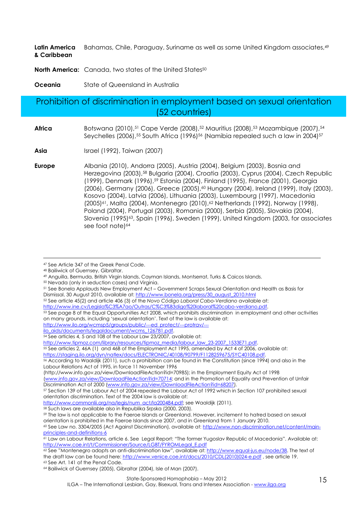**Latin America & Caribbean**  Bahamas, Chile, Paraguay, Suriname as well as some United Kingdom associates,<sup>49</sup>

**North America:** Canada, two states of the United States<sup>50</sup>

**Oceania** State of Queensland in Australia

#### Prohibition of discrimination in employment based on sexual orientation (52 countries)

- **Africa** Botswana (2010),<sup>51</sup> Cape Verde (2008),<sup>52</sup> Mauritius (2008),<sup>53</sup> Mozambique (2007),<sup>54</sup> Seychelles (2006),<sup>55</sup> South Africa (1996)<sup>56</sup> (Namibia repealed such a law in 2004)<sup>57</sup>
- **Asia** Israel (1992), Taiwan (2007)
- **Europe** Albania (2010), Andorra (2005), Austria (2004), Belgium (2003), Bosnia and Herzegovina (2003),58 Bulgaria (2004), Croatia (2003), Cyprus (2004), Czech Republic (1999), Denmark (1996),59 Estonia (2004), Finland (1995), France (2001), Georgia (2006), Germany (2006), Greece (2005),<sup>60</sup> Hungary (2004), Ireland (1999), Italy (2003), Kosovo (2004), Latvia (2006), Lithuania (2003), Luxembourg (1997), Macedonia (2005)<sup>61</sup>, Malta (2004), Montenegro (2010),<sup>62</sup> Netherlands (1992), Norway (1998), Poland (2004), Portugal (2003), Romania (2000), Serbia (2005), Slovakia (2004), Slovenia (1995)<sup>63</sup>, Spain (1996), Sweden (1999), United Kingdom (2003, for associates see foot notel<sup>64</sup>

 $\overline{a}$ 

<sup>52</sup> See article 45(2) and article 406 (3) of the *Novo Código Laboral Cabo-Verdiano* available at:

http://www.ine.cv/Legisla%C3%A7ao/Outras/C%C3%B3digo%20laboral%20cabo-verdiano.pdf.

http://www.ilo.org/wcmsp5/groups/public/---ed\_protect/---protrav/---

ilo\_aids/documents/legaldocument/wcms\_126781.pdf.

http://www.tipmoz.com/library/resources/tipmoz\_media/labour\_law\_23-2007\_1533E71.pdf.

<sup>55</sup> See articles 2, 46A (1) and 46B of the Employment Act 1995, amended by Act 4 of 2006, available at:

https://staging.ilo.org/dyn/natlex/docs/ELECTRONIC/40108/90799/F1128259675/SYC40108.pdf.

<sup>56</sup> According to Waaldijk (2011), such a prohibition can be found in the Constitution (since 1994) and also in the Labour Relations Act of 1995, in force 11 November 1996 (http://www.info.gov.za/view/DownloadFileAction?id=70985); in the Employment Equity Act of 1998

(www.info.gov.za/view/DownloadFileAction?id=70714; and in the Promotion of Equality and Prevention of Unfair Discrimination Act of 2000 (www.info.gov.za/view/DownloadFileAction?id=68207).

<sup>47</sup> See Article 347 of the Greek Penal Code.

<sup>48</sup> Bailiwick of Guernsey, Gibraltar.

<sup>49</sup> Anguilla, Bermuda, British Virgin Islands, Cayman Islands, Montserrat, Turks & Caicos Islands.

<sup>50</sup> Nevada (only in seduction cases) and Virginia.

<sup>51</sup> See Bonela Applauds New Employment Act – Government Scraps Sexual Orientation and Health as Basis for

Dismissal, 30 August 2010, available at: http://www.bonela.org/press/30\_august\_2010.html

<sup>53</sup> See page 8 of the Equal Opportunities Act 2008, which prohibits discrimination in employment and other activities on many grounds, including 'sexual orientation'. Text of the law is available at:

<sup>54</sup> See articles 4, 5 and 108 of the Labour Law 23/2007, available at:

<sup>57</sup> Section 139 of the Labour Act of 2004 repealed the Labour Act of 1992 which in Section 107 prohibited sexual orientation discrimination. Text of the 2004 law is available at:

http://www.commonlii.org/na/legis/num\_act/la200484.pdf; see Waaldijk (2011).

<sup>58</sup> Such laws are available also in Republika Srpska (2000, 2003).

<sup>59</sup> The law is not applicable to the Faeroe Islands or Greenland. However, incitement to hatred based on sexual orientation is prohibited in the Faeroe Islands since 2007, and in Greenland from 1 January 2010.

<sup>60</sup> See Law no. 3304/2005 (Act Against Discrimination), available at: http://www.non-discrimination.net/content/mainprinciples-and-definitions-6

<sup>61</sup> Law on Labour Relations, article 6. See Legal Report: "The former Yugoslav Republic of Macedonia". Available at: http://www.coe.int/t/Commissioner/Source/LGBT/FYROMLegal\_E.pdf

<sup>62</sup> See "Montenegro adopts an anti-discrimination law", available at: http://www.equal-jus.eu/node/38. The text of the draft law can be found here: http://www.venice.coe.int/docs/2010/CDL(2010)024-e.pdf , see article 19. <sup>63</sup> See Art. 141 of the Penal Code.

<sup>64</sup> Bailiwick of Guernsey (2005), Gibraltar (2004), Isle of Man (2007).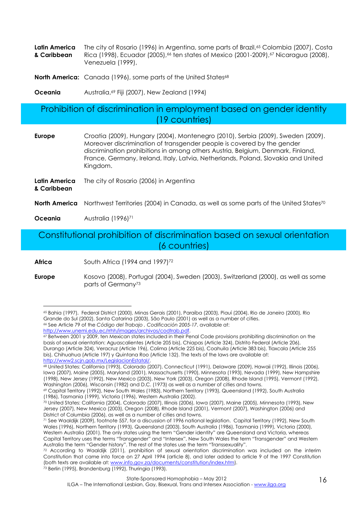|             | Latin America The city of Rosario (1996) in Argentina, some parts of Brazil, <sup>65</sup> Colombia (2007), Costa |
|-------------|-------------------------------------------------------------------------------------------------------------------|
| & Caribbean | Rica (1998), Ecuador (2005), 66 ten states of Mexico (2001-2009), 67 Nicaragua (2008),                            |
|             | Venezuela (1999),                                                                                                 |

**North America:** Canada (1996), some parts of the United States<sup>68</sup>

**Oceania Australia, <sup>69</sup> Fiji (2007), New Zealand (1994)** 

#### Prohibition of discrimination in employment based on gender identity (19 countries)

| <b>Europe</b>                | Croatia (2009), Hungary (2004), Montenegro (2010), Serbia (2009), Sweden (2009).<br>Moreover discrimination of transgender people is covered by the gender<br>discrimination prohibitions in among others Austria, Belgium, Denmark, Finland,<br>France, Germany, Ireland, Italy, Latvia, Netherlands, Poland, Slovakia and United<br>Kingdom. |
|------------------------------|------------------------------------------------------------------------------------------------------------------------------------------------------------------------------------------------------------------------------------------------------------------------------------------------------------------------------------------------|
| Latin America<br>& Caribbean | The city of Rosario (2006) in Argentina                                                                                                                                                                                                                                                                                                        |
| North America                | Northwest Territories (2004) in Canada, as well as some parts of the United States <sup>70</sup>                                                                                                                                                                                                                                               |

**Oceania Australia (1996)<sup>71</sup>** 

 $\overline{a}$ 

Constitutional prohibition of discrimination based on sexual orientation (6 countries)

**Africa** South Africa (1994 and 1997)<sup>72</sup>

**Europe** Kosovo (2008), Portugal (2004), Sweden (2003), Switzerland (2000), as well as some parts of Germany<sup>73</sup>

<sup>65</sup> Bahia (1997), Federal District (2000), Minas Gerais (2001), Paraíba (2003), Piauí (2004), Rio de Janeiro (2000), Rio Grande do Sul (2002), Santa Catarina (2003), São Paulo (2001) as well as a number of cities. <sup>66</sup> See Article 79 of the *Código del Trabajo , Codificación 2005-17*, available at:

http://www.unemi.edu.ec/rrhh/images/archivos/codtrab.pdf.

<sup>67</sup> Between 2001 y 2009, ten Mexican states included in their Penal Code provisions prohibiting discrimination on the basis of sexual orientation: Aguascalientes (Article 205 bis), Chiapas (Article 324), Distrito Federal (Article 206), Durango (Article 324), Veracruz (Article 196), Colima (Article 225 bis), Coahuila (Article 383 bis), Tlaxcala (Article 255 bis), Chihuahua (Article 197) y Quintana Roo (Article 132). The texts of the laws are available at: http://www2.scjn.gob.mx/LegislacionEstatal/.

<sup>&</sup>lt;sup>68</sup> United States: California (1993), Colorado (2007), Connecticut (1991), Delaware (2009), Hawaii (1992), Illinois (2006), Iowa (2007), Maine (2005), Maryland (2001), Massachusetts (1990), Minnesota (1993), Nevada (1999), New Hampshire (1998), New Jersey (1992), New Mexico (2003), New York (2003), Oregon (2008), Rhode Island (1995), Vermont (1992), Washington (2006), Wisconsin (1982) and D.C. (1973) as well as a number of cities and towns.

<sup>69</sup> Capital Territory (1992), New South Wales (1983), Northern Territory (1993), Queensland (1992), South Australia (1986), Tasmania (1999), Victoria (1996), Western Australia (2002).

<sup>70</sup> United States: California (2004), Colorado (2007), Illinois (2006), Iowa (2007), Maine (2005), Minnesota (1993), New Jersey (2007), New Mexico (2003), Oregon (2008), Rhode Island (2001), Vermont (2007), Washington (2006) and District of Columbia (2006), as well as a number of cities and towns.

<sup>71</sup> See Waaldijk (2009), footnote 557, for a discussion of 1996 national legislation. Capital Territory (1992), New South Wales (1996), Northern Territory (1993), Queensland (2003), South Australia (1986), Tasmania (1999), Victoria (2000), Western Australia (2001). The only states using the term "Gender identity" are Queensland and Victoria, whereas Capital Territory uses the terms "Transgender" and "Intersex", New South Wales the term "Transgender" and Western Australia the term "Gender history". The rest of the states use the term "Transsexuality".

<sup>72</sup> According to Waaldijk (2011), prohibition of sexual orientation discrimination was included on the interim Constitution that came into force on 27 April 1994 (article 8), and later added to article 9 of the 1997 Constitution (both texts are available at: www.info.gov.za/documents/constitution/index.htm).  $73$  Berlin (1995), Brandenburg (1992), Thuringia (1993).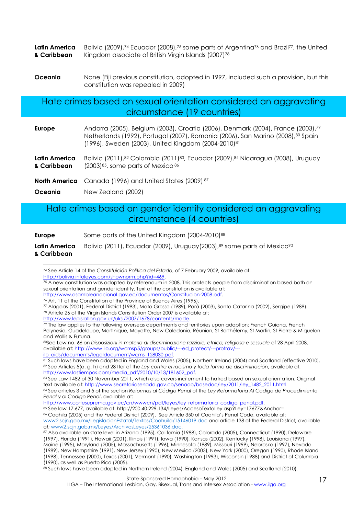|             | <b>Latin America</b> Bolivia (2009), <sup>74</sup> Ecuador (2008), <sup>75</sup> some parts of Argentina <sup>76</sup> and Brazil <sup>77</sup> , the United |
|-------------|--------------------------------------------------------------------------------------------------------------------------------------------------------------|
| & Caribbean | Kingdom associate of British Virgin Islands (2007) <sup>78</sup>                                                                                             |

**Oceania** None (Fiji previous constitution, adopted in 1997, included such a provision, but this constitution was repealed in 2009)

Hate crimes based on sexual orientation considered an aggravating circumstance (19 countries)

| Europe | Andorra (2005), Belgium (2003), Croatia (2006), Denmark (2004), France (2003), 79 |
|--------|-----------------------------------------------------------------------------------|
|        | Netherlands (1992), Portugal (2007), Romania (2006), San Marino (2008), 80 Spain  |
|        | $(1996)$ , Sweden (2003), United Kingdom (2004-2010) <sup>81</sup>                |
|        |                                                                                   |

**Latin America & Caribbean**  Bolivia (2011),<sup>82</sup> Colombia (2011)<sup>83</sup>, Ecuador (2009),<sup>84</sup> Nicaragua (2008), Uruguay  $(2003)^{85}$ , some parts of Mexico  $86$ 

**North America** Canada (1996) and United States (2009)<sup>87</sup>

**Oceania** New Zealand (2002)

#### Hate crimes based on gender identity considered an aggravating circumstance (4 countries)

**Europe** Some parts of the United Kingdom (2004-2010)<sup>88</sup> **Latin America & Caribbean**  Bolivia (2011), Ecuador (2009), Uruguay(2003), 89 some parts of Mexico<sup>90</sup>

http://www.asambleanacional.gov.ec/documentos/Constitucion-2008.pdf.

http://www.legislation.gov.uk/uksi/2007/1678/contents/made.

<sup>79</sup> The law applies to the following overseas departments and territories upon adoption: French Guiana, French Polynesia, Guadeloupe, Martinique, Mayotte, New Caledonia, Réunion, St Barthélemy, St Martin, St Pierre & Miquelon and Wallis & Futuna.

<sup>80</sup>See Law no. 66 on *Disposizioni in materia di discriminazione razziale, etnica, religiosa e sessuale* of 28 April 2008, available at: http://www.ilo.org/wcmsp5/groups/public/---ed\_protect/---protrav/---

ilo\_aids/documents/legaldocument/wcms\_128030.pdf.

<sup>81</sup> Such laws have been adopted in England and Wales (2005), Northern Ireland (2004) and Scotland (effective 2010). <sup>82</sup> See Articles 5(a, g, h) and 281ter of the *Ley contra el racismo y toda forma de discriminación*, available at: http://www.lostiempos.com/media\_pdf/2010/10/13/181602\_pdf.

83 See Law 1482 of 30 November 2011, which also covers incitement to hatred based on sexual orientation. Original text available at: http://www.secretariasenado.gov.co/senado/basedoc/ley/2011/ley\_1482\_2011.html

<sup>84</sup> See articles 3 and 5 of the section *Reformas al Código Penal* of the *Ley Reformatoria Al Codigo de Procedimiento Penal y al Codigo Penal*, available at:

http://www.cortesuprema.gov.ec/cn/wwwcn/pdf/leyes/ley\_reformatoria\_codigo\_penal.pdf.

<sup>85</sup> See law 17.677, available at: http://200.40.229.134/Leyes/AccesoTextoLey.asp?Ley=17677&Anchor=

86 Coahila (2005) and the Federal District (2009). See Article 350 of Coahila's Penal Code, available at: www2.scjn.gob.mx/LegislacionEstatal/Textos/Coahuila/15146019.doc and article 138 of the Federal District*,* available a*t:* www2.scjn.gob.mx/Leyes/ArchivosLeyes/25361036.doc.

 $\overline{a}$ <sup>74</sup> See Article 14 of the *Constituición Política del Estado*, of 7 February 2009, available at: http://bolivia.infoleyes.com/shownorm.php?id=469.

 $75$  A new constitution was adopted by referendum in 2008. This protects people from discrimination based both on sexual orientation and gender identity. Text of the constitution is available at:

 $\frac{76}{10}$  Art. 11 of the Constitution of the Province of Buenos Aires (1996).

<sup>77</sup> Alagoas (2001), Federal District (1993), Mato Grosso (1989), Pará (2003), Santa Catarina (2002), Sergipe (1989). <sup>78</sup> Article 26 of the Virgin Islands Constitution Order 2007 is available at:

<sup>87</sup> Also available on state level in Arizona (1995), California (1988), Colorado (2005), Connecticut (1990), Delaware (1997), Florida (1991), Hawaii (2001), Illinois (1991), Iowa (1990), Kansas (2002), Kentucky (1998), Louisiana (1997), Maine (1995), Maryland (2005), Massachusetts (1996), Minnesota (1989), Missouri (1999), Nebraska (1997), Nevada (1989), New Hampshire (1991), New Jersey (1990), New Mexico (2003), New York (2000), Oregon (1990), Rhode Island (1998), Tennessee (2000), Texas (2001), Vermont (1990), Washington (1993), Wisconsin (1988) and District of Columbia

<sup>(1990),</sup> as well as Puerto Rico (2005).

<sup>88</sup> Such laws have been adopted in Northern Ireland (2004), England and Wales (2005) and Scotland (2010).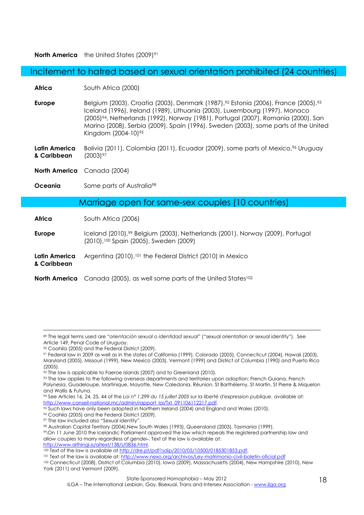**North America** the United States (2009)<sup>91</sup>

Incitement to hatred based on sexual orientation prohibited (24 countries)

**Africa South Africa (2000)** 

**Europe** Belgium (2003), Croatia (2003), Denmark (1987),<sup>92</sup> Estonia (2006), France (2005),<sup>93</sup> Iceland (1996), Ireland (1989), Lithuania (2003), Luxembourg (1997), Monaco (2005)94, Netherlands (1992), Norway (1981), Portugal (2007), Romania (2000), San Marino (2008), Serbia (2009), Spain (1996), Sweden (2003), some parts of the United Kingdom (2004-10)<sup>95</sup>

**Latin America & Caribbean**  Bolivia (2011), Colombia (2011), Ecuador (2009), some parts of Mexico,<sup>96</sup> Uruguay (2003) 97

**North America** Canada (2004)

**Oceania** Some parts of Australia<sup>98</sup>

#### Marriage open for same-sex couples (10 countries)

**Africa South Africa (2006)** 

- **Europe** Iceland (2010),99 Belgium (2003), Netherlands (2001), Norway (2009), Portugal (2010),100 Spain (2005), Sweden (2009)
- **Latin America**  Argentina (2010),<sup>101</sup> the Federal District (2010) in Mexico

**& Caribbean** 

 $\overline{a}$ 

**North America** Canada (2005), as well some parts of the United States<sup>102</sup>

- <sup>91</sup> Federal law in 2009 as well as in the states of California (1999), Colorado (2005), Connecticut (2004), Hawaii (2003), Maryland (2005), Missouri (1999), New Mexico (2003), Vermont (1999) and District of Columbia (1990) and Puerto Rico (2005).
- $\frac{92}{2}$  The law is applicable to Faeroe Islands (2007) and to Greenland (2010).

<sup>89</sup> The legal terms used are "*orientación sexual o identidad sexual*" ("sexual orientation or sexual identity"). See Article 149, Penal Code of Uruguay.

<sup>90</sup> Coahila (2005) and the Federal District (2009).

<sup>93</sup> The law applies to the following overseas departments and territories upon adoption: French Guiana, French Polynesia, Guadeloupe, Martinique, Mayotte, New Caledonia, Réunion, St Barthélemy, St Martin, St Pierre & Miquelon and Wallis & Futuna.

<sup>94</sup> See Articles 16, 24, 25, 44 of the *Loi n° 1.299 du 15 juillet 2005 sur la liberté d'expression publique*, available at: http://www.conseil-national.mc/admin/rapport\_loi/Txt\_091106112217.pdf.

<sup>95</sup> Such laws have only been adopted in Northern Ireland (2004) and England and Wales (2010).

<sup>96</sup> Coahila (2005) and the Federal District (2009).

<sup>97</sup> The law included also "Sexual identity".

<sup>98</sup> Australian Capital Territory (2004),New South Wales (1993), Queensland (2003), Tasmania (1999).

<sup>99</sup> On 11 June 2010 the Icelandic Parliament approved the law which repeals the registered partnership law and allow couples to marry regardless of gende<sup>L</sup>. Text of the law is available at: http://www.althingi.is/altext/138/s/0836.html.

<sup>&</sup>lt;sup>100</sup> Text of the law is available at http://dre.pt/pdf1sdip/2010/05/10500/0185301853.pdf.

<sup>101</sup> Text of the law is available at: http://www.nexo.org/archivos/Ley-matrimonio-civil-boletin-oficial.pdf

<sup>102</sup> Connecticut (2008), District of Columbia (2010), Iowa (2009), Massachusetts (2004), New Hampshire (2010), New York (2011) and Vermont (2009).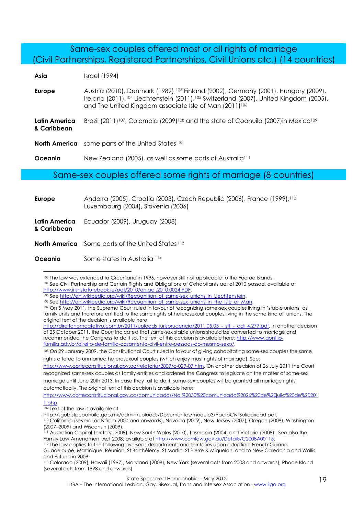#### Same-sex couples offered most or all rights of marriage (Civil Partnerships, Registered Partnerships, Civil Unions etc.) (14 countries)

| Asia                         | Israel (1994)                                                                                                                                                                                                                                                                          |
|------------------------------|----------------------------------------------------------------------------------------------------------------------------------------------------------------------------------------------------------------------------------------------------------------------------------------|
| <b>Europe</b>                | Austria (2010), Denmark (1989), <sup>103</sup> Finland (2002), Germany (2001), Hungary (2009),<br>Ireland (2011), <sup>104</sup> Liechtenstein (2011), <sup>105</sup> Switzerland (2007), United Kingdom (2005),<br>and The United Kingdom associate Isle of Man (2011) <sup>106</sup> |
| Latin America<br>& Caribbean | Brazil (2011) <sup>107</sup> , Colombia (2009) <sup>108</sup> and the state of Coahuila (2007)in Mexico <sup>109</sup>                                                                                                                                                                 |
|                              | <b>North America</b> some parts of the United States <sup>110</sup>                                                                                                                                                                                                                    |
| Oceania                      | New Zealand (2005), as well as some parts of Australia <sup>111</sup>                                                                                                                                                                                                                  |

#### Same-sex couples offered some rights of marriage (8 countries)

| <b>Europe</b>                | Andorra (2005), Croatia (2003), Czech Republic (2006), France (1999), <sup>112</sup><br>Luxembourg (2004), Slovenia (2006) |
|------------------------------|----------------------------------------------------------------------------------------------------------------------------|
| Latin America<br>& Caribbean | Ecuador (2009), Uruguay (2008)                                                                                             |
|                              | <b>North America</b> Some parts of the United States 113                                                                   |

**Oceania** Some states in Australia 114

 $\overline{a}$ 

105 See http://en.wikipedia.org/wiki/Recognition\_of\_same-sex\_unions\_in\_Liechtenstein.

<sup>103</sup> The law was extended to Greenland in 1996, however still not applicable to the Faeroe Islands. <sup>104</sup> See Civil Partnership and Certain Rights and Obligations of Cohabitants act of 2010 passed, available at http://www.irishstatutebook.ie/pdf/2010/en.act.2010.0024.PDF.

<sup>106</sup> See http://en.wikipedia.org/wiki/Recognition\_of\_same-sex\_unions\_in\_the\_Isle\_of\_Man.

<sup>107</sup> On 5 May 2011, the Supreme Court ruled in favour of recognizing same-sex couples living in 'stable unions' as family units and therefore entitled to the same rights of heterosexual couples living in the same kind of unions. The original text of the decision is available here:

http://direitohomoafetivo.com.br/2011/uploads\_jurisprudencia/2011.05.05\_-\_stf\_-\_adi\_4.277.pdf. In another decision of 25 October 2011, the Court indicated that same-sex stable unions should be converted to marriage and recommended the Congress to do it so. The text of this decision is available here: http://www.gontijofamilia.adv.br/direito-de-familia-casamento-civil-entre-pessoas-do-mesmo-sexo/.

<sup>108</sup> On 29 January 2009, the Constitutional Court ruled in favour of giving cohabitating same-sex couples the same rights offered to unmarried heterosexual couples (which enjoy most rights of marriage). See:

http://www.corteconstitucional.gov.co/relatoria/2009/c-029-09.htm. On another decision of 26 July 2011 the Court recognized same-sex couples as family entities and ordered the Congress to legislate on the matter of same-sex marriage until June 20th 2013. In case they fail to do it, same-sex couples will be granted all marriage rights automatically. The original text of this decision is available here:

http://www.corteconstitucional.gov.co/comunicados/No.%2030%20comunicado%2026%20de%20julio%20de%20201 1.php

<sup>109</sup> Text of the law is available at:

http://sgob.sfpcoahuila.gob.mx/admin/uploads/Documentos/modulo3/PactoCivilSolidaridad.pdf.

<sup>110</sup> California (several acts from 2000 and onwards), Nevada (2009), New Jersey (2007), Oregon (2008), Washington (2007–2009) and Wisconsin (2009).

<sup>111</sup> Australian Capital Territory (2008), New South Wales (2010), Tasmania (2004) and Victoria (2008). See also the Family Law Amendment Act 2008, available at http://www.comlaw.gov.au/Details/C2008A00115.

<sup>112</sup> The law applies to the following overseas departments and territories upon adoption: French Guiana, Guadeloupe, Martinique, Réunion, St Barthélemy, St Martin, St Pierre & Miquelon, and to New Caledonia and Wallis and Futuna in 2009.

<sup>113</sup> Colorado (2009), Hawaii (1997), Maryland (2008), New York (several acts from 2003 and onwards), Rhode Island (several acts from 1998 and onwards).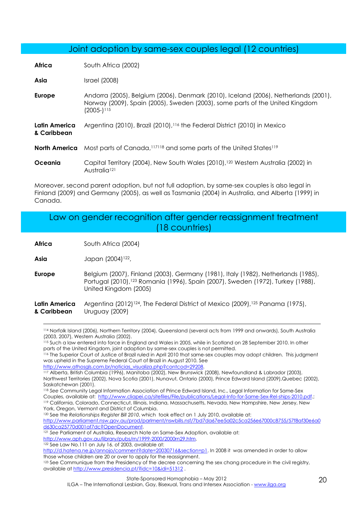#### Joint adoption by same-sex couples legal (12 countries)

**Africa** South Africa (2002)

**Asia** Israel (2008)

- **Europe** Andorra (2005), Belgium (2006), Denmark (2010), Iceland (2006), Netherlands (2001), Norway (2009), Spain (2005), Sweden (2003), some parts of the United Kingdom (2005-)<sup>115</sup>
- **Latin America & Caribbean**  Argentina (2010), Brazil (2010),116 the Federal District (2010) in Mexico
- **North America** Most parts of Canada,117118 and some parts of the United States<sup>119</sup>
- **Oceania** Capital Territory (2004), New South Wales (2010),<sup>120</sup> Western Australia (2002) in Australia<sup>121</sup>

Moreover, second parent adoption, but not full adoption, by same-sex couples is also legal in Finland (2009) and Germany (2005), as well as Tasmania (2004) in Australia, and Alberta (1999) in Canada.

| Law on gender recognition after gender reassignment treatment |
|---------------------------------------------------------------|
| $(18$ countries)                                              |

**Africa** South Africa (2004)

**Asia Japan (2004)**<sup>122</sup>,

 $\overline{a}$ 

**Europe** Belgium (2007), Finland (2003), Germany (1981), Italy (1982), Netherlands (1985), Portugal (2010),123 Romania (1996), Spain (2007), Sweden (1972), Turkey (1988), United Kingdom (2005)

#### **Latin America & Caribbean**  Argentina (2012)<sup>124</sup>, The Federal District of Mexico (2009),<sup>125</sup> Panama (1975), Uruguay (2009)

<sup>116</sup> The Superior Court of Justice of Brazil ruled in April 2010 that same-sex couples may adopt children. This judgment was upheld in the Supreme Federal Court of Brazil in August 2010. See

http://www.athosgls.com.br/noticias\_visualiza.php?contcod=29208.

<sup>118</sup> *See* Community Legal Information Association of Prince Edward Island, Inc., Legal Information for Same-Sex Couples, available at: http://www.cliapei.ca/sitefiles/File/publications/Legal-Info-for-Same-Sex-Rel-ships-2010.pdf.; <sup>119</sup> California, Colorado, Connecticut, Illinois, Indiana, Massachusetts, Nevada, New Hampshire, New Jersey, New York, Oregon, Vermont and District of Columbia.

<sup>120</sup> See the *Relationships Register Bill 2010*, which took effect on 1 July 2010, available at:

http://www.parliament.nsw.gov.au/prod/parlment/nswbills.nsf/7bd7da67ee5a02c5ca256e67000c8755/57f8af30e6a0 d630ca25770d001af7dc?OpenDocument.

<sup>121</sup> *See* Parliament of Australia, Research Note on Same-Sex Adoption, available at:

http://www.aph.gov.au/library/pubs/rn/1999-2000/2000rn29.htm.

http://d.hatena.ne.jp/annojo/comment?date=20030716&section=p1. In 2008 it was amended in order to allow those whose children are 20 or over to apply for the reassignment.

<sup>114</sup> Norfolk Island (2006), Northern Territory (2004), Queensland (several acts from 1999 and onwards), South Australia (2003, 2007), Western Australia (2002).

<sup>115</sup> Such a law entered into force in England and Wales in 2005, while in Scotland on 28 September 2010. In other parts of the United Kingdom, joint adoption by same-sex couples is not permitted.

<sup>117</sup> Alberta, British Columbia (1996), Manitoba (2002), New Brunswick (2008), Newfoundland & Labrador (2003), Northwest Territories (2002), Nova Scotia (2001), Nunavut, Ontario (2000), Prince Edward Island (2009),Quebec (2002), Saskatchewan (2001).

<sup>122</sup> See Law No.111 on July 16. of 2003, available at:

<sup>123</sup> See Communique from the Presidency of the decree concerning the sex chang procedure in the civil registry, available at http://www.presidencia.pt/?idc=10&idi=51312 .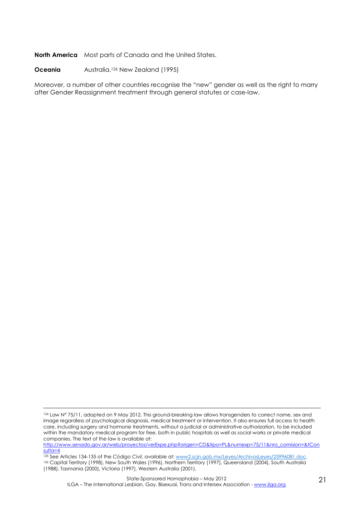**North America** Most parts of Canada and the United States.

**Oceania Australia,<sup>126</sup> New Zealand (1995)** 

Moreover, a number of other countries recognise the "new" gender as well as the right to marry after Gender Reassignment treatment through general statutes or case-law.

http://www.senado.gov.ar/web/proyectos/verExpe.php?origen=CD&tipo=PL&numexp=75/11&nro\_comision=&tCon sulta=4

 $\overline{a}$ 124 Law N° 75/11, adopted on 9 May 2012. This ground-breaking law allows transgenders to correct name, sex and image regardless of psychological diagnosis, medical treatment or intervention. It also ensures full access to health care, including surgery and hormone treatments, without a judicial or administrative authorization, to be included within the mandatory medical program for free, both in public hospitals as well as social works or private medical companies. The text of the law is available at:

<sup>125</sup> See Articles 134-135 of the *Código Civil*, available at: www2.scjn.gob.mx/Leyes/ArchivosLeyes/25996081.doc. <sup>126</sup> Capital Territory (1998), New South Wales (1996), Northern Territory (1997), Queensland (2004), South Australia (1988), Tasmania (2000), Victoria (1997), Western Australia (2001).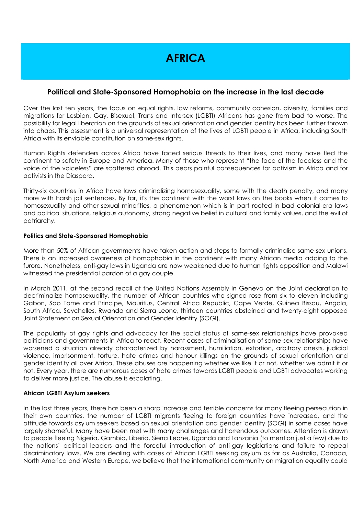## **AFRICA**

#### **Political and State-Sponsored Homophobia on the increase in the last decade**

Over the last ten years, the focus on equal rights, law reforms, community cohesion, diversity, families and migrations for Lesbian, Gay, Bisexual, Trans and Intersex (LGBTI) Africans has gone from bad to worse. The possibility for legal liberation on the grounds of sexual orientation and gender identity has been further thrown into chaos. This assessment is a universal representation of the lives of LGBTI people in Africa, including South Africa with its enviable constitution on same-sex rights.

Human Rights defenders across Africa have faced serious threats to their lives, and many have fled the continent to safety in Europe and America. Many of those who represent "the face of the faceless and the voice of the voiceless" are scattered abroad. This bears painful consequences for activism in Africa and for activists in the Diaspora.

Thirty-six countries in Africa have laws criminalizing homosexuality, some with the death penalty, and many more with harsh jail sentences. By far, it's the continent with the worst laws on the books when it comes to homosexuality and other sexual minorities, a phenomenon which is in part rooted in bad colonial-era laws and political situations, religious autonomy, strong negative belief in cultural and family values, and the evil of patriarchy.

#### **Politics and State-Sponsored Homophobia**

More than 50% of African governments have taken action and steps to formally criminalise same-sex unions. There is an increased awareness of homophobia in the continent with many African media adding to the furore. Nonetheless, anti-gay laws in Uganda are now weakened due to human rights opposition and Malawi witnessed the presidential pardon of a gay couple.

In March 2011, at the second recall at the United Nations Assembly in Geneva on the Joint declaration to decriminalize homosexuality, the number of African countries who signed rose from six to eleven including Gabon, Sao Tome and Principe, Mauritius, Central Africa Republic, Cape Verde, Guinea Bissau, Angola, South Africa, Seychelles, Rwanda and Sierra Leone, thirteen countries abstained and twenty-eight opposed Joint Statement on Sexual Orientation and Gender Identity (SOGI).

The popularity of gay rights and advocacy for the social status of same-sex relationships have provoked politicians and governments in Africa to react. Recent cases of criminalisation of same-sex relationships have worsened a situation already characterized by harassment, humiliation, extortion, arbitrary arrests, judicial violence, imprisonment, torture, hate crimes and honour killings on the grounds of sexual orientation and gender identity all over Africa. These abuses are happening whether we like it or not, whether we admit it or not. Every year, there are numerous cases of hate crimes towards LGBTI people and LGBTI advocates working to deliver more justice. The abuse is escalating.

#### **African LGBTI Asylum seekers**

In the last three years, there has been a sharp increase and terrible concerns for many fleeing persecution in their own countries, the number of LGBTI migrants fleeing to foreign countries have increased, and the attitude towards asylum seekers based on sexual orientation and gender identity (SOGI) in some cases have largely shameful. Many have been met with many challenges and horrendous outcomes. Attention is drawn to people fleeing Nigeria, Gambia, Liberia, Sierra Leone, Uganda and Tanzania (to mention just a few) due to the nations' political leaders and the forceful introduction of anti-gay legislations and failure to repeal discriminatory laws. We are dealing with cases of African LGBTI seeking asylum as far as Australia, Canada, North America and Western Europe, we believe that the international community on migration equality could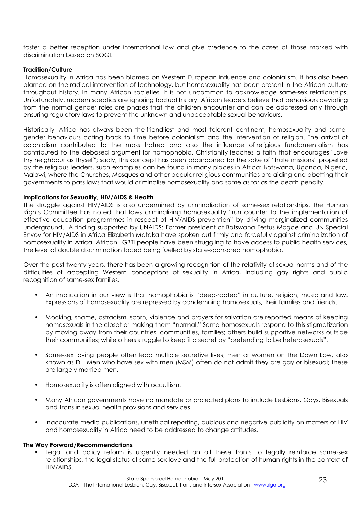foster a better reception under international law and give credence to the cases of those marked with discrimination based on SOGI.

#### **Tradition/Culture**

Homosexuality in Africa has been blamed on Western European influence and colonialism. It has also been blamed on the radical intervention of technology, but homosexuality has been present in the African culture throughout history. In many African societies, it is not uncommon to acknowledge same-sex relationships. Unfortunately, modern sceptics are ignoring factual history. African leaders believe that behaviours deviating from the normal gender roles are phases that the children encounter and can be addressed only through ensuring regulatory laws to prevent the unknown and unacceptable sexual behaviours.

Historically, Africa has always been the friendliest and most tolerant continent, homosexuality and samegender behaviours dating back to time before colonialism and the intervention of religion. The arrival of colonialism contributed to the mass hatred and also the influence of religious fundamentalism has contributed to the debased argument for homophobia. Christianity teaches a faith that encourages "Love thy neighbour as thyself"; sadly, this concept has been abandoned for the sake of "hate missions" propelled by the religious leaders, such examples can be found in many places in Africa: Botswana, Uganda, Nigeria, Malawi, where the Churches, Mosques and other popular religious communities are aiding and abetting their governments to pass laws that would criminalise homosexuality and some as far as the death penalty.

#### **Implications for Sexuality, HIV/AIDS & Health**

The struggle against HIV/AIDS is also undermined by criminalization of same-sex relationships. The Human Rights Committee has noted that laws criminalizing homosexuality "run counter to the implementation of effective education programmes in respect of HIV/AIDS prevention" by driving marginalized communities underground. A finding supported by UNAIDS: Former president of Botswana Festus Mogae and UN Special Envoy for HIV/AIDS in Africa Elizabeth Mataka have spoken out firmly and forcefully against criminalization of homosexuality in Africa. African LGBTI people have been struggling to have access to public health services, the level of double discrimination faced being fuelled by state-sponsored homophobia.

Over the past twenty years, there has been a growing recognition of the relativity of sexual norms and of the difficulties of accepting Western conceptions of sexuality in Africa, including gay rights and public recognition of same-sex families.

- An implication in our view is that homophobia is "deep-rooted" in culture, religion, music and law. Expressions of homosexuality are repressed by condemning homosexuals, their families and friends.
- Mocking, shame, ostracism, scorn, violence and prayers for salvation are reported means of keeping homosexuals in the closet or making them "normal." Some homosexuals respond to this stigmatization by moving away from their countries, communities, families; others build supportive networks outside their communities; while others struggle to keep it a secret by "pretending to be heterosexuals".
- Same-sex loving people often lead multiple secretive lives, men or women on the Down Low, also known as DL. Men who have sex with men (MSM) often do not admit they are gay or bisexual; these are largely married men.
- Homosexuality is often aligned with occultism.
- Many African governments have no mandate or projected plans to include Lesbians, Gays, Bisexuals and Trans in sexual health provisions and services.
- Inaccurate media publications, unethical reporting, dubious and negative publicity on matters of HIV and homosexuality in Africa need to be addressed to change attitudes.

#### **The Way Forward/Recommendations**

• Legal and policy reform is urgently needed on all these fronts to legally reinforce same-sex relationships, the legal status of same-sex love and the full protection of human rights in the context of HIV/AIDS.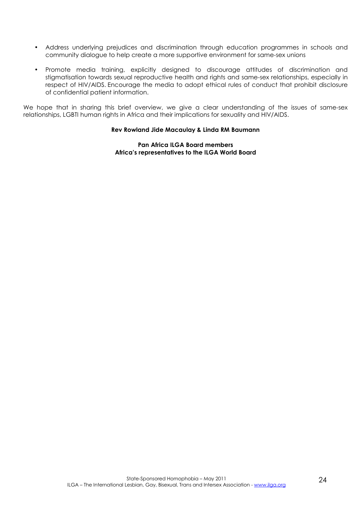- Address underlying prejudices and discrimination through education programmes in schools and community dialogue to help create a more supportive environment for same-sex unions
- Promote media training, explicitly designed to discourage attitudes of discrimination and stigmatisation towards sexual reproductive health and rights and same-sex relationships, especially in respect of HIV/AIDS. Encourage the media to adopt ethical rules of conduct that prohibit disclosure of confidential patient information.

We hope that in sharing this brief overview, we give a clear understanding of the issues of same-sex relationships, LGBTI human rights in Africa and their implications for sexuality and HIV/AIDS.

#### **Rev Rowland Jide Macaulay & Linda RM Baumann**

#### **Pan Africa ILGA Board members Africa's representatives to the ILGA World Board**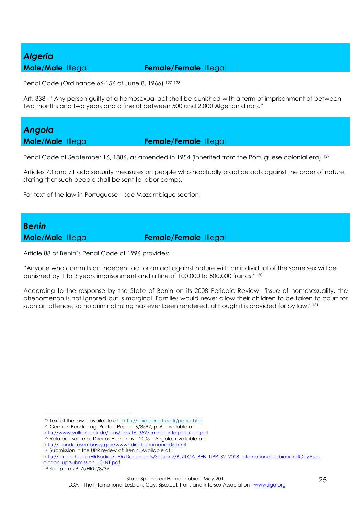### *Algeria*

#### **Male/Male** Illegal **Female/Female** Illegal

Penal Code (Ordinance 66-156 of June 8, 1966) <sup>127</sup> <sup>128</sup>

Art. 338 - "Any person guilty of a homosexual act shall be punished with a term of imprisonment of between two months and two years and a fine of between 500 and 2,000 Algerian dinars."

*Angola* 

**Male/Male** Illegal **Female/Female** Illegal

Penal Code of September 16, 1886, as amended in 1954 (Inherited from the Portuguese colonial era) 129

Articles 70 and 71 add security measures on people who habitually practice acts against the order of nature, stating that such people shall be sent to labor camps.

For text of the law in Portuguese – see Mozambique section!

# *Benin*

**Male/Male** Illegal **Female/Female** Illegal

Article 88 of Benin's Penal Code of 1996 provides:

"Anyone who commits an indecent act or an act against nature with an individual of the same sex will be punished by 1 to 3 years imprisonment and a fine of 100,000 to 500,000 francs."<sup>130</sup>

According to the response by the State of Benin on its 2008 Periodic Review, "issue of homosexuality, the phenomenon is not ignored but is marginal. Families would never allow their children to be taken to court for such an offence, so no criminal ruling has ever been rendered, although it is provided for by law."<sup>131</sup>

131 See para.29. A/HRC/8/39

 $\overline{a}$ 

<sup>&</sup>lt;sup>127</sup> Text of the law is available at: http://lexalgeria.free.fr/penal.htm.

<sup>128</sup> German Bundestag; Printed Paper 16/3597, p. 6, available at:

http://www.volkerbeck.de/cms/files/16\_3597\_minor\_interpellation.pdf 129 Relatório sobre os Direitos Humanos - 2005 - Angola, available at :

http://luanda.usembassy.gov/wwwhdireitoshumanos05.html

<sup>130</sup> Submission in the UPR review of: Benin. Available at:

http://lib.ohchr.org/HRBodies/UPR/Documents/Session2/BJ/ILGA\_BEN\_UPR\_S2\_2008\_InternationalLesbianandGayAsso ciation\_uprsubmission\_JOINT.pdf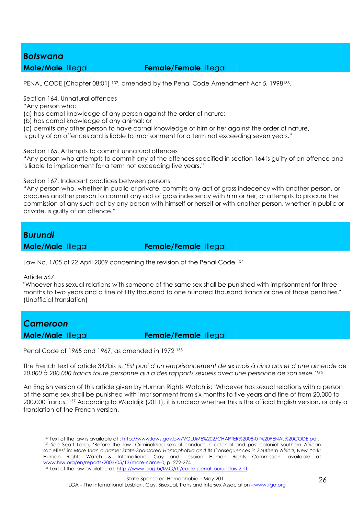#### *Botswana*

#### **Male/Male** Illegal **Female/Female** Illegal

PENAL CODE [Chapter 08:01] 132, amended by the Penal Code Amendment Act 5, 1998133.

Section 164. Unnatural offences

"Any person who;

(a) has carnal knowledge of any person against the order of nature;

(b) has carnal knowledge of any animal; or

(c) permits any other person to have carnal knowledge of him or her against the order of nature,

is guilty of an offences and is liable to imprisonment for a term not exceeding seven years."

Section 165. Attempts to commit unnatural offences

"Any person who attempts to commit any of the offences specified in section 164 is guilty of an offence and is liable to imprisonment for a term not exceeding five years."

Section 167. Indecent practices between persons

"Any person who, whether in public or private, commits any act of gross indecency with another person, or procures another person to commit any act of gross indecency with him or her, or attempts to procure the commission of any such act by any person with himself or herself or with another person, whether in public or private, is guilty of an offence."

#### *Burundi*

**Male/Male** Illegal **Female/Female** Illegal

Law No. 1/05 of 22 April 2009 concerning the revision of the Penal Code <sup>134</sup>

Article 567:

"Whoever has sexual relations with someone of the same sex shall be punished with imprisonment for three months to two years and a fine of fifty thousand to one hundred thousand francs or one of those penalties." (Unofficial translation)

#### *Cameroon*

 $\overline{a}$ 

**Male/Male** Illegal **Female/Female** Illegal

Penal Code of 1965 and 1967, as amended in 1972 <sup>135</sup>

The French text of article 347bis is: *'Est puni d'un emprisonnement de six mois à cinq ans et d'une amende de 20.000 à 200.000 francs toute personne qui a des rapports sexuels avec une personne de son sexe.'<sup>136</sup>*

An English version of this article given by Human Rights Watch is: 'Whoever has sexual relations with a person of the same sex shall be punished with imprisonment from six months to five years and fine of from 20,000 to 200,000 francs.'137 According to Waaldijk (2011), it is unclear whether this is the official English version, or only a translation of the French version.

<sup>&</sup>lt;sup>132</sup> Text of the law is available at : http://www.laws.gov.bw/VOLUME%202/CHAPTER%2008-01%20PENAL%20CODE.pdf. <sup>133</sup> *See* Scott Long, 'Before the law: Criminalizing sexual conduct in colonial and post-colonial southern African societies' in: *More than a name: State-Sponsored Homophobia and Its Consequences in Southern Africa*, New York: Human Rights Watch & International Gay and Lesbian Human Rights Commission, available at www.hrw.org/en/reports/2003/05/13/more-name-0, p. 272-274 134 Text of the law available at: http://www.oag.bi/lMG/rtf/code\_penal\_burundais-2.rtf.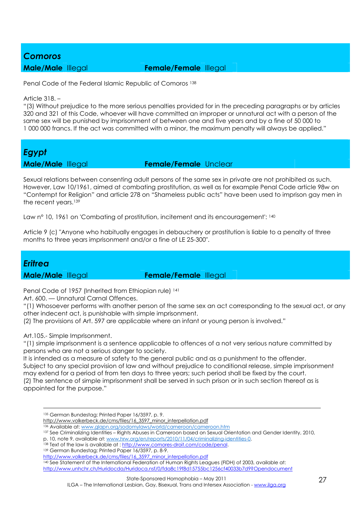#### *Comoros*

#### **Male/Male** Illegal **Female/Female** Illegal

Penal Code of the Federal Islamic Republic of Comoros 138

Article 318. –

"(3) Without prejudice to the more serious penalties provided for in the preceding paragraphs or by articles 320 and 321 of this Code, whoever will have committed an improper or unnatural act with a person of the same sex will be punished by imprisonment of between one and five years and by a fine of 50 000 to 1 000 000 francs. If the act was committed with a minor, the maximum penalty will always be applied."

# *Egypt*

#### **Male/Male** Illegal **Female/Female** Unclear

Sexual relations between consenting adult persons of the same sex in private are not prohibited as such. However, Law 10/1961, aimed at combating prostitution, as well as for example Penal Code article 98w on "Contempt for Religion" and article 278 on "Shameless public acts" have been used to imprison gay men in the recent years.<sup>139</sup>

Law n° 10, 1961 on 'Combating of prostitution, incitement and its encouragement': 140

Article 9 (c) "Anyone who habitually engages in debauchery or prostitution is liable to a penalty of three months to three years imprisonment and/or a fine of LE 25-300".

#### *Eritrea*

<u>.</u>

**Male/Male** Illegal **Female/Female** Illegal

Penal Code of 1957 (Inherited from Ethiopian rule) 141

Art. 600. — Unnatural Carnal Offences.

"(1) Whosoever performs with another person of the same sex an act corresponding to the sexual act, or any other indecent act, is punishable with simple imprisonment.

(2) The provisions of Art. 597 are applicable where an infant or young person is involved."

Art.105.- Simple Imprisonment.

"(1) simple imprisonment is a sentence applicable to offences of a not very serious nature committed by persons who are not a serious danger to society.

It is intended as a measure of safety to the general public and as a punishment to the offender. Subject to any special provision of law and without prejudice to conditional release, simple imprisonment may extend for a period of from ten days to three years; such period shall be fixed by the court. (2) The sentence of simple imprisonment shall be served in such prison or in such section thereof as is appointed for the purpose."

136 Available at: www.glapn.org/sodomylaws/world/cameroon/cameroon.htm

- p. 10, note 9, available at: www.hrw.org/en/reports/2010/11/04/criminalizing-identities-0.
- 138 Text of the law is available at : http://www.comores-droit.com/code/penal.

<sup>139</sup> German Bundestag; Printed Paper 16/3597, p. 8-9.

<sup>140</sup> See Statement of the International Federation of Human Rights Leagues (FIDH) of 2003, available at: http://www.unhchr.ch/Huridocda/Huridoca.nsf/0/fda8c19f8d15755bc1256cf40033b7d9?Opendocument

<sup>135</sup> German Bundestag; Printed Paper 16/3597, p. 9.

http://www.volkerbeck.de/cms/files/16\_3597\_minor\_interpellation.pdf

<sup>137</sup> See Criminalizing Identities – Rights Abuses in Cameroon based on Sexual Orientation and Gender Identity, 2010,

http://www.volkerbeck.de/cms/files/16\_3597\_minor\_interpellation.pdf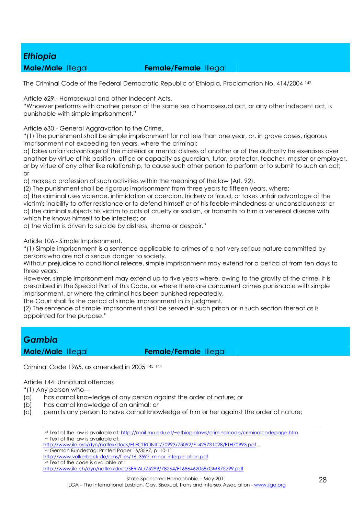### *Ethiopia*

#### **Male/Male** Illegal **Female/Female** Illegal

The Criminal Code of the Federal Democratic Republic of Ethiopia, Proclamation No. 414/2004 <sup>142</sup>

Article 629.- Homosexual and other Indecent Acts.

"Whoever performs with another person of the same sex a homosexual act, or any other indecent act, is punishable with simple imprisonment."

Article 630.- General Aggravation to the Crime.

"(1) The punishment shall be simple imprisonment for not less than one year, or, in grave cases, rigorous imprisonment not exceeding ten years, where the criminal:

a) takes unfair advantage of the material or mental distress of another or of the authority he exercises over another by virtue of his position, office or capacity as guardian, tutor, protector, teacher, master or employer, or by virtue of any other like relationship, to cause such other person to perform or to submit to such an act; or

b) makes a profession of such activities within the meaning of the law (Art. 92).

(2) The punishment shall be rigorous imprisonment from three years to fifteen years, where:

a) the criminal uses violence, intimidation or coercion, trickery or fraud, or takes unfair advantage of the victim's inability to offer resistance or to defend himself or of his feeble-mindedness or unconsciousness; or b) the criminal subjects his victim to acts of cruelty or sadism, or transmits to him a venereal disease with which he knows himself to be infected; or

c) the victim is driven to suicide by distress, shame or despair."

Article 106.- Simple Imprisonment.

"(1) Simple imprisonment is a sentence applicable to crimes of a not very serious nature committed by persons who are not a serious danger to society.

Without prejudice to conditional release, simple imprisonment may extend for a period of from ten days to three years.

However, simple imprisonment may extend up to five years where, owing to the gravity of the crime, it is prescribed in the Special Part of this Code, or where there are concurrent crimes punishable with simple imprisonment, or where the criminal has been punished repeatedly.

The Court shall fix the period of simple imprisonment in its judgment.

(2) The sentence of simple imprisonment shall be served in such prison or in such section thereof as is appointed for the purpose."

### *Gambia*

**Male/Male** Illegal **Female/Female** Illegal

Criminal Code 1965, as amended in 2005 <sup>143</sup> <sup>144</sup>

Article 144: Unnatural offences

"(1) Any person who—

- (a) has carnal knowledge of any person against the order of nature; or
- (b) has carnal knowledge of an animal; or
- (c) permits any person to have carnal knowledge of him or her against the order of nature;

<u>.</u> <sup>141</sup> Text of the law is available at: http://mail.mu.edu.et/~ethiopialaws/criminalcode/criminalcodepage.htm 142 Text of the law is available at: http://www.ilo.org/dyn/natlex/docs/ELECTRONIC/70993/75092/F1429731028/ETH70993.pdf . <sup>143</sup> German Bundestag; Printed Paper 16/3597, p. 10-11. http://www.volkerbeck.de/cms/files/16\_3597\_minor\_interpellation.pdf 144 Text of the code is available at : http://www.ilo.ch/dyn/natlex/docs/SERIAL/75299/78264/F1686462058/GMB75299.pdf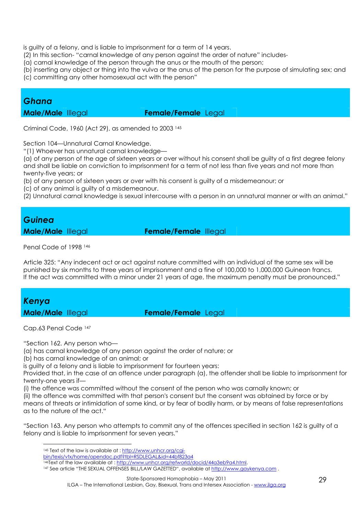is guilty of a felony, and is liable to imprisonment for a term of 14 years.

(2) In this section- "carnal knowledge of any person against the order of nature" includes-

(a) carnal knowledge of the person through the anus or the mouth of the person;

(b) inserting any object or thing into the vulva or the anus of the person for the purpose of simulating sex; and

(c) committing any other homosexual act with the person"

### *Ghana*

**Male/Male** Illegal **Female/Female** Legal

Criminal Code, 1960 (Act 29), as amended to 2003 <sup>145</sup>

Section 104—Unnatural Carnal Knowledge.

"(1) Whoever has unnatural carnal knowledge—

(a) of any person of the age of sixteen years or over without his consent shall be guilty of a first degree felony and shall be liable on conviction to imprisonment for a term of not less than five years and not more than twenty-five years; or

(b) of any person of sixteen years or over with his consent is guilty of a misdemeanour; or

(c) of any animal is guilty of a misdemeanour.

(2) Unnatural carnal knowledge is sexual intercourse with a person in an unnatural manner or with an animal."

#### *Guinea*

**Male/Male** Illegal **Female/Female** Illegal

Penal Code of 1998 <sup>146</sup>

Article 325: "Any indecent act or act against nature committed with an individual of the same sex will be punished by six months to three years of imprisonment and a fine of 100,000 to 1,000,000 Guinean francs. If the act was committed with a minor under 21 years of age, the maximum penalty must be pronounced."

# *Kenya*

**Male/Male** Illegal **Female/Female** Legal

Cap.63 Penal Code <sup>147</sup>

"Section 162. Any person who—

(a) has carnal knowledge of any person against the order of nature; or

(b) has carnal knowledge of an animal; or

is guilty of a felony and is liable to imprisonment for fourteen years:

Provided that, in the case of an offence under paragraph (a), the offender shall be liable to imprisonment for twenty-one years if—

(i) the offence was committed without the consent of the person who was carnally known; or (ii) the offence was committed with that person's consent but the consent was obtained by force or by means of threats or intimidation of some kind, or by fear of bodily harm, or by means of false representations as to the nature of the act."

"Section 163. Any person who attempts to commit any of the offences specified in section 162 is guilty of a felony and is liable to imprisonment for seven years."

 $\overline{a}$ 145 Text of the law is available at : http://www.unhcr.org/cgi-

bin/texis/vtx/home/opendoc.pdf?tbl=RSDLEGAL&id=44bf823a4

<sup>146</sup>Text of the law available at : http://www.unhcr.org/refworld/docid/44a3eb9a4.html.

<sup>147</sup> See article "THE SEXUAL OFFENSES BILL/LAW GAZETTED", available at http://www.gaykenya.com.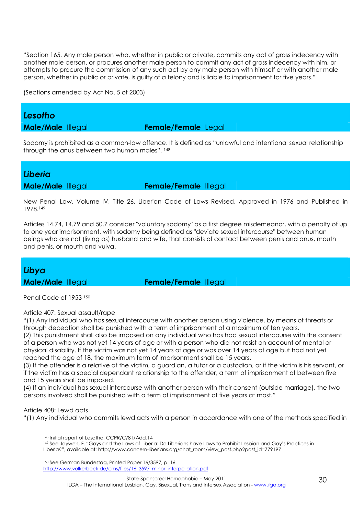"Section 165. Any male person who, whether in public or private, commits any act of gross indecency with another male person, or procures another male person to commit any act of gross indecency with him, or attempts to procure the commission of any such act by any male person with himself or with another male person, whether in public or private, is guilty of a felony and is liable to imprisonment for five years."

(Sections amended by Act No. 5 of 2003)

#### *Lesotho*

**Male/Male** Illegal **Female/Female** Legal

Sodomy is prohibited as a common-law offence. It is defined as "unlawful and intentional sexual relationship through the anus between two human males". <sup>148</sup>

#### *Liberia*

**Male/Male** Illegal **Female/Female** Illegal

New Penal Law, Volume IV, Title 26, Liberian Code of Laws Revised, Approved in 1976 and Published in 1978.<sup>149</sup>

Articles 14.74, 14.79 and 50.7 consider "voluntary sodomy" as a first degree misdemeanor, with a penalty of up to one year imprisonment, with sodomy being defined as "deviate sexual intercourse" between human beings who are not (living as) husband and wife, that consists of contact between penis and anus, mouth and penis, or mouth and vulva.

### *Libya*

**Male/Male** Illegal **Female/Female** Illegal

Penal Code of 1953 150

#### Article 407: Sexual assault/rape

"(1) Any individual who has sexual intercourse with another person using violence, by means of threats or through deception shall be punished with a term of imprisonment of a maximum of ten years.

(2) This punishment shall also be imposed on any individual who has had sexual intercourse with the consent of a person who was not yet 14 years of age or with a person who did not resist on account of mental or physical disability. If the victim was not yet 14 years of age or was over 14 years of age but had not yet reached the age of 18, the maximum term of imprisonment shall be 15 years.

(3) If the offender is a relative of the victim, a guardian, a tutor or a custodian, or if the victim is his servant, or if the victim has a special dependant relationship to the offender, a term of imprisonment of between five and 15 years shall be imposed.

(4) If an individual has sexual intercourse with another person with their consent (outside marriage), the two persons involved shall be punished with a term of imprisonment of five years at most."

#### Article 408: Lewd acts

"(1) Any individual who commits lewd acts with a person in accordance with one of the methods specified in

<sup>149</sup> See Jayweh, F. "Gays and the Laws of Liberia: Do Liberians have Laws to Prohibit Lesbian and Gay's Practices in Liberia?", available at: http://www.concern-liberians.org/chat\_room/view\_post.php?post\_id=779197

<sup>150</sup> See German Bundestag, Printed Paper 16/3597, p. 16. http://www.volkerbeck.de/cms/files/16\_3597\_minor\_interpellation.pdf

 $\overline{a}$ 148 Initial report of Lesotho, CCPR/C/81/Add.14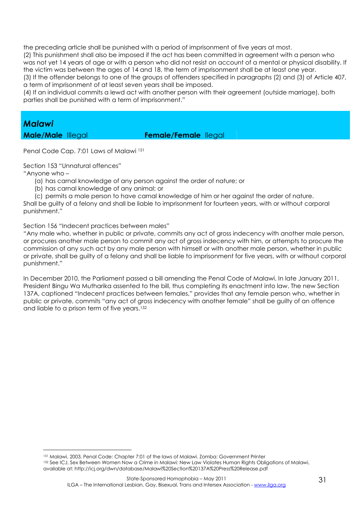the preceding article shall be punished with a period of imprisonment of five years at most.

(2) This punishment shall also be imposed if the act has been committed in agreement with a person who was not yet 14 years of age or with a person who did not resist on account of a mental or physical disability. If the victim was between the ages of 14 and 18, the term of imprisonment shall be at least one year. (3) If the offender belongs to one of the groups of offenders specified in paragraphs (2) and (3) of Article 407, a term of imprisonment of at least seven years shall be imposed.

(4) If an individual commits a lewd act with another person with their agreement (outside marriage), both parties shall be punished with a term of imprisonment."

#### *Malawi*

#### **Male/Male** Illegal **Female/Female** Ilegal

Penal Code Cap. 7:01 Laws of Malawi <sup>151</sup>

Section 153 "Unnatural offences"

"Anyone who –

 $\overline{a}$ 

- (a) has carnal knowledge of any person against the order of nature; or
- (b) has carnal knowledge of any animal; or
- (c) permits a male person to have carnal knowledge of him or her against the order of nature.

Shall be guilty of a felony and shall be liable to imprisonment for fourteen years, with or without corporal punishment."

Section 156 "Indecent practices between males"

"Any male who, whether in public or private, commits any act of gross indecency with another male person, or procures another male person to commit any act of gross indecency with him, or attempts to procure the commission of any such act by any male person with himself or with another male person, whether in public or private, shall be guilty of a felony and shall be liable to imprisonment for five years, with or without corporal punishment."

In December 2010, the Parliament passed a bill amending the Penal Code of Malawi. In late January 2011, President Bingu Wa Mutharika assented to the bill, thus completing its enactment into law. The new Section 137A, captioned "Indecent practices between females," provides that any female person who, whether in public or private, commits "any act of gross indecency with another female" shall be guilty of an offence and liable to a prison term of five years.<sup>152</sup>

<sup>151</sup> Malawi, 2003, Penal Code: Chapter 7:01 of the laws of Malawi. Zomba: Government Printer 152 See ICJ, Sex Between Women Now a Crime in Malawi: New Law Violates Human Rights Obligations of Malawi, available at: http://icj.org/dwn/database/Malawi%20Section%20137A%20Press%20Release.pdf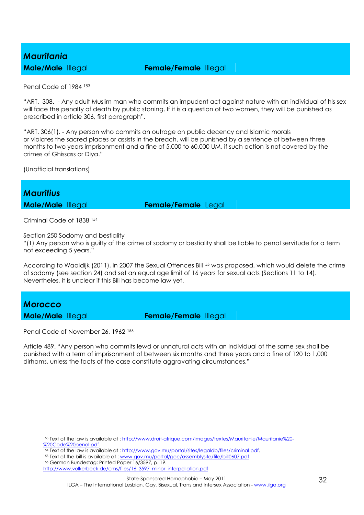# *Mauritania*

#### **Male/Male** Illegal **Female/Female** Illegal

Penal Code of 1984 <sup>153</sup>

"ART. 308. - Any adult Muslim man who commits an impudent act against nature with an individual of his sex will face the penalty of death by public stoning. If it is a question of two women, they will be punished as prescribed in article 306, first paragraph".

"ART. 306(1). - Any person who commits an outrage on public decency and Islamic morals or violates the sacred places or assists in the breach, will be punished by a sentence of between three months to two years imprisonment and a fine of 5,000 to 60,000 UM, if such action is not covered by the crimes of Ghissass or Diya."

(Unofficial translations)

*Mauritius*  **Male/Male** Illegal **Female/Female** Legal

Criminal Code of 1838 <sup>154</sup>

Section 250 Sodomy and bestiality

"(1) Any person who is guilty of the crime of sodomy or bestiality shall be liable to penal servitude for a term not exceeding 5 years."

According to Waaldijk (2011), in 2007 the Sexual Offences Bill<sup>155</sup> was proposed, which would delete the crime of sodomy (see section 24) and set an equal age limit of 16 years for sexual acts (Sections 11 to 14). Nevertheles, it is unclear if this Bill has become law yet.

## *Morocco*

 $\overline{a}$ 

**Male/Male** Illegal **Female/Female** Illegal

Penal Code of November 26, 1962 <sup>156</sup>

Article 489. "Any person who commits lewd or unnatural acts with an individual of the same sex shall be punished with a term of imprisonment of between six months and three years and a fine of 120 to 1,000 dirhams, unless the facts of the case constitute aggravating circumstances."

154 Text of the law is available at : http://www.gov.mu/portal/sites/legaldb/files/criminal.pdf.

<sup>156</sup> German Bundestag; Printed Paper 16/3597, p. 19.

ILGA – The International Lesbian, Gay, Bisexual, Trans and Intersex Association - www.ilga.org

<sup>153</sup> Text of the law is available at : http://www.droit-afrique.com/images/textes/Mauritanie/Mauritanie%20- %20Code%20penal.pdf.

<sup>155</sup> Text of the bill is available at : www.gov.mu/portal/goc/assemblysite/file/bill0607.pdf.

http://www.volkerbeck.de/cms/files/16\_3597\_minor\_interpellation.pdf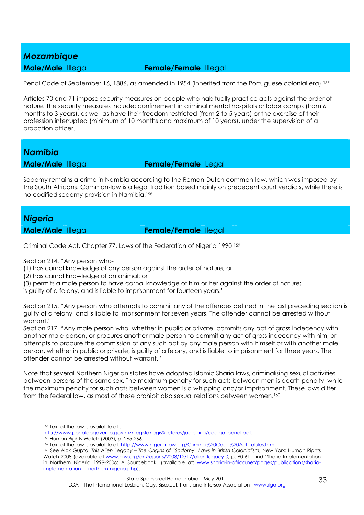#### *Mozambique*

#### **Male/Male** Illegal **Female/Female** Illegal

Penal Code of September 16, 1886, as amended in 1954 (Inherited from the Portuguese colonial era) 157

Articles 70 and 71 impose security measures on people who habitually practice acts against the order of nature. The security measures include: confinement in criminal mental hospitals or labor camps (from 6 months to 3 years), as well as have their freedom restricted (from 2 to 5 years) or the exercise of their profession interrupted (minimum of 10 months and maximum of 10 years), under the supervision of a probation officer.

#### *Namibia*

**Male/Male** Illegal **Female/Female** Legal

Sodomy remains a crime in Nambia according to the Roman-Dutch common-law, which was imposed by the South Africans. Common-law is a legal tradition based mainly on precedent court verdicts, while there is no codified sodomy provision in Namibia.<sup>158</sup>

#### *Nigeria*

**Male/Male** Illegal **Female/Female** Ilegal

Criminal Code Act, Chapter 77, Laws of the Federation of Nigeria 1990 <sup>159</sup>

Section 214. "Any person who-

(1) has carnal knowledge of any person against the order of nature; or

(2) has carnal knowledge of an animal; or

(3) permits a male person to have carnal knowledge of him or her against the order of nature;

is guilty of a felony, and is liable to imprisonment for fourteen years."

Section 215. "Any person who attempts to commit any of the offences defined in the last preceding section is guilty of a felony, and is liable to imprisonment for seven years. The offender cannot be arrested without warrant."

Section 217. "Any male person who, whether in public or private, commits any act of gross indecency with another male person, or procures another male person to commit any act of gross indecency with him, or attempts to procure the commission of any such act by any male person with himself or with another male person, whether in public or private, is guilty of a felony, and is liable to imprisonment for three years. The offender cannot be arrested without warrant."

Note that several Northern Nigerian states have adopted Islamic Sharia laws, criminalising sexual activities between persons of the same sex. The maximum penalty for such acts between men is death penalty, while the maximum penalty for such acts between women is a whipping and/or imprisonment. These laws differ from the federal law, as most of these prohibit also sexual relations between women.<sup>160</sup>

 $\overline{a}$ 

- http://www.portaldogoverno.gov.mz/Legisla/legisSectores/judiciaria/codigo\_penal.pdf.
- <sup>158</sup> Human Rights Watch (2003), p. 265-266.
- <sup>159</sup> Text of the law is available at: http://www.nigeria-law.org/Criminal%20Code%20Act-Tables.htm.
- <sup>160</sup> See Alok Gupta, *This Alien Legacy The Origins of "Sodomy" Laws in British Colonialism*, New York: Human Rights Watch 2008 (available at www.hrw.org/en/reports/2008/12/17/alien-legacy-0, p. 60-61) and 'Sharia Implementation in Northern Nigeria 1999-2006: A Sourcebook' (available at: www.sharia-in-africa.net/pages/publications/shariaimplementation-in-northern-nigeria.php).

<sup>157</sup> Text of the law is available at :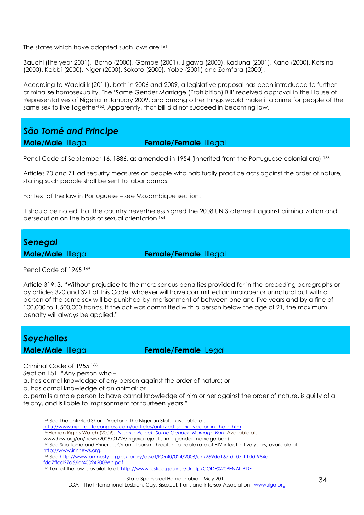The states which have adopted such laws are:<sup>161</sup>

Bauchi (the year 2001), Borno (2000), Gombe (2001), Jigawa (2000), Kaduna (2001), Kano (2000), Katsina (2000), Kebbi (2000), Niger (2000), Sokoto (2000), Yobe (2001) and Zamfara (2000).

According to Waaldijk (2011), both in 2006 and 2009, a legislative proposal has been introduced to further criminalise homosexuality. The 'Same Gender Marriage (Prohibition) Bill' received approval in the House of Representatives of Nigeria in January 2009, and among other things would make it a crime for people of the same sex to live together<sup>162</sup>. Apparently, that bill did not succeed in becoming law.

*São Tomé and Principe* 

**Male/Male** Illegal **Female/Female** Illegal

Penal Code of September 16, 1886, as amended in 1954 (Inherited from the Portuguese colonial era) 163

Articles 70 and 71 ad security measures on people who habitually practice acts against the order of nature, stating such people shall be sent to labor camps.

For text of the law in Portuguese – see Mozambique section.

It should be noted that the country nevertheless signed the 2008 UN Statement against criminalization and persecution on the basis of sexual orientation.<sup>164</sup>



Penal Code of 1965<sup>165</sup>

Article 319: 3. "Without prejudice to the more serious penalties provided for in the preceding paragraphs or by articles 320 and 321 of this Code, whoever will have committed an improper or unnatural act with a person of the same sex will be punished by imprisonment of between one and five years and by a fine of 100,000 to 1,500,000 francs. If the act was committed with a person below the age of 21, the maximum penalty will always be applied."

| Seychelles               |  |
|--------------------------|--|
| <b>Male/Male Illegal</b> |  |

**Female/Female** Legal

Criminal Code of 1955 <sup>166</sup>

Section 151. "Any person who –

a. has carnal knowledge of any person against the order of nature; or

b. has carnal knowledge of an animal; or

c. permits a male person to have carnal knowledge of him or her against the order of nature, is guilty of a felony, and is liable to imprisonment for fourteen years."

<u>.</u> 161 See The Unfizzled Sharia Vector in the Nigerian State, available at: http://www.nigerdeltacongress.com/uarticles/unfizzled\_sharia\_vector\_in\_the\_n.htm . <sup>162</sup>Human Rights Watch (2009), *Nigeria: Reject 'Same Gender' Marriage Ban*. Available at: www.hrw.org/en/news/2009/01/26/nigeria-reject-same-gender-marriage-ban) <sup>163</sup> See São Tomé and Principe: Oil and tourism threaten to treble rate of HIV infect in five years, available at: http://www.irinnews.org. 164 See http://www.amnesty.org/es/library/asset/IOR40/024/2008/en/269de167-d107-11dd-984efdc7ffcd27a6/ior400242008en.pdf. 165 Text of the law is available at: http://www.justice.gouv.sn/droitp/CODE%20PENAL.PDF.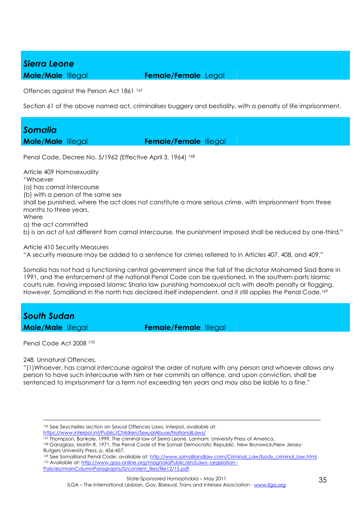## *Sierra Leone*

**Male/Male** Illegal **Female/Female** Legal

Offences against the Person Act 1861 <sup>167</sup>

Section 61 of the above named act, criminalises buggery and bestiality, with a penalty of life imprisonment.

# *Somalia*

**Male/Male** Illegal **Female/Female** Illegal

Penal Code, Decree No. 5/1962 (Effective April 3, 1964) 168

Article 409 Homosexuality "Whoever (a) has carnal intercourse (b) with a person of the same sex shall be punished, where the act does not constitute a more serious crime, with imprisonment from three months to three years. Where a) the act committed b) is an act of lust different from carnal intercourse, the punishment imposed shall be reduced by one-third."

Article 410 Security Measures

"A security measure may be added to a sentence for crimes referred to in Articles 407, 408, and 409."

Somalia has not had a functioning central government since the fall of the dictator Mohamed Siad Barre in 1991, and the enforcement of the national Penal Code can be questioned. In the southern parts Islamic courts rule, having imposed Islamic Sharia law punishing homosexual acts with death penalty or flogging. However, Somaliland in the north has declared itself independent, and it still applies the Penal Code.<sup>169</sup>

*South Sudan* 

**Male/Male** Illegal **Female/Female** Illegal

Penal Code Act 2008 <sup>170</sup>

248. Unnatural Offences.

<u>.</u>

"(1)Whoever, has carnal intercourse against the order of nature with any person and whoever allows any person to have such intercourse with him or her commits an offence, and upon conviction, shall be sentenced to imprisonment for a term not exceeding ten years and may also be liable to a fine."

<sup>166</sup> See Seychelles section on Sexual Offences Laws, Interpol, available at: https://www.interpol.int/Public/Children/SexualAbuse/NationalLaws/

<sup>167</sup> Thompson, Bankole, 1999, The criminal law of Sierra Leone. Lanham: University Press of America.

<sup>168</sup> Ganzglass, Martin R, 1971, The Penal Code of the Somali Democratic Republic. New Brunswick/New Jersey: Rutgers University Press, p. 456-457.

<sup>169</sup> See Somaliland Penal Code, available at: http://www.somalilandlaw.com/Criminal\_Law/body\_criminal\_law.html. 170 Available at: http://www.goss-online.org/magnoliaPublic/en/Laws--Legislation--Policies/mainColumnParagraphs/0/content\_files/file12/15.pdf.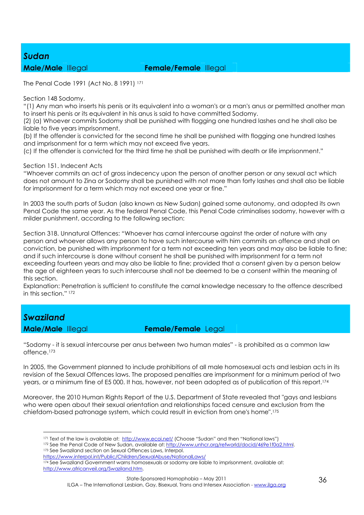#### *Sudan*

#### **Male/Male** Illegal **Female/Female** Illegal

The Penal Code 1991 (Act No. 8 1991) <sup>171</sup>

Section 148 Sodomy.

"(1) Any man who inserts his penis or its equivalent into a woman's or a man's anus or permitted another man to insert his penis or its equivalent in his anus is said to have committed Sodomy.

(2) (a) Whoever commits Sodomy shall be punished with flogging one hundred lashes and he shall also be liable to five years imprisonment.

(b) If the offender is convicted for the second time he shall be punished with flogging one hundred lashes and imprisonment for a term which may not exceed five years.

(c) If the offender is convicted for the third time he shall be punished with death or life imprisonment."

#### Section 151. Indecent Acts

"Whoever commits an act of gross indecency upon the person of another person or any sexual act which does not amount to Zina or Sodomy shall be punished with not more than forty lashes and shall also be liable for imprisonment for a term which may not exceed one year or fine."

In 2003 the south parts of Sudan (also known as New Sudan) gained some autonomy, and adopted its own Penal Code the same year. As the federal Penal Code, this Penal Code criminalises sodomy, however with a milder punishment, according to the following section:

Section 318. Unnatural Offences: "Whoever has carnal intercourse against the order of nature with any person and whoever allows any person to have such intercourse with him commits an offence and shall on conviction, be punished with imprisonment for a term not exceeding ten years and may also be liable to fine; and if such intercourse is done without consent he shall be punished with imprisonment for a term not exceeding fourteen years and may also be liable to fine; provided that a consent given by a person below the age of eighteen years to such intercourse shall not be deemed to be a consent within the meaning of this section.

Explanation: Penetration is sufficient to constitute the carnal knowledge necessary to the offence described in this section." 172

# *Swaziland*

 $\overline{a}$ 

**Male/Male** Illegal **Female/Female** Legal

"Sodomy - it is sexual intercourse per anus between two human males" - is prohibited as a common law offence.<sup>173</sup>

In 2005, the Government planned to include prohibitions of all male homosexual acts and lesbian acts in its revision of the Sexual Offences laws. The proposed penalties are imprisonment for a minimum period of two years, or a minimum fine of E5 000. It has, however, not been adopted as of publication of this report. 174

Moreover, the 2010 Human Rights Report of the U.S. Department of State revealed that "gays and lesbians who were open about their sexual orientation and relationships faced censure and exclusion from the chiefdom-based patronage system, which could result in eviction from one's home".<sup>175</sup>

<sup>171</sup> Text of the law is available at: http://www.ecoi.net/ (Choose "Sudan" and then "National laws")

<sup>172</sup> See the Penal Code of New Sudan, available at: http://www.unhcr.org/refworld/docid/469e1f0a2.html. 173 See Swaziland section on Sexual Offences Laws, Interpol.

https://www.interpol.int/Public/Children/SexualAbuse/NationalLaws/

<sup>174</sup> See Swaziland Government warns homosexuals or sodomy are liable to imprisonment, available at: http://www.africanveil.org/Swaziland.htm.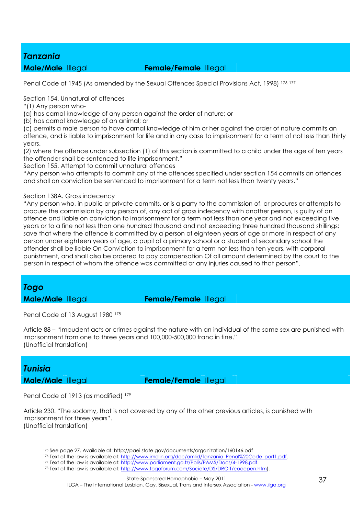#### *Tanzania*

#### **Male/Male** Illegal **Female/Female** Illegal

Penal Code of 1945 (As amended by the Sexual Offences Special Provisions Act, 1998) 176 177

Section 154. Unnatural of offences

"(1) Any person who-

(a) has carnal knowledge of any person against the order of nature; or

(b) has carnal knowledge of an animal; or

(c) permits a male person to have carnal knowledge of him or her against the order of nature commits an offence, and is liable to imprisonment for life and in any case to imprisonment for a term of not less than thirty years.

(2) where the offence under subsection (1) of this section is committed to a child under the age of ten years the offender shall be sentenced to life imprisonment."

Section 155. Attempt to commit unnatural offences

"Any person who attempts to commit any of the offences specified under section 154 commits an offences and shall on conviction be sentenced to imprisonment for a term not less than twenty years."

#### Section 138A. Gross indecency

"Any person who, in public or private commits, or is a party to the commission of, or procures or attempts to procure the commission by any person of, any act of gross indecency with another person, is guilty of an offence and liable on conviction to imprisonment for a term not less than one year and not exceeding five years or to a fine not less than one hundred thousand and not exceeding three hundred thousand shillings; save that where the offence is committed by a person of eighteen years of age or more in respect of any person under eighteen years of age, a pupil of a primary school or a student of secondary school the offender shall be liable On Conviction to imprisonment for a term not less than ten years, with corporal punishment, and shall also be ordered to pay compensation Of all amount determined by the court to the person in respect of whom the offence was committed or any injuries caused to that person".

#### *Togo*

**Male/Male** Illegal **Female/Female** Illegal

Penal Code of 13 August 1980 178

Article 88 – "Impudent acts or crimes against the nature with an individual of the same sex are punished with imprisonment from one to three years and 100,000-500,000 franc in fine." (Unofficial translation)

## *Tunisia*

-

**Male/Male** Illegal **Female/Female** Illegal

Penal Code of 1913 (as modified) 179

Article 230. "The sodomy, that is not covered by any of the other previous articles, is punished with imprisonment for three years". (Unofficial translation)

<sup>175</sup> See page 27. Available at: http://paei.state.gov/documents/organization/160146.pdf

<sup>176</sup> Text of the law is available at: http://www.imolin.org/doc/amlid/Tanzania\_Penal%20Code\_part1.pdf.

<sup>177</sup> Text of the law is available at: http://www.parliament.go.tz/Polis/PAMS/Docs/4-1998.pdf.

<sup>178</sup> Text of the law is available at: http://www.togoforum.com/Societe/DS/DROIT/codepen.htm).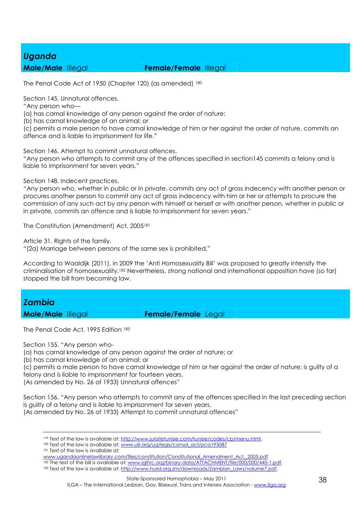## *Uganda*

#### **Male/Male** Illegal **Female/Female** Illegal

The Penal Code Act of 1950 (Chapter 120) (as amended) 180

Section 145. Unnatural offences.

"Any person who—

(a) has carnal knowledge of any person against the order of nature;

(b) has carnal knowledge of an animal; or

(c) permits a male person to have carnal knowledge of him or her against the order of nature, commits an offence and is liable to imprisonment for life."

Section 146. Attempt to commit unnatural offences.

"Any person who attempts to commit any of the offences specified in section145 commits a felony and is liable to imprisonment for seven years."

Section 148. Indecent practices.

"Any person who, whether in public or in private, commits any act of gross indecency with another person or procures another person to commit any act of gross indecency with him or her or attempts to procure the commission of any such act by any person with himself or herself or with another person, whether in public or in private, commits an offence and is liable to imprisonment for seven years."

The Constitution (Amendment) Act, 2005<sup>181</sup>

Article 31. Rights of the family.

"(2a) Marriage between persons of the same sex is prohibited."

According to Waaldijk (2011), in 2009 the 'Anti Homosexuality Bill' was proposed to greatly intensify the criminalisation of homosexuality.182 Nevertheless, strong national and international opposition have (so far) stopped the bill from becoming law.

# *Zambia*

**Male/Male** Illegal **Female/Female** Legal

The Penal Code Act, 1995 Edition 183

Section 155. "Any person who-

(a) has carnal knowledge of any person against the order of nature; or

(b) has carnal knowledge of an animal; or

(c) permits a male person to have carnal knowledge of him or her against the order of nature; is guilty of a felony and is liable to imprisonment for fourteen years.

(As amended by No. 26 of 1933) Unnatural offences"

Section 156. "Any person who attempts to commit any of the offences specified in the last preceding section is guilty of a felony and is liable to imprisonment for seven years. (As amended by No. 26 of 1933) Attempt to commit unnatural offences"

<u>.</u> <sup>179</sup> Text of the law is available at: http://www.jurisitetunisie.com/tunisie/codes/cp/menu.html.

180 Text of the law is available at: www.ulii.org/ug/legis/consol\_act/pca195087

181 Text of the law is available at:

182 The text of the bill is available at: www.iglhrc.org/binary-data/ATTACHMENT/file/000/000/445-1.pdf.

www.ugandaonlinelawlibrary.com/files/constitution/Constitutional\_Amendment\_Act,\_2005.pdf

<sup>183</sup> Text of the law is available at: http://www.hurid.org.zm/downloads/Zambian\_Laws/volume7.pdf.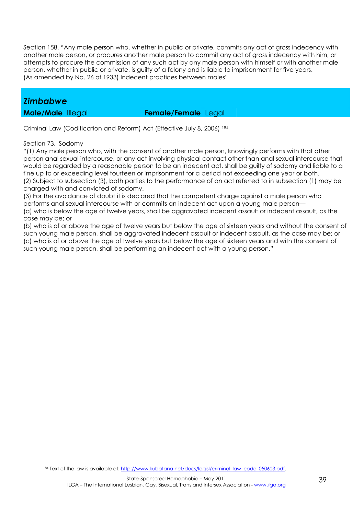Section 158. "Any male person who, whether in public or private, commits any act of gross indecency with another male person, or procures another male person to commit any act of gross indecency with him, or attempts to procure the commission of any such act by any male person with himself or with another male person, whether in public or private, is guilty of a felony and is liable to imprisonment for five years. (As amended by No. 26 of 1933) Indecent practices between males"

#### *Zimbabwe*

**Male/Male** Illegal **Female/Female** Legal

Criminal Law (Codification and Reform) Act (Effective July 8, 2006) <sup>184</sup>

Section 73. Sodomy

"(1) Any male person who, with the consent of another male person, knowingly performs with that other person anal sexual intercourse, or any act involving physical contact other than anal sexual intercourse that would be regarded by a reasonable person to be an indecent act, shall be guilty of sodomy and liable to a fine up to or exceeding level fourteen or imprisonment for a period not exceeding one year or both. (2) Subject to subsection (3), both parties to the performance of an act referred to in subsection (1) may be charged with and convicted of sodomy.

(3) For the avoidance of doubt it is declared that the competent charge against a male person who performs anal sexual intercourse with or commits an indecent act upon a young male person— (a) who is below the age of twelve years, shall be aggravated indecent assault or indecent assault, as the

case may be; or

 $\overline{a}$ 

(b) who is of or above the age of twelve years but below the age of sixteen years and without the consent of such young male person, shall be aggravated indecent assault or indecent assault, as the case may be; or (c) who is of or above the age of twelve years but below the age of sixteen years and with the consent of such young male person, shall be performing an indecent act with a young person."

<sup>184</sup> Text of the law is available at: http://www.kubatana.net/docs/legisl/criminal\_law\_code\_050603.pdf.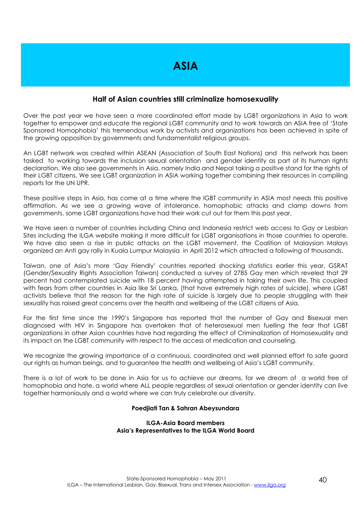#### **Half of Asian countries still criminalize homosexuality**

Over the past year we have seen a more coordinated effort made by LGBT organizations in Asia to work together to empower and educate the regional LGBT community and to work towards an ASIA free of 'State Sponsored Homophobia' this tremendous work by activists and organizations has been achieved in spite of the growing opposition by governments and fundamentalist religious groups.

An LGBT network was created within ASEAN (Association of South East Nations) and this network has been tasked to working towards the inclusion sexual orientation and gender identity as part of its human rights declaration. We also see governments in Asia, namely India and Nepal taking a positive stand for the rights of their LGBT citizens. We see LGBT organization in ASIA working together combining their resources in compiling reports for the UN UPR.

These positive steps in Asia, has come at a time where the lGBT community in ASIA most needs this positive affirmation. As we see a growing wave of intolerance, homophobic attacks and clamp downs from governments, some LGBT organizations have had their work cut out for them this past year.

We Have seen a number of countries including China and Indonesia restrict web access to Gay or Lesbian Sites including the ILGA website making it more difficult for LGBT organisations in those countries to operate. We have also seen a rise in public attacks on the LGBT movement, the Coalition of Malaysian Malays organized an Anti gay rally in Kuala Lumpur Malaysia in April 2012 which attracted a following of thousands.

Taiwan, one of Asia's more 'Gay Friendly' countries reported shocking statistics earlier this year, GSRAT (Gender/Sexuality Rights Association Taiwan) conducted a survey of 2785 Gay men which reveled that 29 percent had contemplated suicide with 18 percent having attempted in taking their own life. This coupled with fears from other countries in Asia like Sri Lanka, (that have extremely high rates of suicide), where LGBT activists believe that the reason for the high rate of suicide is largely due to people struggling with their sexuality has raised great concerns over the health and wellbeing of the LGBT citizens of Asia.

For the first time since the 1990's Singapore has reported that the number of Gay and Bisexual men diagnosed with HIV in Singapore has overtaken that of heterosexual men fuelling the fear that LGBT organizations in other Asian countries have had regarding the effect of Criminalization of Homosexuality and its impact on the LGBT community with respect to the access of medication and counseling.

We recognize the growing importance of a continuous, coordinated and well planned effort to safe guard our rights as human beings, and to guarantee the health and wellbeing of Asia's LGBT community.

There is a lot of work to be done in Asia for us to achieve our dreams, for we dream of a world free of homophobia and hate, a world where ALL people regardless of sexual orientation or gender identity can live together harmoniously and a world where we can truly celebrate our diversity.

#### **Poedjiati Tan & Sahran Abeysundara**

#### **ILGA-Asia Board members Asia's Representatives to the ILGA World Board**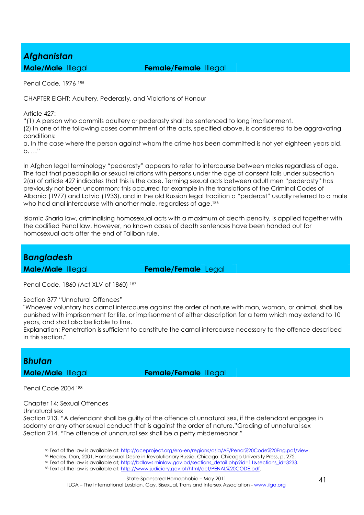# *Afghanistan*

**Male/Male** Illegal **Female/Female** Illegal

Penal Code, 1976 <sup>185</sup>

CHAPTER EIGHT: Adultery, Pederasty, and Violations of Honour

Article 427:

"(1) A person who commits adultery or pederasty shall be sentenced to long imprisonment.

(2) In one of the following cases commitment of the acts, specified above, is considered to be aggravating conditions:

a. In the case where the person against whom the crime has been committed is not yet eighteen years old. b. …"

In Afghan legal terminology "pederasty" appears to refer to intercourse between males regardless of age. The fact that paedophilia or sexual relations with persons under the age of consent falls under subsection 2(a) of article 427 indicates that this is the case. Terming sexual acts between adult men "pederasty" has previously not been uncommon; this occurred for example in the translations of the Criminal Codes of Albania (1977) and Latvia (1933), and in the old Russian legal tradition a "pederast" usually referred to a male who had anal intercourse with another male, regardless of age.<sup>186</sup>

Islamic Sharia law, criminalising homosexual acts with a maximum of death penalty, is applied together with the codified Penal law. However, no known cases of death sentences have been handed out for homosexual acts after the end of Taliban rule.

### *Bangladesh*

**Male/Male** Illegal **Female/Female** Legal

Penal Code, 1860 (Act XLV of 1860) <sup>187</sup>

Section 377 "Unnatural Offences"

"Whoever voluntary has carnal intercourse against the order of nature with man, woman, or animal, shall be punished with imprisonment for life, or imprisonment of either description for a term which may extend to 10 years, and shall also be liable to fine.

Explanation: Penetration is sufficient to constitute the carnal intercourse necessary to the offence described in this section."

# *Bhutan*

**Male/Male** Illegal **Female/Female** Illegal

Penal Code 2004 <sup>188</sup>

Chapter 14: Sexual Offences

Unnatural sex

 $\overline{a}$ 

Section 213. "A defendant shall be guilty of the offence of unnatural sex, if the defendant engages in sodomy or any other sexual conduct that is against the order of nature."Grading of unnatural sex Section 214. "The offence of unnatural sex shall be a petty misdemeanor."

<sup>185</sup> Text of the law is available at: http://aceproject.org/ero-en/regions/asia/AF/Penal%20Code%20Eng.pdf/view.

<sup>186</sup> Healey, Dan, 2001, Homosexual Desire in Revolutionary Russia. Chicago: Chicago University Press, p. 272.

<sup>187</sup> Text of the law is available at; http://bdlaws.minlaw.gov.bd/sections\_detail.php?id=11&sections\_id=3233.

<sup>188</sup> Text of the law is available at: http://www.judiciary.gov.bt/html/act/PENAL%20CODE.pdf.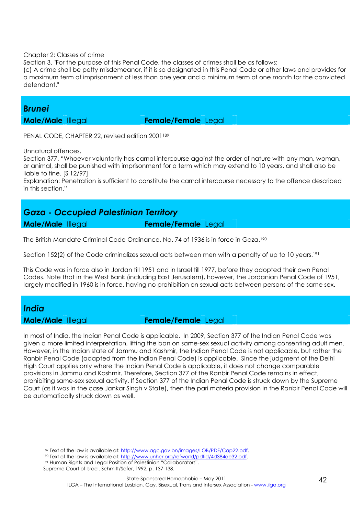#### Chapter 2: Classes of crime

Section 3. "For the purpose of this Penal Code, the classes of crimes shall be as follows:

(c) A crime shall be petty misdemeanor, if it is so designated in this Penal Code or other laws and provides for a maximum term of imprisonment of less than one year and a minimum term of one month for the convicted defendant."

#### *Brunei*

**Male/Male** Illegal **Female/Female** Legal

PENAL CODE, CHAPTER 22, revised edition 2001<sup>189</sup>

Unnatural offences.

Section 377. "Whoever voluntarily has carnal intercourse against the order of nature with any man, woman, or animal, shall be punished with imprisonment for a term which may extend to 10 years, and shall also be liable to fine. [S 12/97]

Explanation: Penetration is sufficient to constitute the carnal intercourse necessary to the offence described in this section."

### *Gaza - Occupied Palestinian Territory*  **Male/Male** Illegal **Female/Female** Legal

The British Mandate Criminal Code Ordinance, No. 74 of 1936 is in force in Gaza.<sup>190</sup>

Section 152(2) of the Code criminalizes sexual acts between men with a penalty of up to 10 years.<sup>191</sup>

This Code was in force also in Jordan till 1951 and in Israel till 1977, before they adopted their own Penal Codes. Note that in the West Bank (including East Jerusalem), however, the Jordanian Penal Code of 1951, largely modified in 1960 is in force, having no prohibition on sexual acts between persons of the same sex.

### *India*

 $\overline{a}$ 

#### **Male/Male** Illegal **Female/Female** Legal

In most of India, the Indian Penal Code is applicable. In 2009, Section 377 of the Indian Penal Code was given a more limited interpretation, lifting the ban on same-sex sexual activity among consenting adult men. However, in the Indian state of Jammu and Kashmir, the Indian Penal Code is not applicable, but rather the Ranbir Penal Code (adapted from the Indian Penal Code) is applicable. Since the judgment of the Delhi High Court applies only where the Indian Penal Code is applicable, it does not change comparable provisions in Jammu and Kashmir. Therefore, Section 377 of the Ranbir Penal Code remains in effect, prohibiting same-sex sexual activity. If Section 377 of the Indian Penal Code is struck down by the Supreme Court (as it was in the case Jankar Singh v State), then the pari materia provision in the Ranbir Penal Code will be automatically struck down as well.

189 Text of the law is available at: http://www.agc.gov.bn/images/LOB/PDF/Cap22.pdf.

<sup>190</sup> Text of the law is available at: http://www.unhcr.org/refworld/pdfid/4d384ae32.pdf.

<sup>191</sup> Human Rights and Legal Position of Palestinian "Collaborators". Supreme Court of Israel. Schmitt/Sofer, 1992, p. 137-138.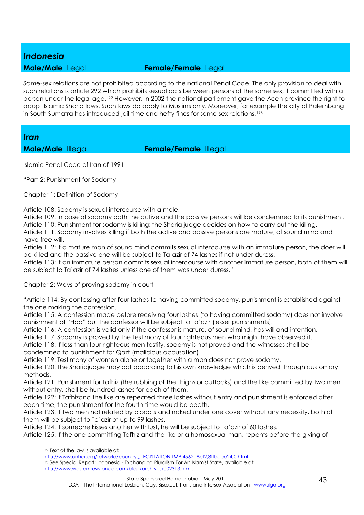#### *Indonesia*

#### **Male/Male** Legal **Female/Female** Legal

Same-sex relations are not prohibited according to the national Penal Code. The only provision to deal with such relations is article 292 which prohibits sexual acts between persons of the same sex, if committed with a person under the legal age.192 However, in 2002 the national parliament gave the Aceh province the right to adopt Islamic Sharia laws. Such laws do apply to Muslims only. Moreover, for example the city of Palembang in South Sumatra has introduced jail time and hefty fines for same-sex relations.<sup>193</sup>

#### *Iran*

**Male/Male** Illegal **Female/Female** Illegal

Islamic Penal Code of Iran of 1991

"Part 2: Punishment for Sodomy

Chapter 1: Definition of Sodomy

Article 108: Sodomy is sexual intercourse with a male.

Article 109: In case of sodomy both the active and the passive persons will be condemned to its punishment. Article 110: Punishment for sodomy is killing; the Sharia judge decides on how to carry out the killing.

Article 111: Sodomy involves killing if both the active and passive persons are mature, of sound mind and have free will.

Article 112: If a mature man of sound mind commits sexual intercourse with an immature person, the doer will be killed and the passive one will be subject to Ta'azir of 74 lashes if not under duress.

Article 113: If an immature person commits sexual intercourse with another immature person, both of them will be subject to Ta'azir of 74 lashes unless one of them was under duress."

Chapter 2: Ways of proving sodomy in court

"Article 114: By confessing after four lashes to having committed sodomy, punishment is established against the one making the confession.

Article 115: A confession made before receiving four lashes (to having committed sodomy) does not involve punishment of "Had" but the confessor will be subject to Ta'azir (lesser punishments).

Article 116: A confession is valid only if the confessor is mature, of sound mind, has will and intention.

Article 117: Sodomy is proved by the testimony of four righteous men who might have observed it.

Article 118: If less than four righteous men testify, sodomy is not proved and the witnesses shall be condemned to punishment for Qazf (malicious accusation).

Article 119: Testimony of women alone or together with a man does not prove sodomy.

Article 120: The Shariajudge may act according to his own knowledge which is derived through customary methods.

Article 121: Punishment for Tafhiz (the rubbing of the thighs or buttocks) and the like committed by two men without entry, shall be hundred lashes for each of them.

Article 122: If Tafhizand the like are repeated three lashes without entry and punishment is enforced after each time, the punishment for the fourth time would be death.

Article 123: If two men not related by blood stand naked under one cover without any necessity, both of them will be subject to Ta'azir of up to 99 lashes.

Article 124: If someone kisses another with lust, he will be subject to Ta'azir of 60 lashes.

Article 125: If the one committing Tafhiz and the like or a homosexual man, repents before the giving of

 $\overline{a}$ 

193 See Special Report: Indonesia - Exchanging Pluralism For An Islamist State, available at: http://www.westernresistance.com/blog/archives/002313.html.

<sup>192</sup> Text of the law is available at:

http://www.unhcr.org/refworld/country,,,LEGISLATION,TMP,4562d8cf2,3ffbcee24,0.html.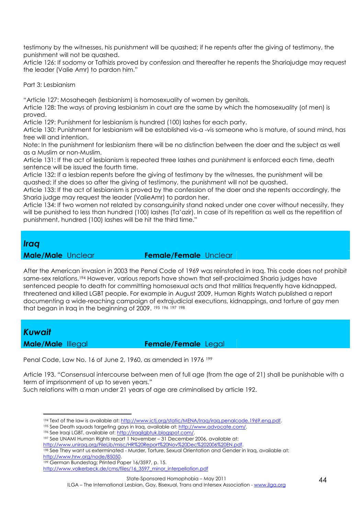testimony by the witnesses, his punishment will be quashed; if he repents after the giving of testimony, the punishment will not be quashed.

Article 126: If sodomy or Tafhizis proved by confession and thereafter he repents the Shariajudge may request the leader (Valie Amr) to pardon him."

Part 3: Lesbianism

"Article 127: Mosaheqeh (lesbianism) is homosexuality of women by genitals.

Article 128: The ways of proving lesbianism in court are the same by which the homosexuality (of men) is proved.

Article 129: Punishment for lesbianism is hundred (100) lashes for each party.

Article 130: Punishment for lesbianism will be established vis-a -vis someone who is mature, of sound mind, has free will and intention.

Note: In the punishment for lesbianism there will be no distinction between the doer and the subject as well as a Muslim or non-Muslim.

Article 131: If the act of lesbianism is repeated three lashes and punishment is enforced each time, death sentence will be issued the fourth time.

Article 132: If a lesbian repents before the giving of testimony by the witnesses, the punishment will be quashed; if she does so after the giving of testimony, the punishment will not be quashed.

Article 133: If the act of lesbianism is proved by the confession of the doer and she repents accordingly, the Sharia judge may request the leader (ValieAmr) to pardon her.

Article 134: If two women not related by consanguinity stand naked under one cover without necessity, they will be punished to less than hundred (100) lashes (Ta'azir). In case of its repetition as well as the repetition of punishment, hundred (100) lashes will be hit the third time."

#### *Iraq*

**Male/Male** Unclear **Female/Female** Unclear

After the American invasion in 2003 the Penal Code of 1969 was reinstated in Iraq. This code does not prohibit same-sex relations.194 However, various reports have shown that self-proclaimed Sharia judges have sentenced people to death for committing homosexual acts and that militias frequently have kidnapped, threatened and killed LGBT people. For example in August 2009, Human Rights Watch published a report documenting a wide-reaching campaign of extrajudicial executions, kidnappings, and torture of gay men that began in Iraq in the beginning of 2009. <sup>195</sup> <sup>196</sup> <sup>197</sup> <sup>198</sup>

#### *Kuwait*

 $\overline{a}$ 

**Male/Male** Illegal **Female/Female** Legal

Penal Code, Law No. 16 of June 2, 1960, as amended in 1976 199

Article 193. "Consensual intercourse between men of full age (from the age of 21) shall be punishable with a term of imprisonment of up to seven years."

Such relations with a man under 21 years of age are criminalised by article 192.

<sup>198</sup> See They want us exterminated - Murder, Torture, Sexual Orientation and Gender in Iraq, available at: http://www.hrw.org/node/85050.

http://www.volkerbeck.de/cms/files/16\_3597\_minor\_interpellation.pdf

ILGA – The International Lesbian, Gay, Bisexual, Trans and Intersex Association - www.ilga.org

<sup>194</sup> Text of the law is available at: http://www.ictj.org/static/MENA/Iraq/iraq.penalcode.1969.eng.pdf.

<sup>195</sup> See Death squads targeting gays in Iraq, available at: http://www.advocate.com/.

<sup>196</sup> See Iraqi LGBT, available at: http://iraqilgbtuk.blogspot.com/.

<sup>197</sup> See UNAMI Human Rights report 1 November – 31 December 2006, available at:

http://www.uniraq.org/FileLib/misc/HR%20Report%20Nov%20Dec%202006%20EN.pdf.

<sup>199</sup> German Bundestag; Printed Paper 16/3597, p. 15.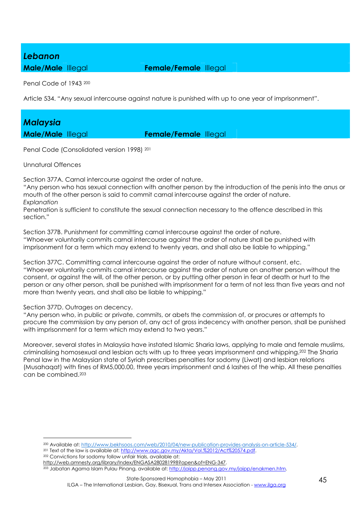#### *Lebanon*

**Male/Male** Illegal **Female/Female** Illegal

Penal Code of 1943 <sup>200</sup>

Article 534. "Any sexual intercourse against nature is punished with up to one year of imprisonment".

# *Malaysia*

**Male/Male** Illegal **Female/Female** Illegal

Penal Code (Consolidated version 1998) <sup>201</sup>

Unnatural Offences

Section 377A. Carnal intercourse against the order of nature.

"Any person who has sexual connection with another person by the introduction of the penis into the anus or mouth of the other person is said to commit carnal intercourse against the order of nature. *Explanation*

Penetration is sufficient to constitute the sexual connection necessary to the offence described in this section."

Section 377B. Punishment for committing carnal intercourse against the order of nature. "Whoever voluntarily commits carnal intercourse against the order of nature shall be punished with imprisonment for a term which may extend to twenty years, and shall also be liable to whipping."

Section 377C. Committing carnal intercourse against the order of nature without consent, etc. "Whoever voluntarily commits carnal intercourse against the order of nature on another person without the consent, or against the will, of the other person, or by putting other person in fear of death or hurt to the person or any other person, shall be punished with imprisonment for a term of not less than five years and not more than twenty years, and shall also be liable to whipping."

Section 377D. Outrages on decency.

 $\overline{a}$ 

"Any person who, in public or private, commits, or abets the commission of, or procures or attempts to procure the commission by any person of, any act of gross indecency with another person, shall be punished with imprisonment for a term which may extend to two years."

Moreover, several states in Malaysia have instated Islamic Sharia laws, applying to male and female muslims, criminalising homosexual and lesbian acts with up to three years imprisonment and whipping.202 The Sharia Penal law in the Malaysian state of Syriah prescribes penalties for sodomy (Liwat) and lesbian relations (Musahaqat) with fines of RM5,000.00, three years imprisonment and 6 lashes of the whip. All these penalties can be combined.<sup>203</sup>

<sup>201</sup> Text of the law is available at: http://www.agc.gov.my/Akta/Vol.%2012/Act%20574.pdf.

<sup>202</sup> Convictions for sodomy follow unfair trials, available at:

<sup>200</sup> Available at: http://www.bekhsoos.com/web/2010/04/new-publication-provides-analysis-on-article-534/.

http://web.amnesty.org/library/Index/ENGASA280281998?open&of=ENG-347.

<sup>&</sup>lt;sup>203</sup> Jabatan Agama Islam Pulau Pinang, available at: http://jaipp.penang.gov.my/jaipp/enakmen.htm.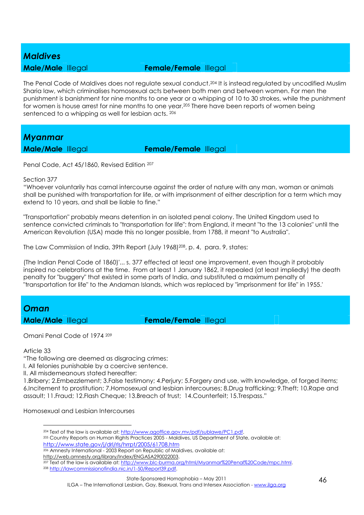#### *Maldives*

#### **Male/Male** Illegal **Female/Female** Illegal

The Penal Code of Maldives does not regulate sexual conduct.204 It is instead regulated by uncodified Muslim Sharia law, which criminalises homosexual acts between both men and between women. For men the punishment is banishment for nine months to one year or a whipping of 10 to 30 strokes, while the punishment for women is house arrest for nine months to one year.205 There have been reports of women being sentenced to a whipping as well for lesbian acts. <sup>206</sup>

#### *Myanmar*

**Male/Male** Illegal **Female/Female** Illegal

Penal Code, Act 45/1860, Revised Edition <sup>207</sup>

#### Section 377

"Whoever voluntarily has carnal intercourse against the order of nature with any man, woman or animals shall be punished with transportation for life, or with imprisonment of either description for a term which may extend to 10 years, and shall be liable to fine."

"Transportation" probably means detention in an isolated penal colony. The United Kingdom used to sentence convicted criminals to "transportation for life": from England, it meant "to the 13 colonies" until the American Revolution (USA) made this no longer possible, from 1788, it meant "to Australia".

The Law Commission of India, 39th Report (July 1968) <sup>208</sup>, p. 4, para. 9, states:

(The Indian Penal Code of 1860)'... s. 377 effected at least one improvement, even though it probably inspired no celebrations at the time. From at least 1 January 1862, it repealed (at least impliedly) the death penalty for "buggery" that existed in some parts of India, and substituted a maximum penalty of "transportation for life" to the Andaman Islands, which was replaced by "imprisonment for life" in 1955.'

## *Oman*

**Male/Male** Illegal **Female/Female** Illegal

Omani Penal Code of 1974 <sup>209</sup>

Article 33

"The following are deemed as disgracing crimes:

I. All felonies punishable by a coercive sentence.

II. All misdemeanours stated hereafter:

1.Bribery; 2.Embezzlement; 3.False testimony; 4.Perjury; 5.Forgery and use, with knowledge, of forged items; 6.Incitement to prostitution; 7.Homosexual and lesbian intercourses; 8.Drug trafficking; 9.Theft; 10.Rape and assault; 11.Fraud; 12.Flash Cheque; 13.Breach of trust; 14.Counterfeit; 15.Trespass."

Homosexual and Lesbian Intercourses

 $\overline{a}$ <sup>204</sup> Text of the law is available at: http://www.agoffice.gov.mv/pdf/sublawe/PC1.pdf.

<sup>205</sup> Country Reports on Human Rights Practices 2005 - Maldives, US Department of State, available at: http://www.state.gov/j/drl/rls/hrrpt/2005/61708.htm

<sup>206</sup> Amnesty International - 2003 Report on Republic of Maldives, available at: http://web.amnesty.org/library/Index/ENGASA290022003.

<sup>&</sup>lt;sup>207</sup> Text of the law is available at: http://www.blc-burma.org/html/Myanmar%20Penal%20Code/mpc.html. <sup>208</sup> http://lawcommissionofindia.nic.in/1-50/Report39.pdf.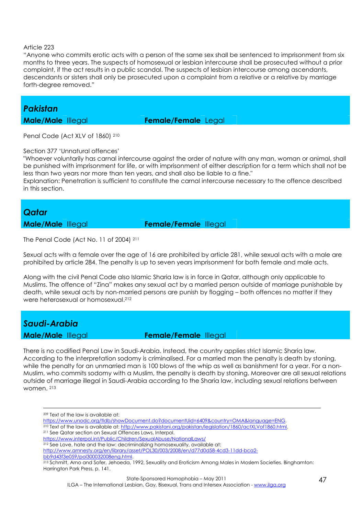#### Article 223

"Anyone who commits erotic acts with a person of the same sex shall be sentenced to imprisonment from six months to three years. The suspects of homosexual or lesbian intercourse shall be prosecuted without a prior complaint, if the act results in a public scandal. The suspects of lesbian intercourse among ascendants, descendants or sisters shall only be prosecuted upon a complaint from a relative or a relative by marriage forth-degree removed."

### *Pakistan*

**Male/Male** Illegal **Female/Female** Legal

Penal Code (Act XLV of 1860) <sup>210</sup>

#### Section 377 'Unnatural offences'

"Whoever voluntarily has carnal intercourse against the order of nature with any man, woman or animal, shall be punished with imprisonment for life, or with imprisonment of either description for a term which shall not be less than two years nor more than ten years, and shall also be liable to a fine."

Explanation: Penetration is sufficient to constitute the carnal intercourse necessary to the offence described in this section.

#### *Qatar*

**Male/Male** Illegal **Female/Female** Illegal

The Penal Code (Act No. 11 of 2004) <sup>211</sup>

Sexual acts with a female over the age of 16 are prohibited by article 281, while sexual acts with a male are prohibited by article 284. The penalty is up to seven years imprisonment for both female and male acts.

Along with the civil Penal Code also Islamic Sharia law is in force in Qatar, although only applicable to Muslims. The offence of "Zina" makes any sexual act by a married person outside of marriage punishable by death, while sexual acts by non-married persons are punish by flogging – both offences no matter if they were heterosexual or homosexual.<sup>212</sup>

#### *Saudi-Arabia*

<u>.</u>

**Male/Male** Illegal **Female/Female** Illegal

There is no codified Penal Law in Saudi-Arabia. Instead, the country applies strict Islamic Sharia law. According to the interpretation sodomy is criminalised. For a married man the penalty is death by stoning, while the penalty for an unmarried man is 100 blows of the whip as well as banishment for a year. For a non-Muslim, who commits sodomy with a Muslim, the penalty is death by stoning. Moreover are all sexual relations outside of marriage illegal in Saudi-Arabia according to the Sharia law, including sexual relations between women. <sup>213</sup>

- https://www.unodc.org/tldb/showDocument.do?documentUid=6409&country=OMA&language=ENG.
- <sup>210</sup> Text of the law is available at: http://www.pakistani.org/pakistan/legislation/1860/actXLVof1860.html.

- https://www.interpol.int/Public/Children/SexualAbuse/NationalLaws/
- <sup>212</sup> See Love, hate and the law: decriminalizing homosexuality, available at:

bb9d43f3e059/pol300032008eng.html.

<sup>209</sup> Text of the law is available at:

<sup>211</sup> See Qatar section on Sexual Offences Laws, Interpol.

http://www.amnesty.org/en/library/asset/POL30/003/2008/en/d77d0d58-4cd3-11dd-bca2-

<sup>213</sup> Schmitt, Arno and Sofer, Jehoeda, 1992, Sexuality and Eroticism Among Males in Moslem Societies. Binghamton: Harrington Park Press, p. 141.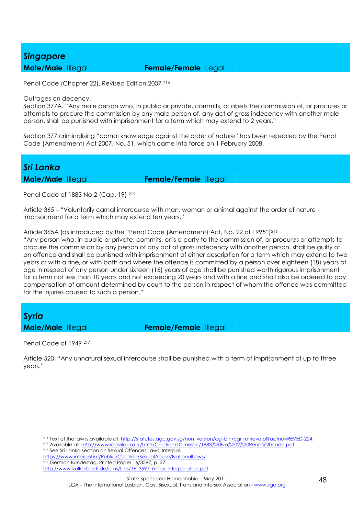#### *Singapore*

#### **Male/Male** Illegal **Female/Female** Legal

Penal Code (Chapter 22), Revised Edition 2007 <sup>214</sup>

#### Outrages on decency.

Section 377A. "Any male person who, in public or private, commits, or abets the commission of, or procures or attempts to procure the commission by any male person of, any act of gross indecency with another male person, shall be punished with imprisonment for a term which may extend to 2 years."

Section 377 criminalising "carnal knowledge against the order of nature" has been repealed by the Penal Code (Amendment) Act 2007, No. 51, which came into force on 1 February 2008.

# *Sri Lanka*

**Male/Male** Illegal **Female/Female** Illegal

Penal Code of 1883 No 2 (Cap. 19) <sup>215</sup>

Article 365 – "Voluntarily carnal intercourse with man, woman or animal against the order of nature imprisonment for a term which may extend ten years."

#### Article 365A (as introduced by the "Penal Code (Amendment) Act, No. 22 of 1995")<sup>216</sup>

"Any person who, in public or private, commits, or is a party to the commission of, or procures or attempts to procure the commission by any person of any act of gross indecency with another person, shall be guilty of an offence and shall be punished with imprisonment of either description for a term which may extend to two years or with a fine, or with both and where the offence is committed by a person over eighteen (18) years of age in respect of any person under sixteen (16) years of age shall be punished worth rigorous imprisonment for a term not less than 10 years and not exceeding 20 years and with a fine and shall also be ordered to pay compensation of amount determined by court to the person in respect of whom the offence was committed for the injuries caused to such a person."

# *Syria*

**Male/Male** Illegal **Female/Female** Illegal

Penal Code of 1949 <sup>217</sup>

 $\overline{a}$ 

Article 520. "Any unnatural sexual intercourse shall be punished with a term of imprisonment of up to three years."

<sup>215</sup> Available at: http://www.idpsrilanka.lk/html/Children/Domestic/1883%20No%202%20Penal%20code.pdf.

<sup>216</sup> See Sri Lanka section on Sexual Offences Laws, Interpol. https://www.interpol.int/Public/Children/SexualAbuse/NationalLaws/ <sup>217</sup> German Bundestag. Printed Paper 16/3597, p. 27.

<sup>214</sup> Text of the law is available at: http://statutes.agc.gov.sg/non\_version/cgi-bin/cgi\_retrieve.pl?actno=REVED-224.

http://www.volkerbeck.de/cms/files/16\_3597\_minor\_interpellation.pdf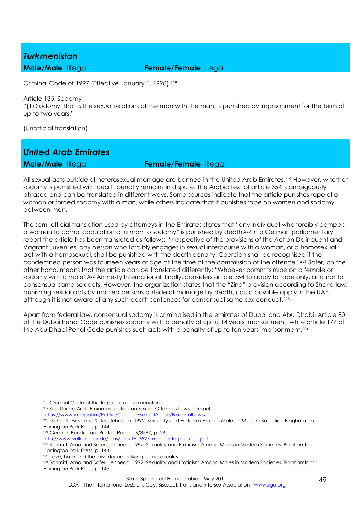#### *Turkmenistan*

**Male/Male** Illegal **Female/Female** Legal

Criminal Code of 1997 (Effective January 1, 1998) <sup>218</sup>

Article 135. Sodomy

"(1) Sodomy, that is the sexual relations of the man with the man, is punished by imprisonment for the term of up to two years."

(Unofficial translation)

# *United Arab Emirates*

**Male/Male** Illegal **Female/Female** Illegal

All sexual acts outside of heterosexual marriage are banned in the United Arab Emirates.219 However, whether sodomy is punished with death penalty remains in dispute. The Arabic text of article 354 is ambiguously phrased and can be translated in different ways. Some sources indicate that the article punishes rape of a woman or forced sodomy with a man, while others indicate that it punishes rape on women and sodomy between men.

The semi-official translation used by attorneys in the Emirates states that "any individual who forcibly compels a woman to carnal copulation or a man to sodomy" is punished by death.220 In a German parliamentary report the article has been translated as follows: "Irrespective of the provisions of the Act on Delinquent and Vagrant Juveniles, any person who forcibly engages in sexual intercourse with a woman, or a homosexual act with a homosexual, shall be punished with the death penalty. Coercion shall be recognised if the condemned person was fourteen years of age at the time of the commission of the offence."221 Sofer, on the other hand, means that the article can be translated differently; "Whoever commits rape on a female or sodomy with a male".222 Amnesty International, finally, considers article 354 to apply to rape only, and not to consensual same-sex acts. However, the organization states that the "Zina" provision according to Sharia law, punishing sexual acts by married persons outside of marriage by death, could possible apply in the UAE, although it is not aware of any such death sentences for consensual same-sex conduct.<sup>223</sup>

Apart from federal law, consensual sodomy is criminalised in the emirates of Dubai and Abu Dhabi. Article 80 of the Dubai Penal Code punishes sodomy with a penalty of up to 14 years imprisonment, while article 177 of the Abu Dhabi Penal Code punishes such acts with a penalty of up to ten years imprisonment.<sup>224</sup>

https://www.interpol.int/Public/Children/SexualAbuse/NationalLaws/

 $\overline{a}$ <sup>218</sup> Criminal Code of the Republic of Turkmenistan.

<sup>219</sup> See United Arab Eminates section on Sexual Offences Laws, Interpol.

<sup>220</sup> Schmitt, Arno and Sofer, Jehoeda, 1992, Sexuality and Eroticism Among Males in Moslem Societies. Binghamton: Harrington Park Press, p. 144.

<sup>221</sup> German Bundestag; Printed Paper 16/3597, p. 29.

http://www.volkerbeck.de/cms/files/16\_3597\_minor\_interpellation.pdf

<sup>222</sup> Schmitt, Arno and Sofer, Jehoeda, 1992, Sexuality and Eroticism Among Males in Moslem Societies. Binghamton: Harrington Park Press, p. 144.

<sup>223</sup> Love, hate and the law: decriminalizing homosexuality.

<sup>224</sup> Schmitt, Arno and Sofer, Jehoeda, 1992, Sexuality and Eroticism Among Males in Moslem Societies. Binghamton: Harrington Park Press, p. 145.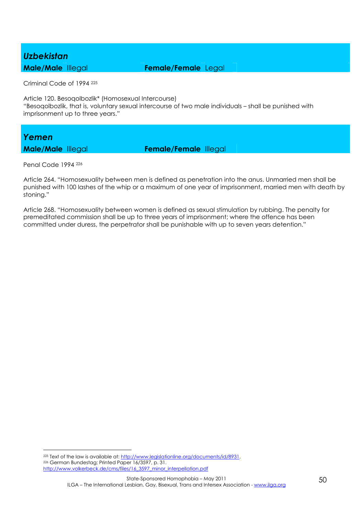#### *Uzbekistan*

**Male/Male** Illegal **Female/Female** Legal

Criminal Code of 1994 <sup>225</sup>

Article 120. Besoqolbozlik\* (Homosexual Intercourse) "Besoqolbozlik, that is, voluntary sexual intercourse of two male individuals – shall be punished with imprisonment up to three years."

#### *Yemen*

**Male/Male** Illegal **Female/Female** Illegal

Penal Code 1994 <sup>226</sup>

 $\overline{a}$ 

Article 264. "Homosexuality between men is defined as penetration into the anus. Unmarried men shall be punished with 100 lashes of the whip or a maximum of one year of imprisonment, married men with death by stoning."

Article 268. "Homosexuality between women is defined as sexual stimulation by rubbing. The penalty for premeditated commission shall be up to three years of imprisonment; where the offence has been committed under duress, the perpetrator shall be punishable with up to seven years detention."

<sup>225</sup> Text of the law is available at: http://www.legislationline.org/documents/id/8931. <sup>226</sup> German Bundestag; Printed Paper 16/3597, p. 31. http://www.volkerbeck.de/cms/files/16\_3597\_minor\_interpellation.pdf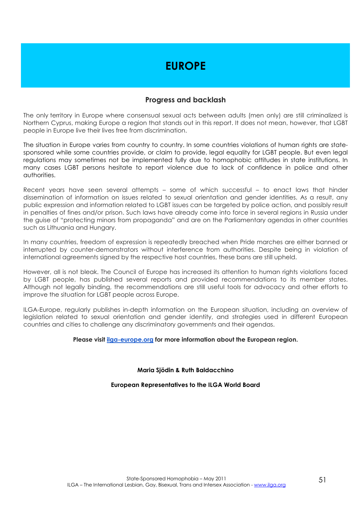### **EUROPE**

#### **Progress and backlash**

The only territory in Europe where consensual sexual acts between adults (men only) are still criminalized is Northern Cyprus, making Europe a region that stands out in this report. It does not mean, however, that LGBT people in Europe live their lives free from discrimination.

The situation in Europe varies from country to country. In some countries violations of human rights are statesponsored while some countries provide, or claim to provide, legal equality for LGBT people. But even legal regulations may sometimes not be implemented fully due to homophobic attitudes in state institutions. In many cases LGBT persons hesitate to report violence due to lack of confidence in police and other authorities.

Recent years have seen several attempts – some of which successful – to enact laws that hinder dissemination of information on issues related to sexual orientation and gender identities. As a result, any public expression and information related to LGBT issues can be targeted by police action, and possibly result in penalties of fines and/or prison. Such laws have already come into force in several regions in Russia under the guise of "protecting minors from propaganda" and are on the Parliamentary agendas in other countries such as Lithuania and Hungary.

In many countries, freedom of expression is repeatedly breached when Pride marches are either banned or interrupted by counter-demonstrators without interference from authorities. Despite being in violation of international agreements signed by the respective host countries, these bans are still upheld.

However, all is not bleak. The Council of Europe has increased its attention to human rights violations faced by LGBT people, has published several reports and provided recommendations to its member states. Although not legally binding, the recommendations are still useful tools for advocacy and other efforts to improve the situation for LGBT people across Europe.

ILGA-Europe, regularly publishes in-depth information on the European situation, including an overview of legislation related to sexual orientation and gender identity, and strategies used in different European countries and cities to challenge any discriminatory governments and their agendas.

#### **Please visit ilga-europe.org for more information about the European region.**

**Maria Sjödin & Ruth Baldacchino** 

#### **European Representatives to the ILGA World Board**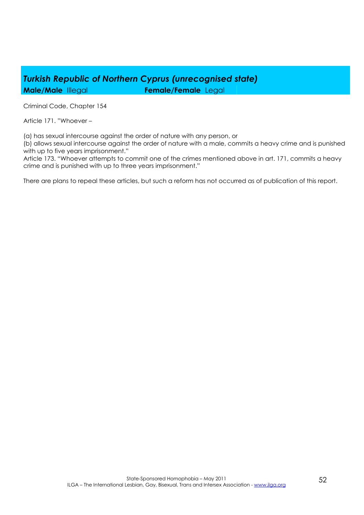### *Turkish Republic of Northern Cyprus (unrecognised state)*  **Male/Male** Illegal **Female/Female** Legal

Criminal Code, Chapter 154

Article 171. "Whoever –

(a) has sexual intercourse against the order of nature with any person, or

(b) allows sexual intercourse against the order of nature with a male, commits a heavy crime and is punished with up to five years imprisonment."

Article 173. "Whoever attempts to commit one of the crimes mentioned above in art. 171, commits a heavy crime and is punished with up to three years imprisonment."

There are plans to repeal these articles, but such a reform has not occurred as of publication of this report.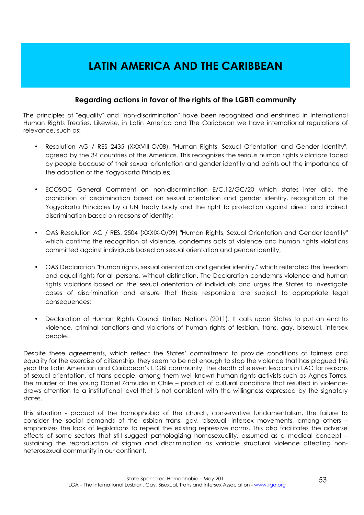### **LATIN AMERICA AND THE CARIBBEAN**

#### **Regarding actions in favor of the rights of the LGBTI community**

The principles of "equality" and "non-discrimination" have been recognized and enshrined in International Human Rights Treaties. Likewise, in Latin America and The Caribbean we have international regulations of relevance, such as:

- Resolution AG / RES 2435 (XXXVIII-O/08), "Human Rights, Sexual Orientation and Gender Identity", agreed by the 34 countries of the Americas. This recognizes the serious human rights violations faced by people because of their sexual orientation and gender identity and points out the importance of the adoption of the Yogyakarta Principles;
- ECOSOC General Comment on non-discrimination E/C.12/GC/20 which states inter alia, the prohibition of discrimination based on sexual orientation and gender identity, recognition of the Yogyakarta Principles by a UN Treaty body and the right to protection against direct and indirect discrimination based on reasons of identity;
- OAS Resolution AG / RES. 2504 (XXXIX-O/09) "Human Rights, Sexual Orientation and Gender Identity" which confirms the recognition of violence, condemns acts of violence and human rights violations committed against individuals based on sexual orientation and gender identity;
- OAS Declaration "Human rights, sexual orientation and gender identity," which reiterated the freedom and equal rights for all persons, without distinction. The Declaration condemns violence and human rights violations based on the sexual orientation of individuals and urges the States to investigate cases of discrimination and ensure that those responsible are subject to appropriate legal consequences;
- Declaration of Human Rights Council United Nations (2011). It calls upon States to put an end to violence, criminal sanctions and violations of human rights of lesbian, trans, gay, bisexual, intersex people.

Despite these agreements, which reflect the States' commitment to provide conditions of fairness and equality for the exercise of citizenship, they seem to be not enough to stop the violence that has plagued this year the Latin American and Caribbean's LTGBI community. The death of eleven lesbians in LAC for reasons of sexual orientation, of trans people, among them well-known human rights activists such as Agnes Torres, the murder of the young Daniel Zamudio in Chile – product of cultural conditions that resulted in violencedraws attention to a institutional level that is not consistent with the willingness expressed by the signatory states.

This situation - product of the homophobia of the church, conservative fundamentalism, the failure to consider the social demands of the lesbian trans, gay, bisexual, intersex movements, among others – emphasizes the lack of legislations to repeal the existing repressive norms. This also facilitates the adverse effects of some sectors that still suggest pathologizing homosexuality, assumed as a medical concept – sustaining the reproduction of stigma and discrimination as variable structural violence affecting nonheterosexual community in our continent.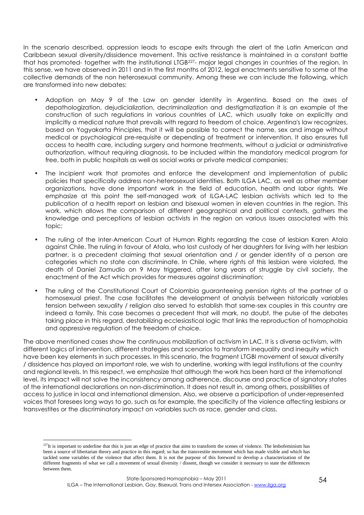In the scenario described, oppression leads to escape exits through the alert of the Latin American and Caribbean sexual diversity/dissidence movement. This active resistance is maintained in a constant battle that has promoted- together with the institutional LTGB227- major legal changes in countries of the region. In this sense, we have observed in 2011 and in the first months of 2012, legal enactments sensitive to some of the collective demands of the non heterosexual community. Among these we can include the following, which are transformed into new debates:

- Adoption on May 9 of the Law on gender identity in Argentina. Based on the axes of depathologization, dejudicialization, decriminalization and destigmatization it is an example of the construction of such regulations in various countries of LAC, which usually take on explicitly and implicitly a medical nature that prevails with regard to freedom of choice. Argentina's law recognizes, based on Yogyakarta Principles, that it will be possible to correct the name, sex and image without medical or psychological pre-requisite or depending of treatment or intervention. It also ensures full access to health care, including surgery and hormone treatments, without a judicial or administrative authorization, without requiring diagnosis, to be included within the mandatory medical program for free, both in public hospitals as well as social works or private medical companies;
- The incipient work that promotes and enforce the development and implementation of public policies that specifically address non-heterosexual identities. Both ILGA LAC, as well as other member organizations, have done important work in the field of education, health and labor rights. We emphasize at this point the self-managed work of ILGA-LAC lesbian activists which led to the publication of a health report on lesbian and bisexual women in eleven countries in the region. This work, which allows the comparison of different geographical and political contexts, gathers the knowledge and perceptions of lesbian activists in the region on various issues associated with this topic;
- The ruling of the Inter-American Court of Human Rights regarding the case of lesbian Karen Atala against Chile. The ruling in favour of Atala, who lost custody of her daughters for living with her lesbian partner, is a precedent claiming that sexual orientation and / or gender identity of a person are categories which no state can discriminate. In Chile, where rights of this lesbian were violated, the death of Daniel Zamudio on 9 May triggered, after long years of struggle by civil society, the enactment of the Act which provides for measures against discrimination;
- The ruling of the Constitutional Court of Colombia guaranteeing pension rights of the partner of a homosexual priest. The case facilitates the development of analysis between historically variables tension between sexuality / religion also served to establish that same-sex couples in this country are indeed a family. This case becomes a precedent that will mark, no doubt, the pulse of the debates taking place in this regard, destabilizing ecclesiastical logic that links the reproduction of homophobia and oppressive regulation of the freedom of choice.

The above mentioned cases show the continuous mobilization of activism in LAC. It is s diverse activism, with different logics of intervention, different strategies and scenarios to transform inequality and inequity which have been key elements in such processes. In this scenario, the fragment LTGBI movement of sexual diversity / dissidence has played an important role, we wish to underline, working with legal institutions at the country and regional levels. In this respect, we emphasize that although the work has been hard at the international level, its impact will not solve the inconsistency among adherence, discourse and practice of signatory states of the international declarations on non-discrimination. It does not result in, among others, possibilities of access to justice in local and international dimension. Also, we observe a participation of under-represented voices that foresees long ways to go, such as for example, the specificity of the violence affecting lesbians or transvestites or the discriminatory impact on variables such as race, gender and class.

 $\overline{a}$ 

 $2^{27}$ It is important to underline that this is just an edge of practice that aims to transform the scenes of violence. The lesbofeminism has been a source of libertarian theory and practice in this regard; so has the transvestite movement which has made visible and which has tackled some variables of the violence that affect them. It is not the purpose of this foreword to develop a characterization of the different fragments of what we call a movement of sexual diversity / dissent, though we consider it necessary to state the differences between them.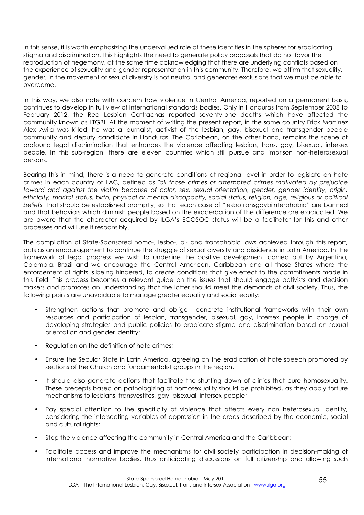In this sense, it is worth emphasizing the undervalued role of these identities in the spheres for eradicating stigma and discrimination. This highlights the need to generate policy proposals that do not favor the reproduction of hegemony, at the same time acknowledging that there are underlying conflicts based on the experience of sexuality and gender representation in this community. Therefore, we affirm that sexuality, gender, in the movement of sexual diversity is not neutral and generates exclusions that we must be able to overcome.

In this way, we also note with concern how violence in Central America, reported on a permanent basis, continues to develop in full view of international standards bodies. Only in Honduras from September 2008 to February 2012, the Red Lesbian Cattrachas reported seventy-one deaths which have affected the community known as LTGBI. At the moment of writing the present report, in the same country Erick Martinez Alex Avila was killed, he was a journalist, activist of the lesbian, gay, bisexual and transgender people community and deputy candidate in Honduras. The Caribbean, on the other hand, remains the scene of profound legal discrimination that enhances the violence affecting lesbian, trans, gay, bisexual, intersex people. In this sub-region, there are eleven countries which still pursue and imprison non-heterosexual persons.

Bearing this in mind, there is a need to generate conditions at regional level in order to legislate on hate crimes in each country of LAC, defined as *"all those crimes or attempted crimes motivated by prejudice toward and against the victim because of color, sex, sexual orientation, gender, gender identity, origin, ethnicity, marital status, birth, physical or mental discapacity, social status, religion, age, religious or political beliefs"* that should be established promptly, so that each case of "lesbotransgaybiinterphobia" are banned and that behaviors which diminish people based on the exacerbation of the difference are eradicated. We are aware that the character acquired by ILGA's ECOSOC status will be a facilitator for this and other processes and will use it responsibly.

The compilation of State-Sponsored homo-, lesbo-, bi- and transphobia laws achieved through this report, acts as an encouragement to continue the struggle of sexual diversity and dissidence in Latin America. In the framework of legal progress we wish to underline the positive development carried out by Argentina, Colombia, Brazil and we encourage the Central American, Caribbean and all those States where the enforcement of rights is being hindered, to create conditions that give effect to the commitments made in this field. This process becomes a relevant guide on the issues that should engage activists and decision makers and promotes an understanding that the latter should meet the demands of civil society. Thus, the following points are unavoidable to manage greater equality and social equity:

- Strengthen actions that promote and oblige concrete institutional frameworks with their own resources and participation of lesbian, transgender, bisexual, gay, intersex people in charge of developing strategies and public policies to eradicate stigma and discrimination based on sexual orientation and gender identity;
- Regulation on the definition of hate crimes;
- Ensure the Secular State in Latin America, agreeing on the eradication of hate speech promoted by sections of the Church and fundamentalist groups in the region.
- It should also generate actions that facilitate the shutting down of clinics that cure homosexuality. These precepts based on pathologizing of homosexuality should be prohibited, as they apply torture mechanisms to lesbians, transvestites, gay, bisexual, intersex people;
- Pay special attention to the specificity of violence that affects every non heterosexual identity, considering the intersecting variables of oppression in the areas described by the economic, social and cultural rights;
- Stop the violence affecting the community in Central America and the Caribbean;
- Facilitate access and improve the mechanisms for civil society participation in decision-making of international normative bodies, thus anticipating discussions on full citizenship and allowing such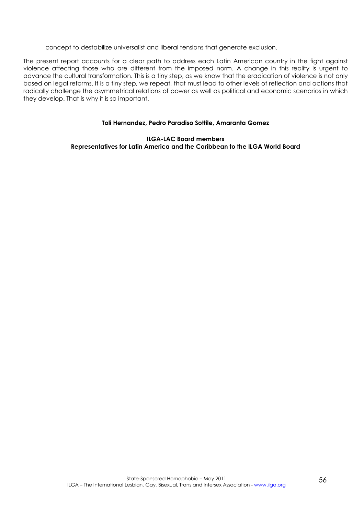concept to destabilize universalist and liberal tensions that generate exclusion.

The present report accounts for a clear path to address each Latin American country in the fight against violence affecting those who are different from the imposed norm. A change in this reality is urgent to advance the cultural transformation. This is a tiny step, as we know that the eradication of violence is not only based on legal reforms. It is a tiny step, we repeat, that must lead to other levels of reflection and actions that radically challenge the asymmetrical relations of power as well as political and economic scenarios in which they develop. That is why it is so important.

#### **Toli Hernandez, Pedro Paradiso Sottile, Amaranta Gomez**

**ILGA-LAC Board members Representatives for Latin America and the Caribbean to the ILGA World Board**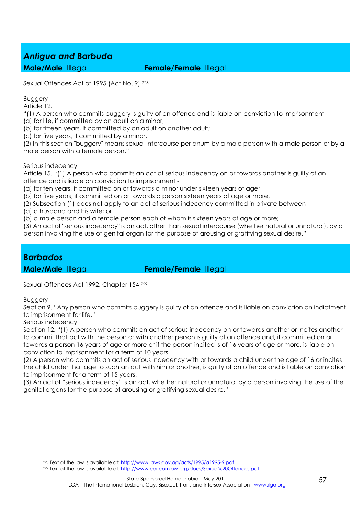### *Antigua and Barbuda*

**Male/Male** Illegal **Female/Female** Illegal

Sexual Offences Act of 1995 (Act No. 9) <sup>228</sup>

Buggery

Article 12.

"(1) A person who commits buggery is guilty of an offence and is liable on conviction to imprisonment -

(a) for life, if committed by an adult on a minor;

(b) for fifteen years, if committed by an adult on another adult;

(c) for five years, if committed by a minor.

(2) In this section "buggery" means sexual intercourse per anum by a male person with a male person or by a male person with a female person."

Serious indecency

Article 15. "(1) A person who commits an act of serious indecency on or towards another is guilty of an offence and is liable on conviction to imprisonment -

(a) for ten years, if committed on or towards a minor under sixteen years of age;

(b) for five years, if committed on or towards a person sixteen years of age or more,

(2) Subsection (1) does not apply to an act of serious indecency committed in private between -

(a) a husband and his wife; or

(b) a male person and a female person each of whom is sixteen years of age or more;

(3) An act of "serious indecency" is an act, other than sexual intercourse (whether natural or unnatural), by a person involving the use of genital organ for the purpose of arousing or gratifying sexual desire."

#### *Barbados*

**Male/Male** Illegal **Female/Female** Illegal

Sexual Offences Act 1992, Chapter 154 <sup>229</sup>

**Buggery** 

Section 9. "Any person who commits buggery is guilty of an offence and is liable on conviction on indictment to imprisonment for life."

Serious indecency

Section 12. "(1) A person who commits an act of serious indecency on or towards another or incites another to commit that act with the person or with another person is guilty of an offence and, if committed on or towards a person 16 years of age or more or if the person incited is of 16 years of age or more, is liable on conviction to imprisonment for a term of 10 years.

(2) A person who commits an act of serious indecency with or towards a child under the age of 16 or incites the child under that age to such an act with him or another, is guilty of an offence and is liable on conviction to imprisonment for a term of 15 years.

(3) An act of "serious indecency" is an act, whether natural or unnatural by a person involving the use of the genital organs for the purpose of arousing or gratifying sexual desire."

 $\overline{a}$ <sup>228</sup> Text of the law is available at: http://www.laws.gov.ag/acts/1995/a1995-9.pdf.

<sup>229</sup> Text of the law is available at: http://www.caricomlaw.org/docs/Sexual%20Offences.pdf.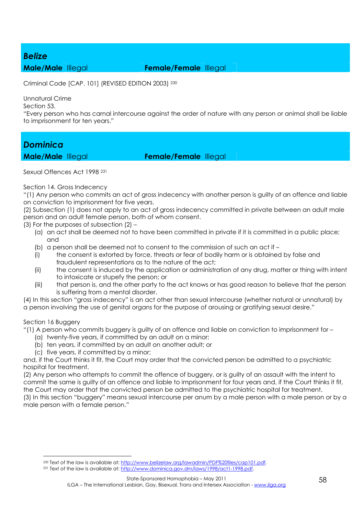#### *Belize*

**Male/Male** Illegal **Female/Female** Illegal

Criminal Code [CAP. 101] (REVISED EDITION 2003) <sup>230</sup>

Unnatural Crime

Section 53.

"Every person who has carnal intercourse against the order of nature with any person or animal shall be liable to imprisonment for ten years."

### *Dominica*

**Male/Male** Illegal **Female/Female** Illegal

Sexual Offences Act 1998 231

Section 14. Gross Indecency

"(1) Any person who commits an act of gross indecency with another person is guilty of an offence and liable on conviction to imprisonment for five years.

(2) Subsection (1) does not apply to an act of gross indecency committed in private between an adult male person and an adult female person, both of whom consent.

(3) For the purposes of subsection (2) –

- (a) an act shall be deemed not to have been committed in private if it is committed in a public place; and
- (b) a person shall be deemed not to consent to the commission of such an act if –
- (i) the consent is extorted by force, threats or fear of bodily harm or is obtained by false and fraudulent representations as to the nature of the act;
- (ii) the consent is induced by the application or administration of any drug, matter or thing with intent to intoxicate or stupefy the person; or
- (iii) that person is, and the other party to the act knows or has good reason to believe that the person is suffering from a mental disorder.

(4) In this section "gross indecency" is an act other than sexual intercourse (whether natural or unnatural) by a person involving the use of genital organs for the purpose of arousing or gratifying sexual desire."

Section 16 Buggery

 $\overline{a}$ 

"(1) A person who commits buggery is guilty of an offence and liable on conviction to imprisonment for –

- (a) twenty-five years, if committed by an adult on a minor;
- (b) ten years, if committed by an adult on another adult; or
- (c) five years, if committed by a minor;

and, if the Court thinks it fit, the Court may order that the convicted person be admitted to a psychiatric hospital for treatment.

(2) Any person who attempts to commit the offence of buggery, or is guilty of an assault with the intent to commit the same is guilty of an offence and liable to imprisonment for four years and, if the Court thinks it fit, the Court may order that the convicted person be admitted to the psychiatric hospital for treatment. (3) In this section "buggery" means sexual intercourse per anum by a male person with a male person or by a male person with a female person."

<sup>&</sup>lt;sup>230</sup> Text of the law is available at: http://www.belizelaw.org/lawadmin/PDF%20files/cap101.pdf.

<sup>231</sup> Text of the law is available at: http://www.dominica.gov.dm/laws/1998/act1-1998.pdf.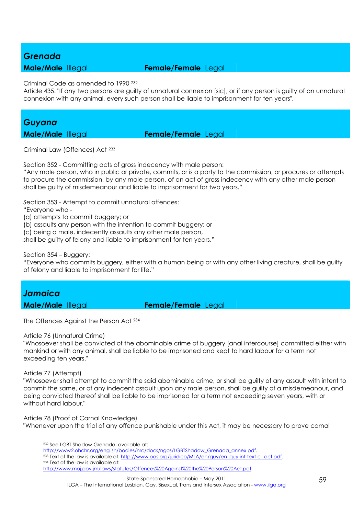#### *Grenada*

#### **Male/Male** Illegal **Female/Female** Legal

Criminal Code as amended to 1990 <sup>232</sup>

Article 435. "If any two persons are guilty of unnatural connexion [sic], or if any person is guilty of an unnatural connexion with any animal, every such person shall be liable to imprisonment for ten years".

# *Guyana*

**Male/Male** Illegal **Female/Female** Legal

Criminal Law (Offences) Act <sup>233</sup>

Section 352 - Committing acts of gross indecency with male person:

"Any male person, who in public or private, commits, or is a party to the commission, or procures or attempts to procure the commission, by any male person, of an act of gross indecency with any other male person shall be guilty of misdemeanour and liable to imprisonment for two years."

Section 353 - Attempt to commit unnatural offences:

"Everyone who -

(a) attempts to commit buggery; or

(b) assaults any person with the intention to commit buggery; or

(c) being a male, indecently assaults any other male person,

shall be guilty of felony and liable to imprisonment for ten years."

Section 354 – Buggery:

"Everyone who commits buggery, either with a human being or with any other living creature, shall be guilty of felony and liable to imprisonment for life."

# *Jamaica*

**Male/Male** Illegal **Female/Female** Legal

The Offences Against the Person Act <sup>234</sup>

#### Article 76 (Unnatural Crime)

"Whosoever shall be convicted of the abominable crime of buggery [anal intercourse] committed either with mankind or with any animal, shall be liable to be imprisoned and kept to hard labour for a term not exceeding ten years."

#### Article 77 (Attempt)

 $\overline{a}$ 

"Whosoever shall attempt to commit the said abominable crime, or shall be guilty of any assault with intent to commit the same, or of any indecent assault upon any male person, shall be guilty of a misdemeanour, and being convicted thereof shall be liable to be imprisoned for a term not exceeding seven years, with or without hard labour."

Article 78 (Proof of Carnal Knowledge)

"Whenever upon the trial of any offence punishable under this Act, it may be necessary to prove carnal

<sup>232</sup> See LGBT Shadow Grenada, available at:

http://www2.ohchr.org/english/bodies/hrc/docs/ngos/LGBTShadow\_Grenada\_annex.pdf. <sup>233</sup> Text of the law is available at: http://www.oas.org/juridico/MLA/en/guy/en\_guy-int-text-cl\_act.pdf. 234 Text of the law is available at: http://www.moj.gov.jm/laws/statutes/Offences%20Against%20the%20Person%20Act.pdf.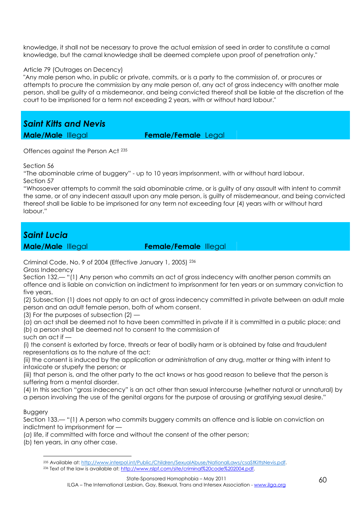knowledge, it shall not be necessary to prove the actual emission of seed in order to constitute a carnal knowledge, but the carnal knowledge shall be deemed complete upon proof of penetration only."

#### Article 79 (Outrages on Decency)

"Any male person who, in public or private, commits, or is a party to the commission of, or procures or attempts to procure the commission by any male person of, any act of gross indecency with another male person, shall be guilty of a misdemeanor, and being convicted thereof shall be liable at the discretion of the court to be imprisoned for a term not exceeding 2 years, with or without hard labour."

*Saint Kitts and Nevis* 

**Male/Male** Illegal **Female/Female** Legal

Offences against the Person Act <sup>235</sup>

Section 56

"The abominable crime of buggery" - up to 10 years imprisonment, with or without hard labour. Section 57

"Whosoever attempts to commit the said abominable crime, or is guilty of any assault with intent to commit the same, or of any indecent assault upon any male person, is guilty of misdemeanour, and being convicted thereof shall be liable to be imprisoned for any term not exceeding four (4) years with or without hard labour."

#### *Saint Lucia*

**Male/Male** Illegal **Female/Female** Illegal

Criminal Code, No. 9 of 2004 (Effective January 1, 2005) <sup>236</sup>

Gross Indecency

Section 132.— "(1) Any person who commits an act of gross indecency with another person commits an offence and is liable on conviction on indictment to imprisonment for ten years or on summary conviction to five years.

(2) Subsection (1) does not apply to an act of gross indecency committed in private between an adult male person and an adult female person, both of whom consent.

(3) For the purposes of subsection (2) —

(*a*) an act shall be deemed not to have been committed in private if it is committed in a public place; and (*b*) a person shall be deemed not to consent to the commission of

such an act if —

(i) the consent is extorted by force, threats or fear of bodily harm or is obtained by false and fraudulent representations as to the nature of the act;

(ii) the consent is induced by the application or administration of any drug, matter or thing with intent to intoxicate or stupefy the person; or

(iii) that person is, and the other party to the act knows or has good reason to believe that the person is suffering from a mental disorder.

(4) In this section "gross indecency" is an act other than sexual intercourse (whether natural or unnatural) by a person involving the use of the genital organs for the purpose of arousing or gratifying sexual desire."

#### Buggery

 $\overline{a}$ 

Section 133.— "(1) A person who commits buggery commits an offence and is liable on conviction on indictment to imprisonment for —

(*a*) life, if committed with force and without the consent of the other person;

(*b*) ten years, in any other case.

<sup>235</sup> Available at: http://www.interpol.int/Public/Children/SexualAbuse/NationalLaws/csaStKittsNevis.pdf.

<sup>236</sup> Text of the law is available at: http://www.rslpf.com/site/criminal%20code%202004.pdf.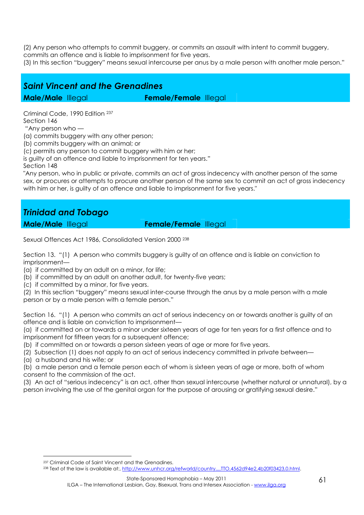(2) Any person who attempts to commit buggery, or commits an assault with intent to commit buggery, commits an offence and is liable to imprisonment for five years.

(3) In this section "buggery" means sexual intercourse per anus by a male person with another male person."

### *Saint Vincent and the Grenadines*

**Male/Male** Illegal **Female/Female** Illegal

Criminal Code, 1990 Edition <sup>237</sup> Section 146 "Any person who —

(a) commits buggery with any other person;

(b) commits buggery with an animal; or

(c) permits any person to commit buggery with him or her;

is guilty of an offence and liable to imprisonment for ten years."

Section 148

"Any person, who in public or private, commits an act of gross indecency with another person of the same sex, or procures or attempts to procure another person of the same sex to commit an act of gross indecency with him or her, is guilty of an offence and liable to imprisonment for five years."

### *Trinidad and Tobago*

**Male/Male** Illegal **Female/Female** Illegal

Sexual Offences Act 1986, Consolidated Version 2000 <sup>238</sup>

Section 13. "(1) A person who commits buggery is guilty of an offence and is liable on conviction to imprisonment—

- (a) if committed by an adult on a minor, for life;
- (b) if committed by an adult on another adult, for twenty-five years;
- (c) if committed by a minor, for five years.

(2) In this section "buggery" means sexual inter-course through the anus by a male person with a male person or by a male person with a female person."

Section 16. "(1) A person who commits an act of serious indecency on or towards another is guilty of an offence and is liable on conviction to imprisonment—

(a) if committed on or towards a minor under sixteen years of age for ten years for a first offence and to imprisonment for fifteen years for a subsequent offence;

(b) if committed on or towards a person sixteen years of age or more for five years.

(2) Subsection (1) does not apply to an act of serious indecency committed in private between—

(a) a husband and his wife; or

 $\overline{a}$ 

(b) a male person and a female person each of whom is sixteen years of age or more, both of whom consent to the commission of the act.

(3) An act of "serious indecency" is an act, other than sexual intercourse (whether natural or unnatural), by a person involving the use of the genital organ for the purpose of arousing or gratifying sexual desire."

<sup>237</sup> Criminal Code of Saint Vincent and the Grenadines.

<sup>238</sup> Text of the law is available at:, http://www.unhcr.org/refworld/country,,,,TTO,4562d94e2,4b20f03423,0.html.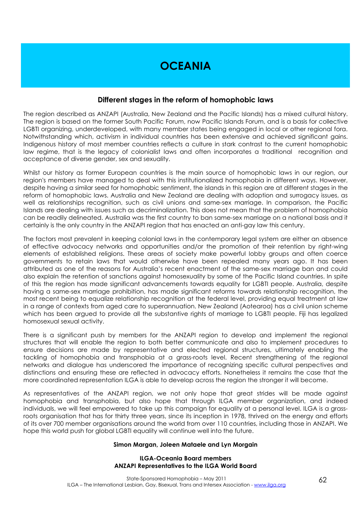### **OCEANIA**

#### **Different stages in the reform of homophobic laws**

The region described as ANZAPI (Australia, New Zealand and the Pacific Islands) has a mixed cultural history. The region is based on the former South Pacific Forum, now Pacific Islands Forum, and is a basis for collective LGBTI organizing, underdeveloped, with many member states being engaged in local or other regional fora. Notwithstanding which, activism in individual countries has been extensive and achieved significant gains. Indigenous history of most member countries reflects a culture in stark contrast to the current homophobic law regime, that is the legacy of colonialist laws and often incorporates a traditional recognition and acceptance of diverse gender, sex and sexuality.

Whilst our history as former European countries is the main source of homophobic laws in our region, our region's members have managed to deal with this institutionalized homophobia in different ways. However, despite having a similar seed for homophobic sentiment, the islands in this region are at different stages in the reform of homophobic laws. Australia and New Zealand are dealing with adoption and surrogacy issues, as well as relationships recognition, such as civil unions and same-sex marriage. In comparison, the Pacific Islands are dealing with issues such as decriminalization. This does not mean that the problem of homophobia can be readily delineated. Australia was the first country to ban same-sex marriage on a national basis and it certainly is the only country in the ANZAPI region that has enacted an anti-gay law this century.

The factors most prevalent in keeping colonial laws in the contemporary legal system are either an absence of effective advocacy networks and opportunities and/or the promotion of their retention by right-wing elements of established religions. These areas of society make powerful lobby groups and often coerce governments to retain laws that would otherwise have been repealed many years ago. It has been attributed as one of the reasons for Australia's recent enactment of the same-sex marriage ban and could also explain the retention of sanctions against homosexuality by some of the Pacific Island countries. In spite of this the region has made significant advancements towards equality for LGBTI people. Australia, despite having a same-sex marriage prohibition, has made significant reforms towards relationship recognition, the most recent being to equalize relationship recognition at the federal level, providing equal treatment at law in a range of contexts from aged care to superannuation. New Zealand (Aotearoa) has a civil union scheme which has been argued to provide all the substantive rights of marriage to LGBTI people. Fiji has legalized homosexual sexual activity.

There is a significant push by members for the ANZAPI region to develop and implement the regional structures that will enable the region to both better communicate and also to implement procedures to ensure decisions are made by representative and elected regional structures, ultimately enabling the tackling of homophobia and transphobia at a grass-roots level. Recent strengthening of the regional networks and dialogue has underscored the importance of recognizing specific cultural perspectives and distinctions and ensuring these are reflected in advocacy efforts. Nonetheless it remains the case that the more coordinated representation ILGA is able to develop across the region the stronger it will become.

As representatives of the ANZAPI region, we not only hope that great strides will be made against homophobia and transphobia, but also hope that through ILGA member organization, and indeed individuals, we will feel empowered to take up this campaign for equality at a personal level. ILGA is a grassroots organisation that has for thirty three years, since its inception in 1978, thrived on the energy and efforts of its over 700 member organisations around the world from over 110 countries, including those in ANZAPI. We hope this world push for global LGBTI equality will continue well into the future.

#### **Simon Margan, Joleen Mataele and Lyn Morgain**

#### **ILGA-Oceania Board members ANZAPI Representatives to the ILGA World Board**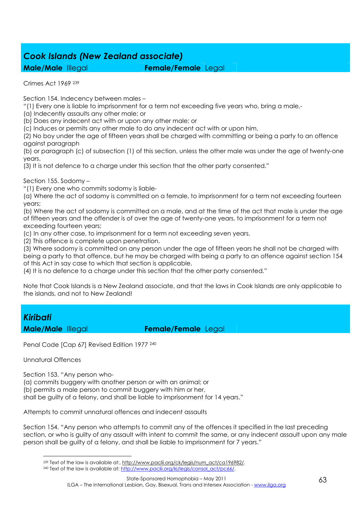### *Cook Islands (New Zealand associate)*

**Male/Male** Illegal **Female/Female** Legal

Crimes Act 1969 <sup>239</sup>

Section 154. Indecency between males –

"(1) Every one is liable to imprisonment for a term not exceeding five years who, bring a male,-

(a) Indecently assaults any other male; or

(b) Does any indecent act with or upon any other male; or

(c) Induces or permits any other male to do any indecent act with or upon him.

(2) No boy under the age of fifteen years shall be charged with committing or being a party to an offence against paragraph

(b) or paragraph (c) of subsection (1) of this section, unless the other male was under the age of twenty-one years.

(3) It is not defence to a charge under this section that the other party consented."

Section 155. Sodomy –

"(1) Every one who commits sodomy is liable-

(a) Where the act of sodomy is committed on a female, to imprisonment for a term not exceeding fourteen years;

(b) Where the act of sodomy is committed on a male, and at the time of the act that male is under the age of fifteen years and the offender is of over the age of twenty-one years, to imprisonment for a term not exceeding fourteen years;

(c) In any other case, to imprisonment for a term not exceeding seven years.

(2) This offence is complete upon penetration.

(3) Where sodomy is committed on any person under the age of fifteen years he shall not be charged with being a party to that offence, but he may be charged with being a party to an offence against section 154 of this Act in say case to which that section is applicable.

(4) It is no defence to a charge under this section that the other party consented."

Note that Cook Islands is a New Zealand associate, and that the laws in Cook Islands are only applicable to the islands, and not to New Zealand!

# *Kiribati*

**Male/Male** Illegal **Female/Female** Legal

Penal Code [Cap 67] Revised Edition 1977 <sup>240</sup>

Unnatural Offences

Section 153. "Any person who-

(a) commits buggery with another person or with an animal; or (b) permits a male person to commit buggery with him or her, shall be guilty of a felony, and shall be liable to imprisonment for 14 years."

Attempts to commit unnatural offences and indecent assaults

Section 154. "Any person who attempts to commit any of the offences it specified in the last preceding section, or who is guilty of any assault with intent to commit the same, or any indecent assault upon any male person shall be guilty of a felony, and shall be liable to imprisonment for 7 years."

 $\overline{a}$ <sup>239</sup> Text of the law is available at:, http://www.paclii.org/ck/legis/num\_act/ca196982/.

<sup>240</sup> Text of the law is available at: http://www.paclii.org/ki/legis/consol\_act/pc66/.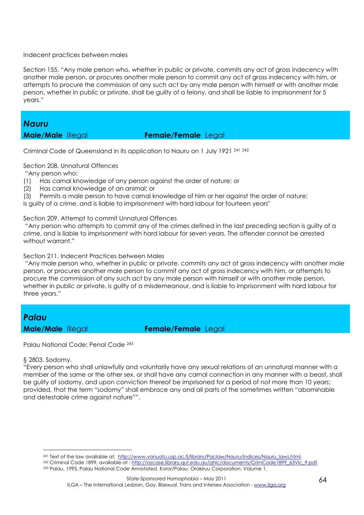#### Indecent practices between males

Section 155. "Any male person who, whether in public or private, commits any act of gross indecency with another male person, or procures another male person to commit any act of gross indecency with him, or attempts to procure the commission of any such act by any male person with himself or with another male person, whether in public or private, shall be guilty of a felony, and shall be liable to imprisonment for 5 years."

#### *Nauru*

#### **Male/Male** Illegal **Female/Female** Legal

Criminal Code of Queensland in its application to Nauru on 1 July 1921 <sup>241</sup> <sup>242</sup>

Section 208. Unnatural Offences

"Any person who:

- (1) Has carnal knowledge of any person against the order of nature; or
- (2) Has carnal knowledge of an animal; or
- (3) Permits a male person to have carnal knowledge of him or her against the order of nature;

is guilty of a crime, and is liable to imprisonment with hard labour for fourteen years"

#### Section 209. Attempt to commit Unnatural Offences

 "Any person who attempts to commit any of the crimes defined in the last preceding section is guilty of a crime, and is liable to imprisonment with hard labour for seven years. The offender cannot be arrested without warrant."

Section 211. Indecent Practices between Males

 "Any male person who, whether in public or private, commits any act of gross indecency with another male person, or procures another male person to commit any act of gross indecency with him, or attempts to procure the commission of any such act by any male person with himself or with another male person, whether in public or private, is guilty of a misdemeanour, and is liable to imprisonment with hard labour for three years."

# *Palau*

**Male/Male** Illegal **Female/Female** Legal

Palau National Code; Penal Code <sup>243</sup>

#### § 2803. Sodomy.

 $\overline{a}$ 

"Every person who shall unlawfully and voluntarily have any sexual relations of an unnatural manner with a member of the same or the other sex, or shall have any carnal connection in any manner with a beast, shall be guilty of sodomy, and upon conviction thereof be imprisoned for a period of not more than 10 years; provided, that the term "sodomy" shall embrace any and all parts of the sometimes written "abominable and detestable crime against nature"".

<sup>&</sup>lt;sup>241</sup> Text of the law available at: http://www.vanuatu.usp.ac.fi/library/Paclaw/Nauru/Indices/Nauru\_laws.html.

<sup>&</sup>lt;sup>242</sup> Criminal Code 1899, available at : http://ozcase.library.qut.edu.au/ahlc/documents/CrimCode1899\_63Vic\_9.pdf. 243 Palau, 1995, Palau National Code Annotated. Koror/Palau: Orakiruu Corporation. Volume 1.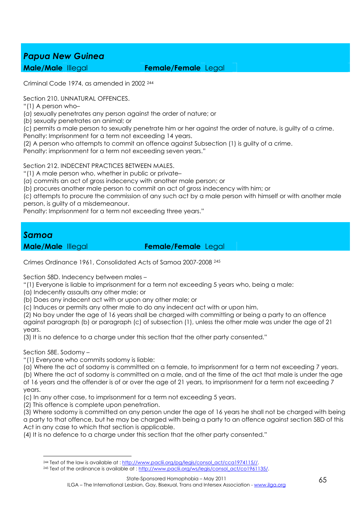### *Papua New Guinea*

#### **Male/Male** Illegal **Female/Female** Legal

Criminal Code 1974, as amended in 2002 <sup>244</sup>

Section 210. UNNATURAL OFFENCES.

"(1) A person who–

(*a*) sexually penetrates any person against the order of nature; or

(*b*) sexually penetrates an animal; or

(*c*) permits a male person to sexually penetrate him or her against the order of nature, is guilty of a crime. Penalty: Imprisonment for a term not exceeding 14 years.

(2) A person who attempts to commit an offence against Subsection (1) is guilty of a crime.

Penalty: imprisonment for a term not exceeding seven years."

Section 212. INDECENT PRACTICES BETWEEN MALES.

"(1) A male person who, whether in public or private–

(*a*) commits an act of gross indecency with another male person; or

(*b*) procures another male person to commit an act of gross indecency with him; or

(*c*) attempts to procure the commission of any such act by a male person with himself or with another male person, is guilty of a misdemeanour.

Penalty: Imprisonment for a term not exceeding three years."

#### *Samoa*

**Male/Male** Illegal **Female/Female** Legal

Crimes Ordinance 1961, Consolidated Acts of Samoa 2007-2008 <sup>245</sup>

Section 58D. Indecency between males –

"(1) Everyone is liable to imprisonment for a term not exceeding 5 years who, being a male:

- (a) Indecently assaults any other male; or
- (b) Does any indecent act with or upon any other male; or

(c) Induces or permits any other male to do any indecent act with or upon him.

(2) No boy under the age of 16 years shall be charged with committing or being a party to an offence

against paragraph (b) or paragraph (c) of subsection (1), unless the other male was under the age of 21 years.

(3) It is no defence to a charge under this section that the other party consented."

Section 58E. Sodomy –

"(1) Everyone who commits sodomy is liable:

(a) Where the act of sodomy is committed on a female, to imprisonment for a term not exceeding 7 years.

(b) Where the act of sodomy is committed on a male, and at the time of the act that male is under the age of 16 years and the offender is of or over the age of 21 years, to imprisonment for a term not exceeding 7 years.

(c) In any other case, to imprisonment for a term not exceeding 5 years.

(2) This offence is complete upon penetration.

(3) Where sodomy is committed on any person under the age of 16 years he shall not be charged with being a party to that offence, but he may be charged with being a party to an offence against section 58D of this Act in any case to which that section is applicable.

(4) It is no defence to a charge under this section that the other party consented."

 $\overline{a}$ <sup>244</sup> Text of the law is available at : http://www.paclii.org/pg/legis/consol\_act/cca1974115//.

<sup>245</sup> Text of the ordinance is available at : http://www.paclii.org/ws/legis/consol\_act/co1961135/.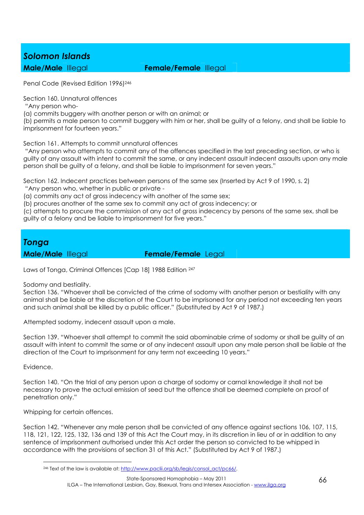### *Solomon Islands*

**Male/Male** Illegal **Female/Female** Illegal

Penal Code (Revised Edition 1996)<sup>246</sup>

Section 160. Unnatural offences

"Any person who-

(a) commits buggery with another person or with an animal; or

(b) permits a male person to commit buggery with him or her, shall be guilty of a felony, and shall be liable to imprisonment for fourteen years."

Section 161. Attempts to commit unnatural offences

 "Any person who attempts to commit any of the offences specified in the last preceding section, or who is guilty of any assault with intent to commit the same, or any indecent assault indecent assaults upon any male person shall be guilty of a felony, and shall be liable to imprisonment for seven years."

Section 162. Indecent practices between persons of the same sex (Inserted by Act 9 of 1990, s. 2)

"Any person who, whether in public or private -

(a) commits any act of gross indecency with another of the same sex;

(b) procures another of the same sex to commit any act of gross indecency; or

(c) attempts to procure the commission of any act of gross indecency by persons of the same sex, shall be guilty of a felony and be liable to imprisonment for five years."

### *Tonga*

**Male/Male** Illegal **Female/Female** Legal

Laws of Tonga, Criminal Offences [Cap 18] 1988 Edition <sup>247</sup>

Sodomy and bestiality.

Section 136. "Whoever shall be convicted of the crime of sodomy with another person or bestiality with any animal shall be liable at the discretion of the Court to be imprisoned for any period not exceeding ten years and such animal shall be killed by a public officer." (Substituted by Act 9 of 1987.)

Attempted sodomy, indecent assault upon a male.

Section 139. "Whoever shall attempt to commit the said abominable crime of sodomy or shall be guilty of an assault with intent to commit the same or of any indecent assault upon any male person shall be liable at the direction of the Court to imprisonment for any term not exceeding 10 years."

Evidence.

 $\overline{a}$ 

Section 140. "On the trial of any person upon a charge of sodomy or carnal knowledge it shall not be necessary to prove the actual emission of seed but the offence shall be deemed complete on proof of penetration only."

Whipping for certain offences.

Section 142. "Whenever any male person shall be convicted of any offence against sections 106, 107, 115, 118, 121, 122, 125, 132, 136 and 139 of this Act the Court may, in its discretion in lieu of or in addition to any sentence of imprisonment authorised under this Act order the person so convicted to be whipped in accordance with the provisions of section 31 of this Act." (Substituted by Act 9 of 1987.)

<sup>246</sup> Text of the law is available at: http://www.paclii.org/sb/legis/consol\_act/pc66/.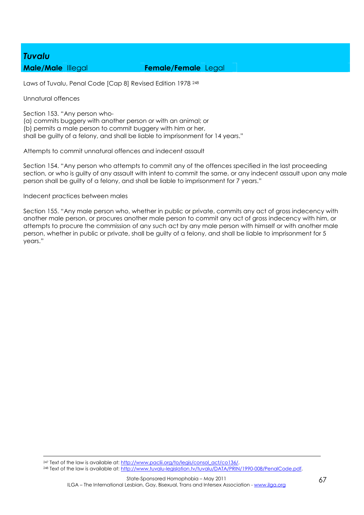# *Tuvalu*

#### **Male/Male** Illegal **Female/Female** Legal

Laws of Tuvalu, Penal Code [Cap 8] Revised Edition 1978 <sup>248</sup>

Unnatural offences

Section 153. "Any person who- (a) commits buggery with another person or with an animal; or (b) permits a male person to commit buggery with him or her, shall be guilty of a felony, and shall be liable to imprisonment for 14 years."

Attempts to commit unnatural offences and indecent assault

Section 154. "Any person who attempts to commit any of the offences specified in the last proceeding section, or who is guilty of any assault with intent to commit the same, or any indecent assault upon any male person shall be guilty of a felony, and shall be liable to imprisonment for 7 years."

#### Indecent practices between males

Section 155. "Any male person who, whether in public or private, commits any act of gross indecency with another male person, or procures another male person to commit any act of gross indecency with him, or attempts to procure the commission of any such act by any male person with himself or with another male person, whether in public or private, shall be guilty of a felony, and shall be liable to imprisonment for 5 years."

<u>.</u> <sup>247</sup> Text of the law is available at: http://www.paclii.org/to/legis/consol\_act/co136/.

248 Text of the law is available at: http://www.tuvalu-legislation.tv/tuvalu/DATA/PRIN/1990-008/PenalCode.pdf.